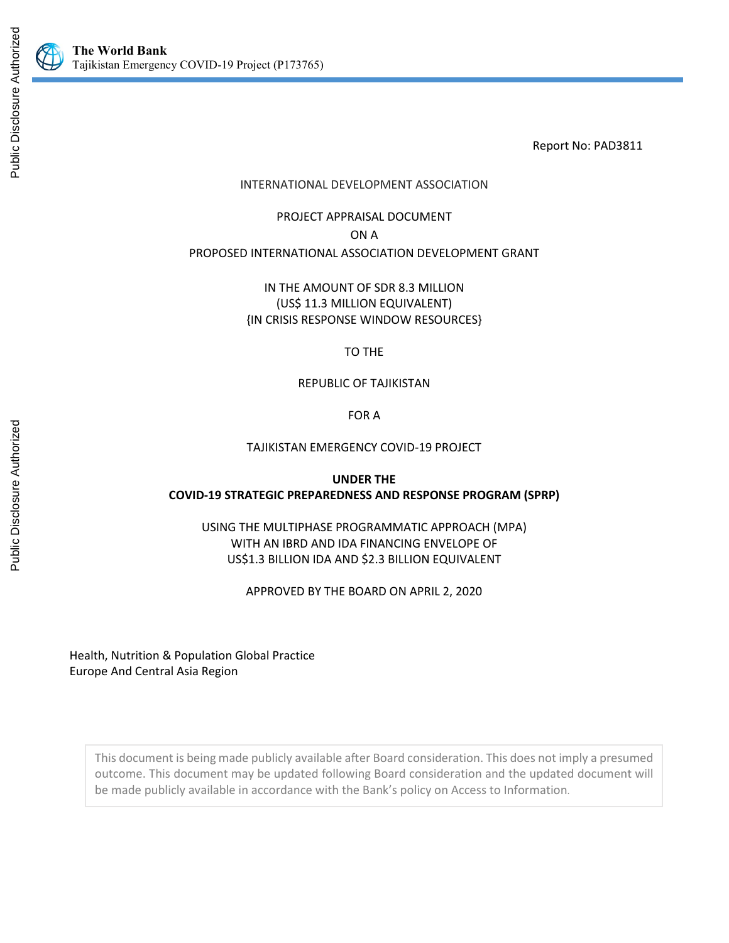

Report No: PAD3811

## INTERNATIONAL DEVELOPMENT ASSOCIATION

PROJECT APPRAISAL DOCUMENT ON A PROPOSED INTERNATIONAL ASSOCIATION DEVELOPMENT GRANT

> IN THE AMOUNT OF SDR 8.3 MILLION (US\$ 11.3 MILLION EQUIVALENT) {IN CRISIS RESPONSE WINDOW RESOURCES}

> > TO THE

REPUBLIC OF TAJIKISTAN

FOR A

#### TAJIKISTAN EMERGENCY COVID-19 PROJECT

## **UNDER THE COVID-19 STRATEGIC PREPAREDNESS AND RESPONSE PROGRAM (SPRP)**

USING THE MULTIPHASE PROGRAMMATIC APPROACH (MPA) WITH AN IBRD AND IDA FINANCING ENVELOPE OF US\$1.3 BILLION IDA AND \$2.3 BILLION EQUIVALENT

APPROVED BY THE BOARD ON APRIL 2, 2020

Health, Nutrition & Population Global Practice Europe And Central Asia Region

This document is being made publicly available after Board consideration. This does not imply a presumed outcome. This document may be updated following Board consideration and the updated document will be made publicly available in accordance with the Bank's policy on Access to Information.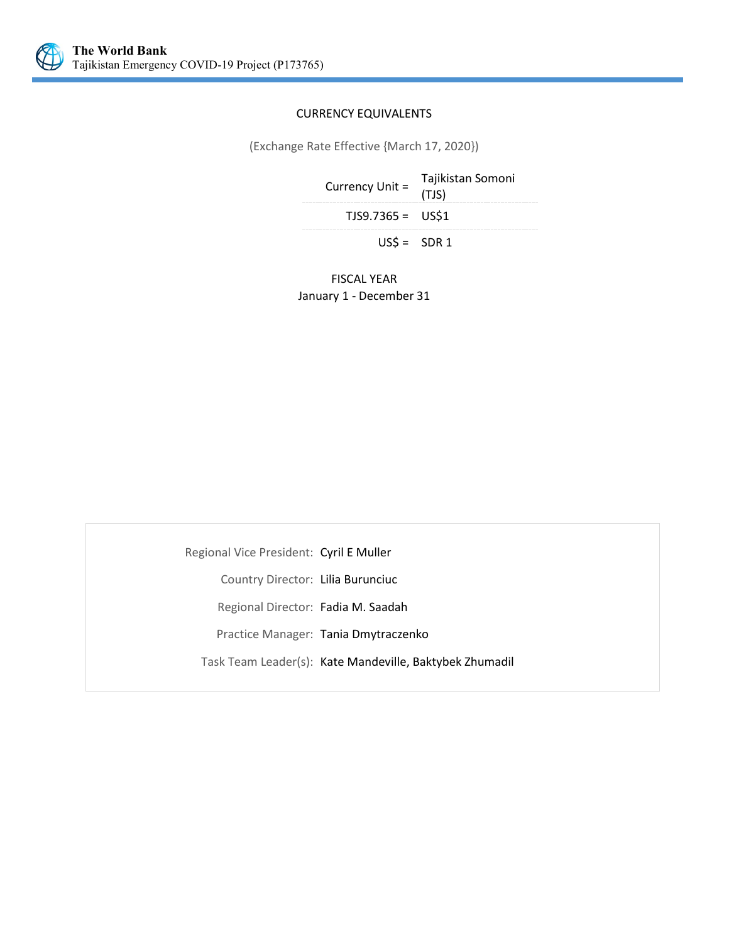

#### CURRENCY EQUIVALENTS

(Exchange Rate Effective {March 17, 2020})

| Currency Unit =    | Tajikistan Somoni<br>(TJS) |
|--------------------|----------------------------|
| $TJS9.7365 = US$1$ |                            |
| $USS = SDR 1$      |                            |

FISCAL YEAR January 1 - December 31

Regional Vice President: Cyril E Muller Country Director: Lilia Burunciuc Regional Director: Fadia M. Saadah Practice Manager: Tania Dmytraczenko Task Team Leader(s): Kate Mandeville, Baktybek Zhumadil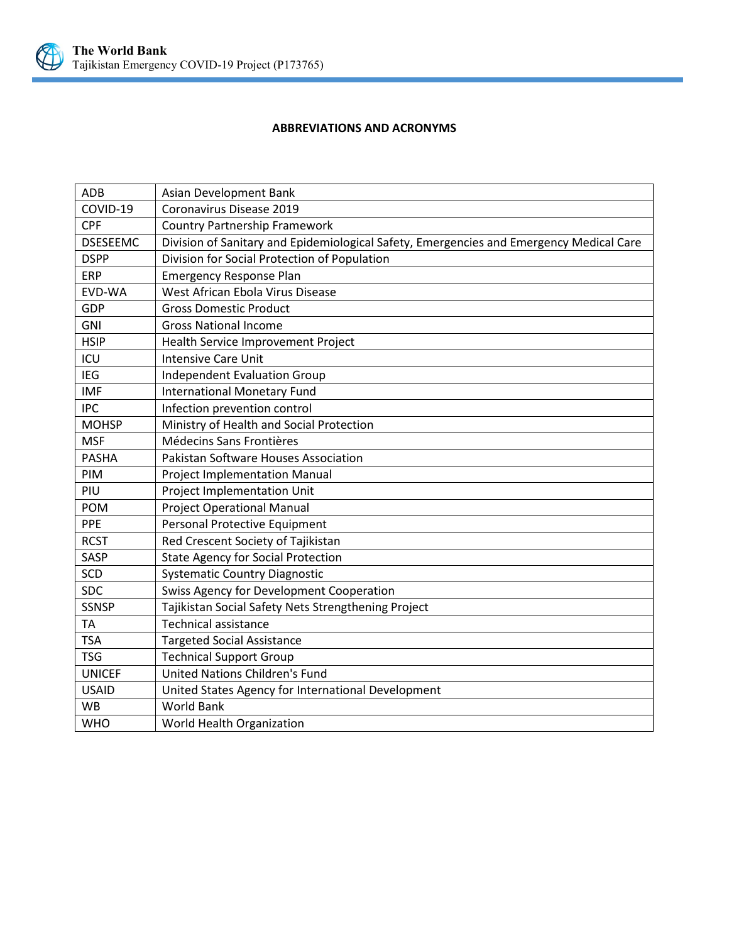

## **ABBREVIATIONS AND ACRONYMS**

| <b>ADB</b>      | Asian Development Bank                                                                  |
|-----------------|-----------------------------------------------------------------------------------------|
| COVID-19        | Coronavirus Disease 2019                                                                |
| <b>CPF</b>      | <b>Country Partnership Framework</b>                                                    |
| <b>DSESEEMC</b> | Division of Sanitary and Epidemiological Safety, Emergencies and Emergency Medical Care |
| <b>DSPP</b>     | Division for Social Protection of Population                                            |
| <b>ERP</b>      | <b>Emergency Response Plan</b>                                                          |
| EVD-WA          | West African Ebola Virus Disease                                                        |
| GDP             | <b>Gross Domestic Product</b>                                                           |
| <b>GNI</b>      | <b>Gross National Income</b>                                                            |
| <b>HSIP</b>     | Health Service Improvement Project                                                      |
| ICU             | <b>Intensive Care Unit</b>                                                              |
| <b>IEG</b>      | <b>Independent Evaluation Group</b>                                                     |
| <b>IMF</b>      | <b>International Monetary Fund</b>                                                      |
| <b>IPC</b>      | Infection prevention control                                                            |
| <b>MOHSP</b>    | Ministry of Health and Social Protection                                                |
| <b>MSF</b>      | Médecins Sans Frontières                                                                |
| <b>PASHA</b>    | <b>Pakistan Software Houses Association</b>                                             |
| <b>PIM</b>      | Project Implementation Manual                                                           |
| PIU             | Project Implementation Unit                                                             |
| <b>POM</b>      | <b>Project Operational Manual</b>                                                       |
| <b>PPE</b>      | Personal Protective Equipment                                                           |
| <b>RCST</b>     | Red Crescent Society of Tajikistan                                                      |
| SASP            | <b>State Agency for Social Protection</b>                                               |
| <b>SCD</b>      | <b>Systematic Country Diagnostic</b>                                                    |
| <b>SDC</b>      | <b>Swiss Agency for Development Cooperation</b>                                         |
| <b>SSNSP</b>    | Tajikistan Social Safety Nets Strengthening Project                                     |
| TA              | <b>Technical assistance</b>                                                             |
| <b>TSA</b>      | <b>Targeted Social Assistance</b>                                                       |
| <b>TSG</b>      | <b>Technical Support Group</b>                                                          |
| <b>UNICEF</b>   | <b>United Nations Children's Fund</b>                                                   |
| <b>USAID</b>    | United States Agency for International Development                                      |
| <b>WB</b>       | <b>World Bank</b>                                                                       |
| <b>WHO</b>      | World Health Organization                                                               |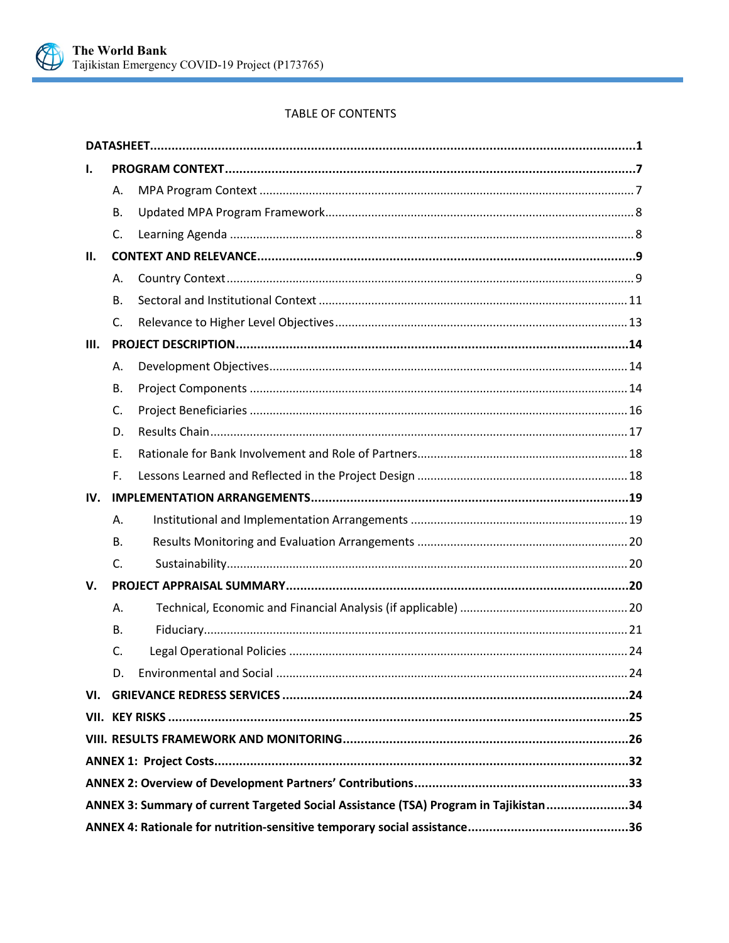

# TABLE OF CONTENTS

| ı.  |                |                                                                                      |  |
|-----|----------------|--------------------------------------------------------------------------------------|--|
|     | Α.             |                                                                                      |  |
|     | В.             |                                                                                      |  |
|     | C.             |                                                                                      |  |
| П.  |                |                                                                                      |  |
|     | А.             |                                                                                      |  |
|     | В.             |                                                                                      |  |
|     | $\mathsf{C}$ . |                                                                                      |  |
| Ш.  |                |                                                                                      |  |
|     | А.             |                                                                                      |  |
|     | В.             |                                                                                      |  |
|     | C.             |                                                                                      |  |
|     | D.             |                                                                                      |  |
|     | E.             |                                                                                      |  |
|     | F.             |                                                                                      |  |
| IV. |                |                                                                                      |  |
|     | Α.             |                                                                                      |  |
|     | <b>B.</b>      |                                                                                      |  |
|     | $\mathsf{C}$ . |                                                                                      |  |
| V.  |                |                                                                                      |  |
|     | А.             |                                                                                      |  |
|     | <b>B.</b>      |                                                                                      |  |
|     | C.             |                                                                                      |  |
|     | D.             |                                                                                      |  |
|     |                |                                                                                      |  |
|     |                |                                                                                      |  |
|     |                |                                                                                      |  |
|     |                |                                                                                      |  |
|     |                |                                                                                      |  |
|     |                |                                                                                      |  |
|     |                | ANNEX 3: Summary of current Targeted Social Assistance (TSA) Program in Tajikistan34 |  |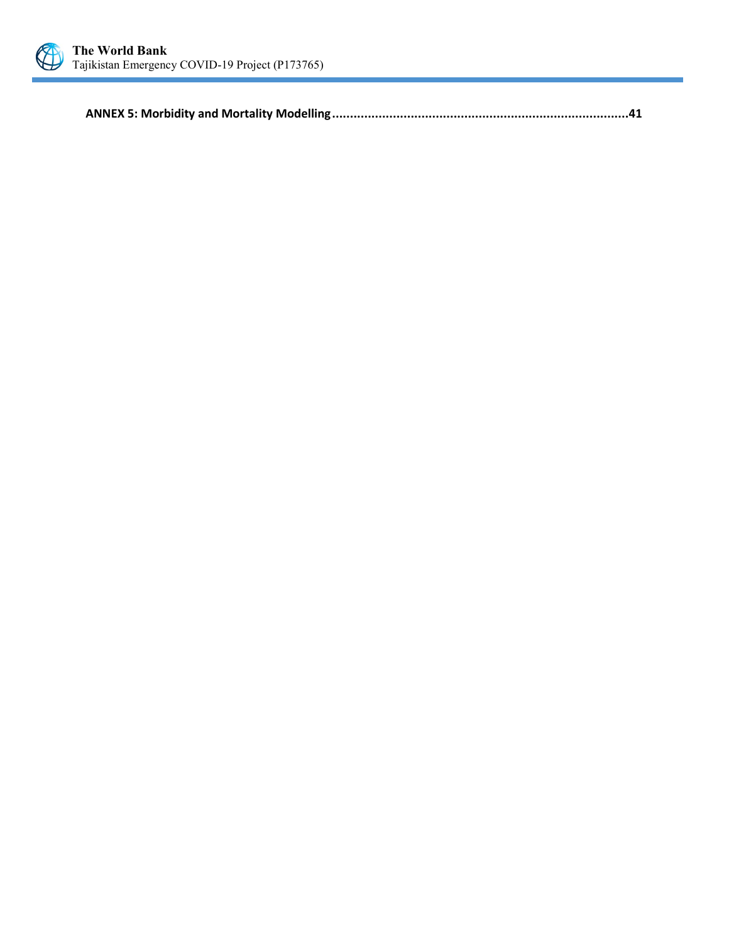

**ANNEX 5: Morbidity and Mortality Modelling[...................................................................................41](#page-45-0)**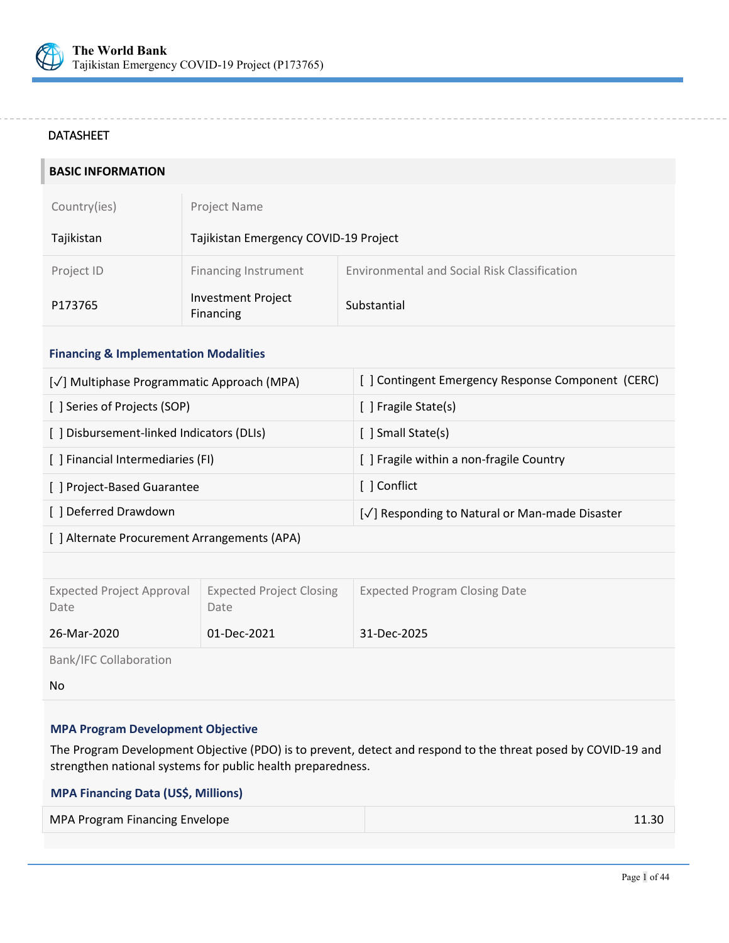

#### <span id="page-5-0"></span>DATASHEET

| <b>BASIC INFORMATION</b> |                                        |                                              |
|--------------------------|----------------------------------------|----------------------------------------------|
| Country(ies)             | Project Name                           |                                              |
| Tajikistan               | Tajikistan Emergency COVID-19 Project  |                                              |
| Project ID               | <b>Financing Instrument</b>            | Environmental and Social Risk Classification |
| P173765                  | <b>Investment Project</b><br>Financing | Substantial                                  |

## **Financing & Implementation Modalities**

| [√] Multiphase Programmatic Approach (MPA) | [] Contingent Emergency Response Component (CERC) |
|--------------------------------------------|---------------------------------------------------|
| [ ] Series of Projects (SOP)               | [ ] Fragile State(s)                              |
| [ ] Disbursement-linked Indicators (DLIs)  | [ ] Small State(s)                                |
| [ ] Financial Intermediaries (FI)          | [ ] Fragile within a non-fragile Country          |
| [ ] Project-Based Guarantee                |                                                   |
| [] Deferred Drawdown                       | [√] Responding to Natural or Man-made Disaster    |
|                                            |                                                   |

|  |  | [ ] Alternate Procurement Arrangements (APA) |
|--|--|----------------------------------------------|
|--|--|----------------------------------------------|

| <b>Expected Project Approval</b><br>Date | <b>Expected Project Closing</b><br>Date | <b>Expected Program Closing Date</b> |
|------------------------------------------|-----------------------------------------|--------------------------------------|
| 26-Mar-2020                              | 01-Dec-2021                             | 31-Dec-2025                          |

Bank/IFC Collaboration

No

## **MPA Program Development Objective**

The Program Development Objective (PDO) is to prevent, detect and respond to the threat posed by COVID-19 and strengthen national systems for public health preparedness.

## **MPA Financing Data (US\$, Millions) Financing**

| 11.30 |
|-------|
|       |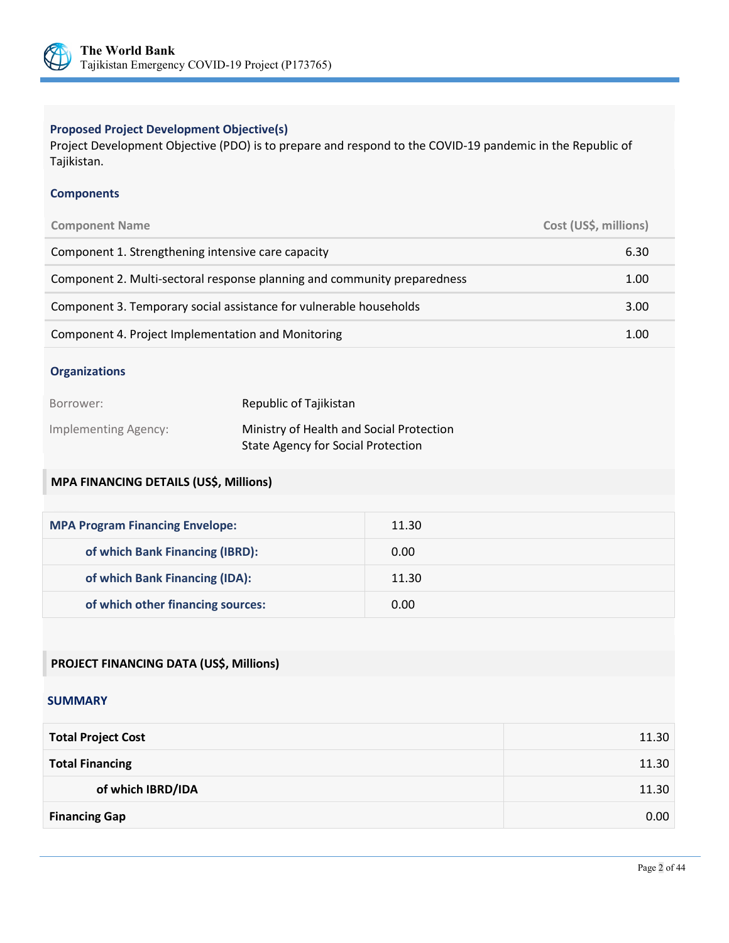

## **Proposed Project Development Objective(s)**

Project Development Objective (PDO) is to prepare and respond to the COVID-19 pandemic in the Republic of Tajikistan.

## **Components**

| <b>Component Name</b>                                                    | Cost (US\$, millions) |
|--------------------------------------------------------------------------|-----------------------|
| Component 1. Strengthening intensive care capacity                       | 6.30                  |
| Component 2. Multi-sectoral response planning and community preparedness | 1.00                  |
| Component 3. Temporary social assistance for vulnerable households       | 3.00                  |
| Component 4. Project Implementation and Monitoring                       | 1.00                  |

#### **Organizations**

| Borrower:            | Republic of Tajikistan                    |
|----------------------|-------------------------------------------|
| Implementing Agency: | Ministry of Health and Social Protection  |
|                      | <b>State Agency for Social Protection</b> |

# **MPA FINANCING DETAILS (US\$, Millions)**

| <b>MPA Program Financing Envelope:</b> | 11.30 |
|----------------------------------------|-------|
| of which Bank Financing (IBRD):        | 0.00  |
| of which Bank Financing (IDA):         | 11.30 |
| of which other financing sources:      | 0.00  |

# **PROJECT FINANCING DATA (US\$, Millions)**

#### **SUMMARY**

| <b>Total Project Cost</b> | 11.30 |
|---------------------------|-------|
| <b>Total Financing</b>    | 11.30 |
| of which IBRD/IDA         | 11.30 |
| <b>Financing Gap</b>      | 0.00  |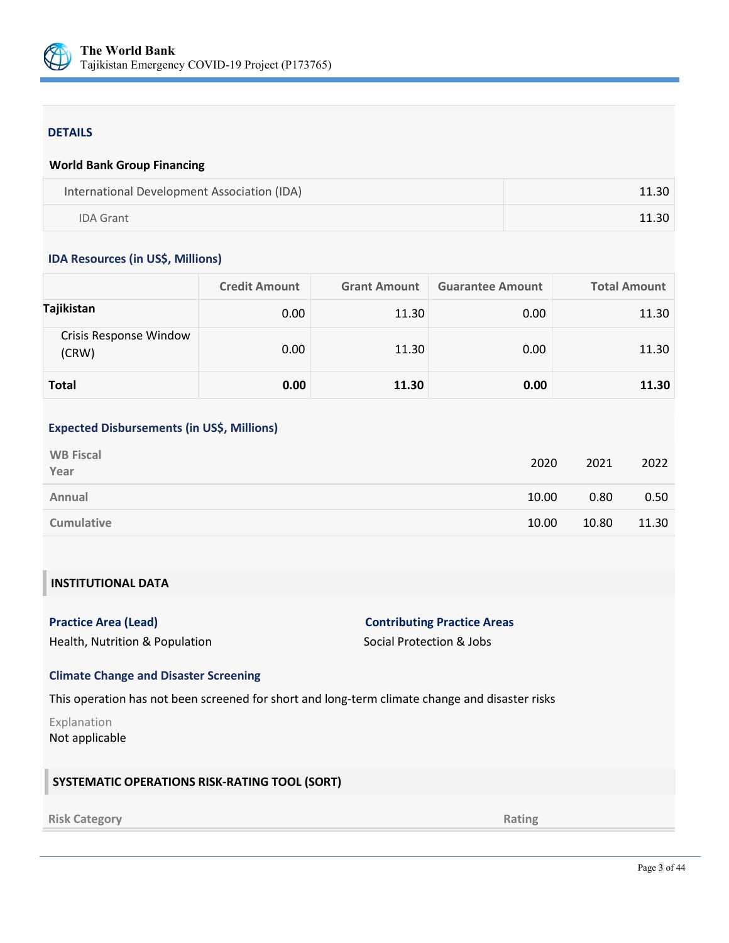

#### DETAILS

#### **World Bank Group Financing**

| International Development Association (IDA) | 11.30 |
|---------------------------------------------|-------|
| <b>IDA Grant</b>                            | 11.30 |

#### **IDA Resources (in US\$, Millions)**

|                                 | <b>Credit Amount</b> | <b>Grant Amount</b> | <b>Guarantee Amount</b> | <b>Total Amount</b> |
|---------------------------------|----------------------|---------------------|-------------------------|---------------------|
| Tajikistan                      | 0.00                 | 11.30               | 0.00                    | 11.30               |
| Crisis Response Window<br>(CRW) | 0.00                 | 11.30               | 0.00                    | 11.30               |
| Total                           | 0.00                 | 11.30               | 0.00                    | 11.30               |

#### **Expected Disbursements (in US\$, Millions)**

| <b>WB Fiscal</b><br>Year | 2020  | 2021  | 2022  |
|--------------------------|-------|-------|-------|
| Annual                   | 10.00 | 0.80  | 0.50  |
| <b>Cumulative</b>        | 10.00 | 10.80 | 11.30 |

# **INSTITUTIONAL DATA**

| Practice Area (Lead)                                  |  |  |
|-------------------------------------------------------|--|--|
| $\mathbf{r}$ . The state is the state of $\mathbf{r}$ |  |  |

# **Properties Area (Lead) Practice Areas Contributing Practice Areas**

Health, Nutrition & Population Social Protection & Jobs

#### **Climate Change and Disaster Screening**

This operation has not been screened for short and long-term climate change and disaster risks

Explanation Not applicable

## **SYSTEMATIC OPERATIONS RISK-RATING TOOL (SORT)**

#### **Risk Category Rating**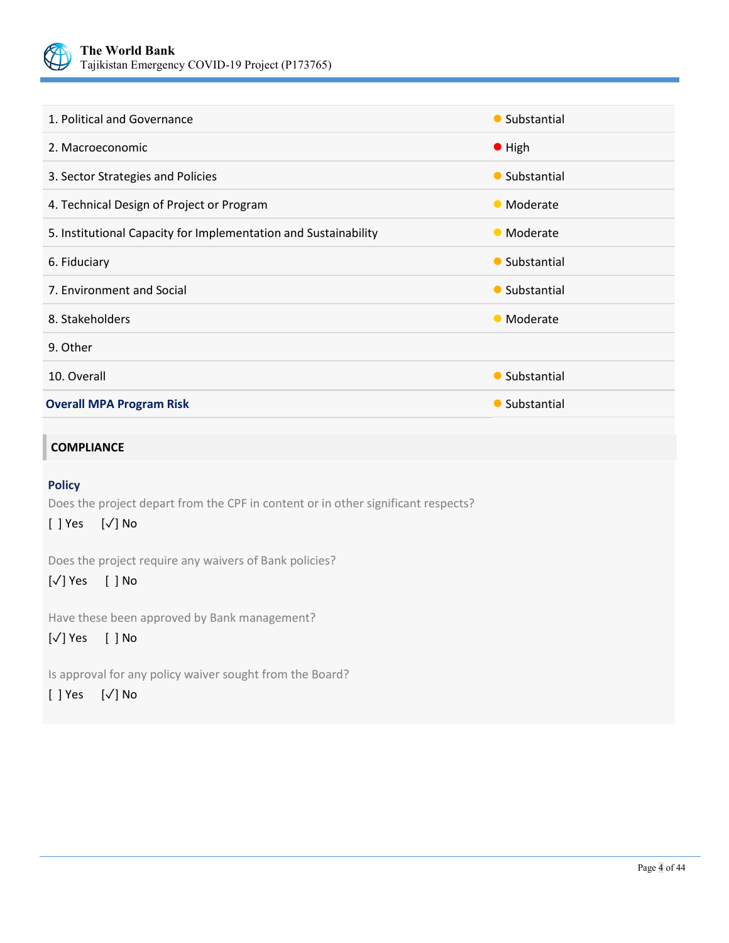

| 1. Political and Governance                                     | • Substantial  |
|-----------------------------------------------------------------|----------------|
| 2. Macroeconomic                                                | $\bullet$ High |
| 3. Sector Strategies and Policies                               | • Substantial  |
| 4. Technical Design of Project or Program                       | • Moderate     |
| 5. Institutional Capacity for Implementation and Sustainability | • Moderate     |
| 6. Fiduciary                                                    | • Substantial  |
| 7. Environment and Social                                       | • Substantial  |
| 8. Stakeholders                                                 | • Moderate     |
| 9. Other                                                        |                |
| 10. Overall                                                     | • Substantial  |
| <b>Overall MPA Program Risk</b>                                 | • Substantial  |

## **COMPLIANCE**

## **Policy**

Does the project depart from the CPF in content or in other significant respects?

[ ] Yes [✓] No

Does the project require any waivers of Bank policies?

# [✓] Yes [ ] No

Have these been approved by Bank management?

# [✓] Yes [ ] No

Is approval for any policy waiver sought from the Board?

# [ ] Yes [✓] No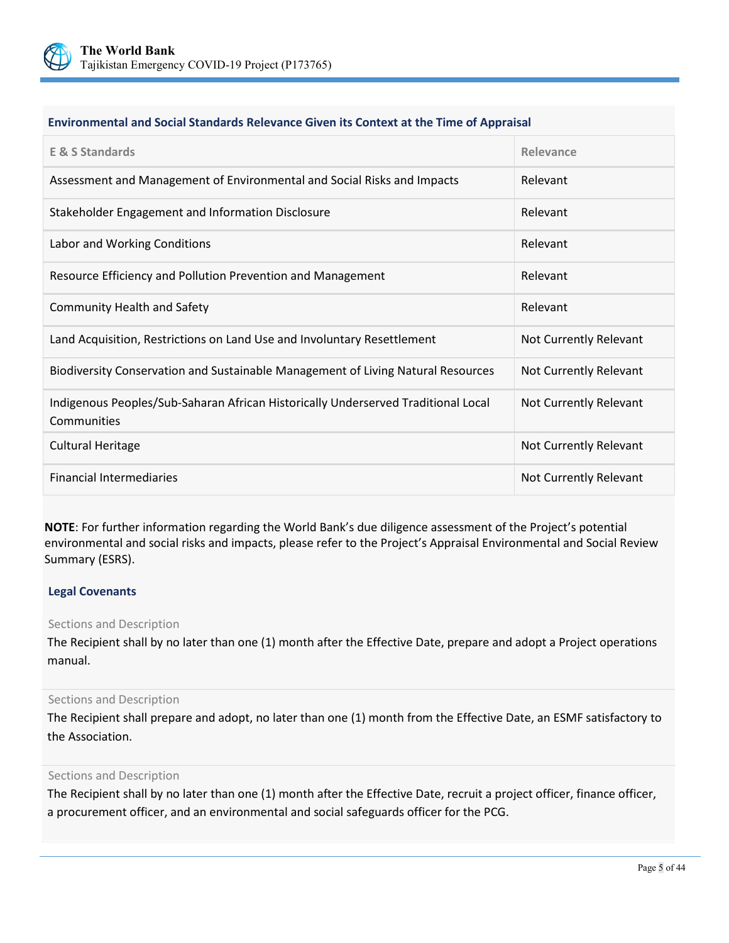

#### **Environmental and Social Standards Relevance Given its Context at the Time of Appraisal**

| <b>E &amp; S Standards</b>                                                                       | Relevance              |
|--------------------------------------------------------------------------------------------------|------------------------|
| Assessment and Management of Environmental and Social Risks and Impacts                          | Relevant               |
| Stakeholder Engagement and Information Disclosure                                                | Relevant               |
| Labor and Working Conditions                                                                     | Relevant               |
| Resource Efficiency and Pollution Prevention and Management                                      | Relevant               |
| <b>Community Health and Safety</b>                                                               | Relevant               |
| Land Acquisition, Restrictions on Land Use and Involuntary Resettlement                          | Not Currently Relevant |
| Biodiversity Conservation and Sustainable Management of Living Natural Resources                 | Not Currently Relevant |
| Indigenous Peoples/Sub-Saharan African Historically Underserved Traditional Local<br>Communities | Not Currently Relevant |
| <b>Cultural Heritage</b>                                                                         | Not Currently Relevant |
| <b>Financial Intermediaries</b>                                                                  | Not Currently Relevant |

**NOTE**: For further information regarding the World Bank's due diligence assessment of the Project's potential environmental and social risks and impacts, please refer to the Project's Appraisal Environmental and Social Review Summary (ESRS).

#### **Legal Covenants**

#### Sections and Description

The Recipient shall by no later than one (1) month after the Effective Date, prepare and adopt a Project operations manual.

#### Sections and Description

The Recipient shall prepare and adopt, no later than one (1) month from the Effective Date, an ESMF satisfactory to the Association.

#### Sections and Description

The Recipient shall by no later than one (1) month after the Effective Date, recruit a project officer, finance officer, a procurement officer, and an environmental and social safeguards officer for the PCG.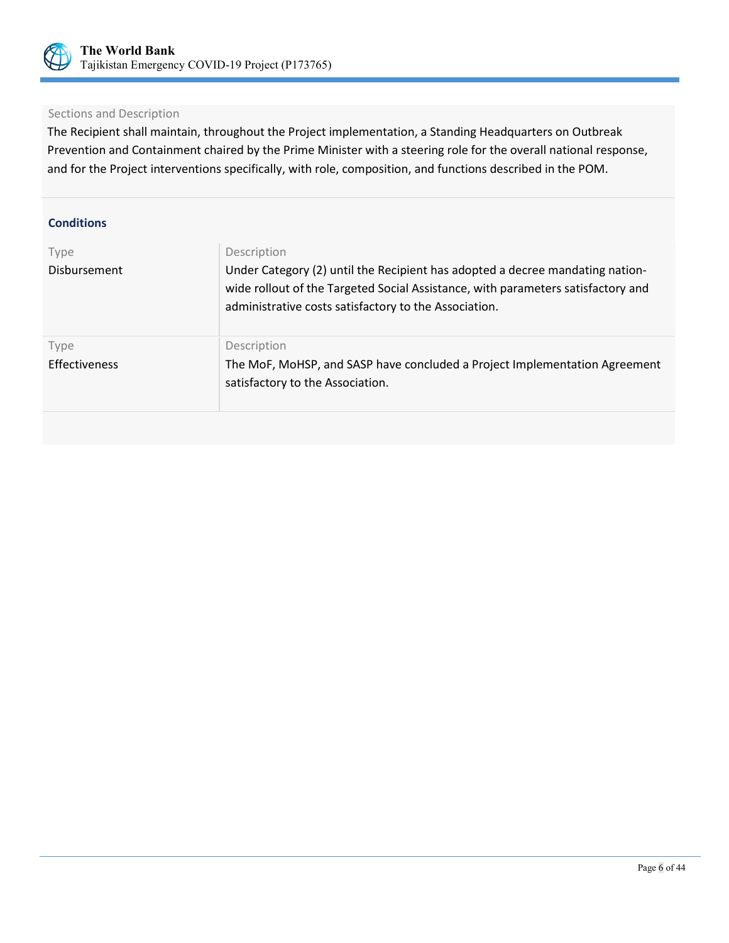

## Sections and Description

The Recipient shall maintain, throughout the Project implementation, a Standing Headquarters on Outbreak Prevention and Containment chaired by the Prime Minister with a steering role for the overall national response, and for the Project interventions specifically, with role, composition, and functions described in the POM.

| <b>Conditions</b>     |                                                                                                                                                                                                                                           |
|-----------------------|-------------------------------------------------------------------------------------------------------------------------------------------------------------------------------------------------------------------------------------------|
| Type<br>Disbursement  | Description<br>Under Category (2) until the Recipient has adopted a decree mandating nation-<br>wide rollout of the Targeted Social Assistance, with parameters satisfactory and<br>administrative costs satisfactory to the Association. |
| Type<br>Effectiveness | Description<br>The MoF, MoHSP, and SASP have concluded a Project Implementation Agreement<br>satisfactory to the Association.                                                                                                             |
|                       |                                                                                                                                                                                                                                           |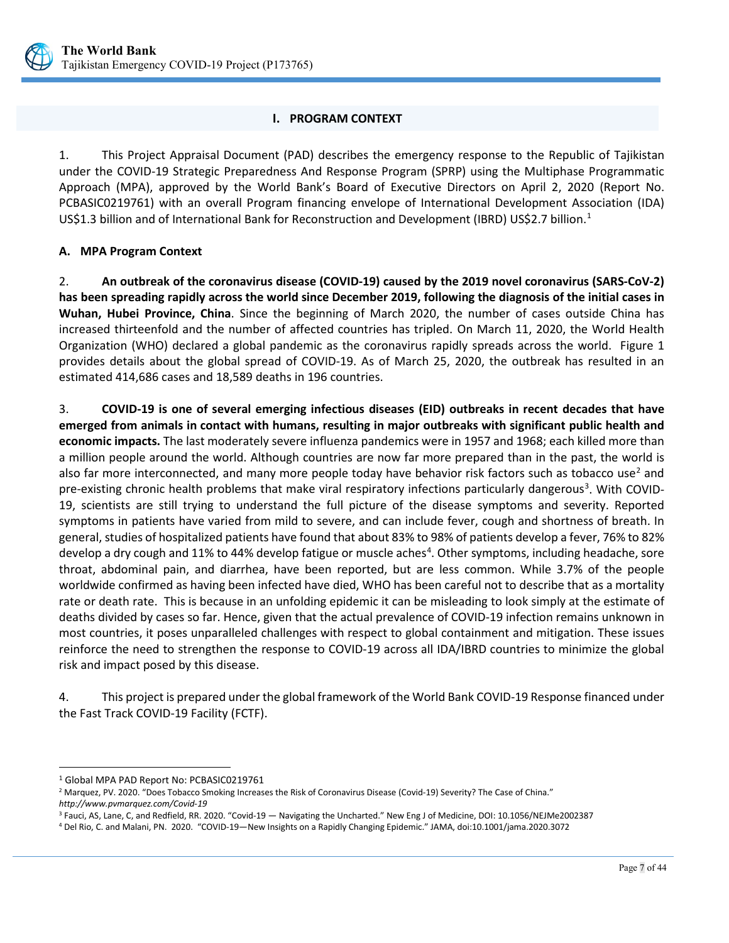

## **I. PROGRAM CONTEXT**

<span id="page-11-0"></span>1. This Project Appraisal Document (PAD) describes the emergency response to the Republic of Tajikistan under the COVID-19 Strategic Preparedness And Response Program (SPRP) using the Multiphase Programmatic Approach (MPA), approved by the World Bank's Board of Executive Directors on April 2, 2020 (Report No. PCBASIC0219761) with an overall Program financing envelope of International Development Association (IDA) US\$[1](#page-11-2).3 billion and of International Bank for Reconstruction and Development (IBRD) US\$2.7 billion.<sup>1</sup>

## <span id="page-11-1"></span>**A. MPA Program Context**

2. **An outbreak of the coronavirus disease (COVID-19) caused by the 2019 novel coronavirus (SARS-CoV-2) has been spreading rapidly across the world since December 2019, following the diagnosis of the initial cases in Wuhan, Hubei Province, China**. Since the beginning of March 2020, the number of cases outside China has increased thirteenfold and the number of affected countries has tripled. On March 11, 2020, the World Health Organization (WHO) declared a global pandemic as the coronavirus rapidly spreads across the world. Figure 1 provides details about the global spread of COVID-19. As of March 25, 2020, the outbreak has resulted in an estimated 414,686 cases and 18,589 deaths in 196 countries.

3. **COVID-19 is one of several emerging infectious diseases (EID) outbreaks in recent decades that have emerged from animals in contact with humans, resulting in major outbreaks with significant public health and economic impacts.** The last moderately severe influenza pandemics were in 1957 and 1968; each killed more than a million people around the world. Although countries are now far more prepared than in the past, the world is also far more interconnected, and many more people today have behavior risk factors such as tobacco use<sup>[2](#page-11-3)</sup> and pre-existing chronic health problems that make viral respiratory infections particularly dangerous<sup>[3](#page-11-4)</sup>. With COVID-19, scientists are still trying to understand the full picture of the disease symptoms and severity. Reported symptoms in patients have varied from mild to severe, and can include fever, cough and shortness of breath. In general, studies of hospitalized patients have found that about 83% to 98% of patients develop a fever, 76% to 82% develop a dry cough and 11% to [4](#page-11-5)4% develop fatigue or muscle aches<sup>4</sup>. Other symptoms, including headache, sore throat, abdominal pain, and diarrhea, have been reported, but are less common. While 3.7% of the people worldwide confirmed as having been infected have died, WHO has been careful not to describe that as a mortality rate or death rate. This is because in an unfolding epidemic it can be misleading to look simply at the estimate of deaths divided by cases so far. Hence, given that the actual prevalence of COVID-19 infection remains unknown in most countries, it poses unparalleled challenges with respect to global containment and mitigation. These issues reinforce the need to strengthen the response to COVID-19 across all IDA/IBRD countries to minimize the global risk and impact posed by this disease.

4. This project is prepared under the global framework of the World Bank COVID-19 Response financed under the Fast Track COVID-19 Facility (FCTF).

 $\overline{a}$ 

<span id="page-11-2"></span><sup>1</sup> Global MPA PAD Report No: PCBASIC0219761

<span id="page-11-3"></span><sup>&</sup>lt;sup>2</sup> Marquez, PV. 2020. "Does Tobacco Smoking Increases the Risk of Coronavirus Disease (Covid-19) Severity? The Case of China."

<span id="page-11-4"></span>*http://www.pvmarquez.com/Covid-19*<br><sup>3</sup>Fauci, AS, Lane, C, and Redfield, RR. 2020. "Covid-19 — Navigating the Uncharted." New Eng J of Medicine, DOI: 10.1056/NEJMe2002387

<span id="page-11-5"></span><sup>4</sup> Del Rio, C. and Malani, PN. 2020. "COVID-19—New Insights on a Rapidly Changing Epidemic." JAMA, doi:10.1001/jama.2020.3072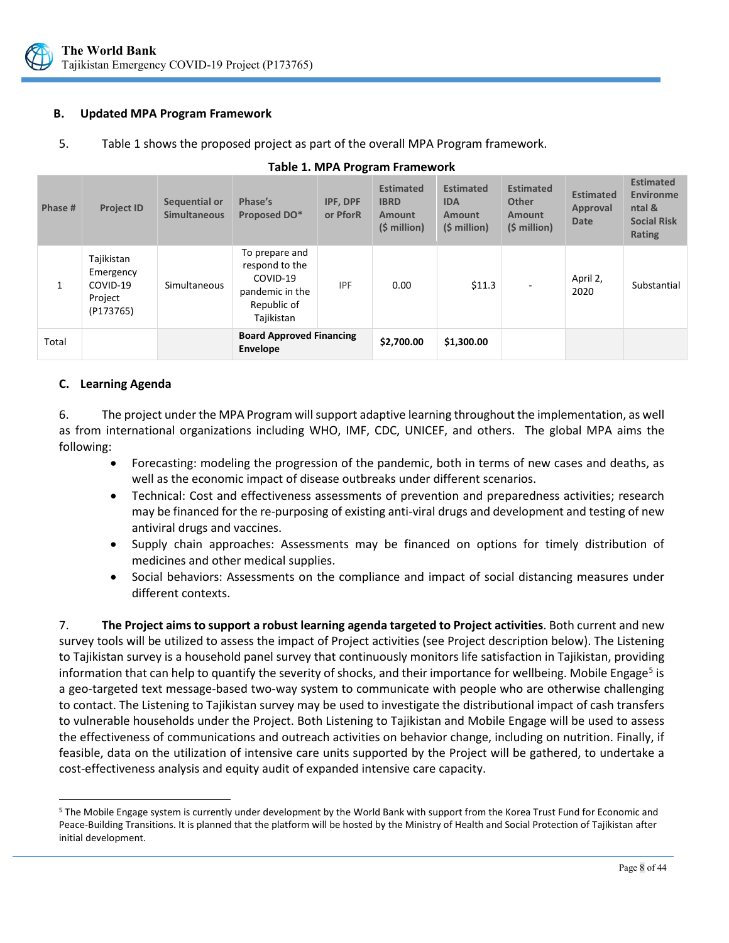

## <span id="page-12-0"></span>**B. Updated MPA Program Framework**

5. Table 1 shows the proposed project as part of the overall MPA Program framework.

| Phase # | <b>Project ID</b>                                           | Sequential or<br><b>Simultaneous</b> | Phase's<br>Proposed DO*                                                                      | IPF, DPF<br>or PforR | <b>Estimated</b><br><b>IBRD</b><br><b>Amount</b><br>(\$ million) | <b>Estimated</b><br><b>IDA</b><br>Amount<br>(\$ million) | <b>Estimated</b><br><b>Other</b><br><b>Amount</b><br>$(5 million)$ | <b>Estimated</b><br>Approval<br><b>Date</b> | <b>Estimated</b><br><b>Environme</b><br>ntal &<br><b>Social Risk</b><br>Rating |
|---------|-------------------------------------------------------------|--------------------------------------|----------------------------------------------------------------------------------------------|----------------------|------------------------------------------------------------------|----------------------------------------------------------|--------------------------------------------------------------------|---------------------------------------------|--------------------------------------------------------------------------------|
| 1       | Tajikistan<br>Emergency<br>COVID-19<br>Project<br>(P173765) | Simultaneous                         | To prepare and<br>respond to the<br>COVID-19<br>pandemic in the<br>Republic of<br>Tajikistan | <b>IPF</b>           | 0.00                                                             | \$11.3                                                   | $\overline{\phantom{0}}$                                           | April 2,<br>2020                            | Substantial                                                                    |
| Total   |                                                             |                                      | <b>Board Approved Financing</b><br><b>Envelope</b>                                           |                      | \$2,700.00                                                       | \$1,300.00                                               |                                                                    |                                             |                                                                                |

#### **Table 1. MPA Program Framework**

## <span id="page-12-1"></span>**C. Learning Agenda**

6. The project under the MPA Program will support adaptive learning throughout the implementation, as well as from international organizations including WHO, IMF, CDC, UNICEF, and others. The global MPA aims the following:

- Forecasting: modeling the progression of the pandemic, both in terms of new cases and deaths, as well as the economic impact of disease outbreaks under different scenarios.
- Technical: Cost and effectiveness assessments of prevention and preparedness activities; research may be financed for the re-purposing of existing anti-viral drugs and development and testing of new antiviral drugs and vaccines.
- Supply chain approaches: Assessments may be financed on options for timely distribution of medicines and other medical supplies.
- Social behaviors: Assessments on the compliance and impact of social distancing measures under different contexts.

7. **The Project aims to support a robust learning agenda targeted to Project activities**. Both current and new survey tools will be utilized to assess the impact of Project activities (see Project description below). The Listening to Tajikistan survey is a household panel survey that continuously monitors life satisfaction in Tajikistan, providing information that can help to quantify the severity of shocks, and their importance for wellbeing. Mobile Engage<sup>[5](#page-12-2)</sup> is a geo-targeted text message-based two-way system to communicate with people who are otherwise challenging to contact. The Listening to Tajikistan survey may be used to investigate the distributional impact of cash transfers to vulnerable households under the Project. Both Listening to Tajikistan and Mobile Engage will be used to assess the effectiveness of communications and outreach activities on behavior change, including on nutrition. Finally, if feasible, data on the utilization of intensive care units supported by the Project will be gathered, to undertake a cost-effectiveness analysis and equity audit of expanded intensive care capacity.

<span id="page-12-2"></span> $\overline{a}$ <sup>5</sup> The Mobile Engage system is currently under development by the World Bank with support from the Korea Trust Fund for Economic and Peace-Building Transitions. It is planned that the platform will be hosted by the Ministry of Health and Social Protection of Tajikistan after initial development.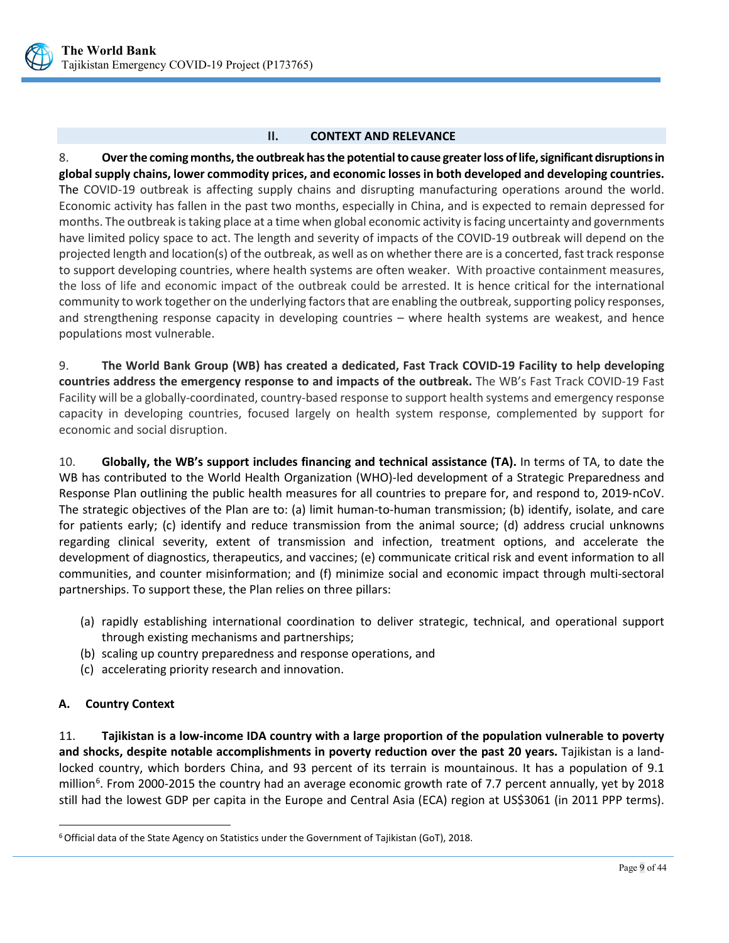

#### **II. CONTEXT AND RELEVANCE**

<span id="page-13-0"></span>8. **Over the coming months, the outbreak has the potential to cause greater loss of life, significant disruptions in global supply chains, lower commodity prices, and economic losses in both developed and developing countries.** The COVID-19 outbreak is affecting supply chains and disrupting manufacturing operations around the world. Economic activity has fallen in the past two months, especially in China, and is expected to remain depressed for months. The outbreak is taking place at a time when global economic activity is facing uncertainty and governments have limited policy space to act. The length and severity of impacts of the COVID-19 outbreak will depend on the projected length and location(s) of the outbreak, as well as on whether there are is a concerted, fast track response to support developing countries, where health systems are often weaker. With proactive containment measures, the loss of life and economic impact of the outbreak could be arrested. It is hence critical for the international community to work together on the underlying factors that are enabling the outbreak, supporting policy responses, and strengthening response capacity in developing countries – where health systems are weakest, and hence populations most vulnerable.

9. **The World Bank Group (WB) has created a dedicated, Fast Track COVID-19 Facility to help developing countries address the emergency response to and impacts of the outbreak.** The WB's Fast Track COVID-19 Fast Facility will be a globally-coordinated, country-based response to support health systems and emergency response capacity in developing countries, focused largely on health system response, complemented by support for economic and social disruption.

10. **Globally, the WB's support includes financing and technical assistance (TA).** In terms of TA, to date the WB has contributed to the World Health Organization (WHO)-led development of a [Strategic Preparedness and](https://www.who.int/docs/default-source/coronaviruse/srp-04022020.pdf)  [Response Plan](https://www.who.int/docs/default-source/coronaviruse/srp-04022020.pdf) outlining the public health measures for all countries to prepare for, and respond to, 2019‑nCoV. The strategic objectives of the Plan are to: (a) limit human-to-human transmission; (b) identify, isolate, and care for patients early; (c) identify and reduce transmission from the animal source; (d) address crucial unknowns regarding clinical severity, extent of transmission and infection, treatment options, and accelerate the development of diagnostics, therapeutics, and vaccines; (e) communicate critical risk and event information to all communities, and counter misinformation; and (f) minimize social and economic impact through multi-sectoral partnerships. To support these, the Plan relies on three pillars:

- (a) rapidly establishing international coordination to deliver strategic, technical, and operational support through existing mechanisms and partnerships;
- (b) scaling up country preparedness and response operations, and
- (c) accelerating priority research and innovation.

## <span id="page-13-1"></span>**A. Country Context**

 $\ddot{\phantom{a}}$ 

11. **Tajikistan is a low-income IDA country with a large proportion of the population vulnerable to poverty and shocks, despite notable accomplishments in poverty reduction over the past 20 years.** Tajikistan is a landlocked country, which borders China, and 93 percent of its terrain is mountainous. It has a population of 9.1 million<sup>[6](#page-13-2)</sup>. From 2000-2015 the country had an average economic growth rate of 7.7 percent annually, yet by 2018 still had the lowest GDP per capita in the Europe and Central Asia (ECA) region at US\$3061 (in 2011 PPP terms).

<span id="page-13-2"></span><sup>6</sup>Official data of the State Agency on Statistics under the Government of Tajikistan (GoT), 2018.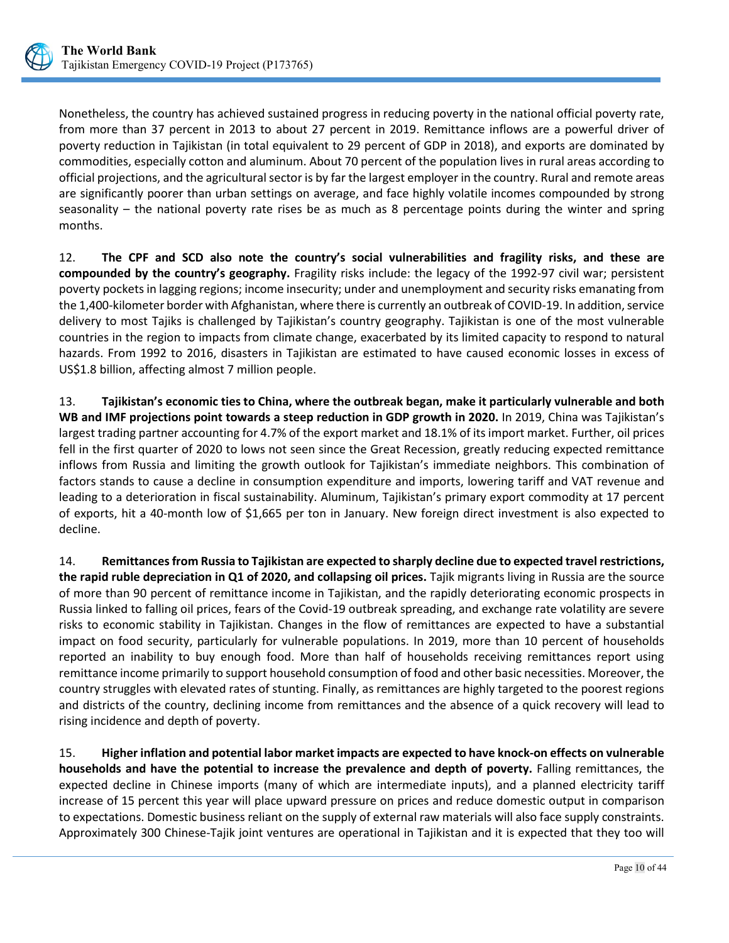

Nonetheless, the country has achieved sustained progress in reducing poverty in the national official poverty rate, from more than 37 percent in 2013 to about 27 percent in 2019. Remittance inflows are a powerful driver of poverty reduction in Tajikistan (in total equivalent to 29 percent of GDP in 2018), and exports are dominated by commodities, especially cotton and aluminum. About 70 percent of the population lives in rural areas according to official projections, and the agricultural sector is by far the largest employer in the country. Rural and remote areas are significantly poorer than urban settings on average, and face highly volatile incomes compounded by strong seasonality – the national poverty rate rises be as much as 8 percentage points during the winter and spring months.

12. **The CPF and SCD also note the country's social vulnerabilities and fragility risks, and these are compounded by the country's geography.** Fragility risks include: the legacy of the 1992-97 civil war; persistent poverty pockets in lagging regions; income insecurity; under and unemployment and security risks emanating from the 1,400-kilometer border with Afghanistan, where there is currently an outbreak of COVID-19. In addition, service delivery to most Tajiks is challenged by Tajikistan's country geography. Tajikistan is one of the most vulnerable countries in the region to impacts from climate change, exacerbated by its limited capacity to respond to natural hazards. From 1992 to 2016, disasters in Tajikistan are estimated to have caused economic losses in excess of US\$1.8 billion, affecting almost 7 million people.

13. **Tajikistan's economic ties to China, where the outbreak began, make it particularly vulnerable and both WB and IMF projections point towards a steep reduction in GDP growth in 2020.** In 2019, China was Tajikistan's largest trading partner accounting for 4.7% of the export market and 18.1% of its import market. Further, oil prices fell in the first quarter of 2020 to lows not seen since the Great Recession, greatly reducing expected remittance inflows from Russia and limiting the growth outlook for Tajikistan's immediate neighbors. This combination of factors stands to cause a decline in consumption expenditure and imports, lowering tariff and VAT revenue and leading to a deterioration in fiscal sustainability. Aluminum, Tajikistan's primary export commodity at 17 percent of exports, hit a 40-month low of \$1,665 per ton in January. New foreign direct investment is also expected to decline.

14. **Remittances from Russia to Tajikistan are expected to sharply decline due to expected travel restrictions, the rapid ruble depreciation in Q1 of 2020, and collapsing oil prices.** Tajik migrants living in Russia are the source of more than 90 percent of remittance income in Tajikistan, and the rapidly deteriorating economic prospects in Russia linked to falling oil prices, fears of the Covid-19 outbreak spreading, and exchange rate volatility are severe risks to economic stability in Tajikistan. Changes in the flow of remittances are expected to have a substantial impact on food security, particularly for vulnerable populations. In 2019, more than 10 percent of households reported an inability to buy enough food. More than half of households receiving remittances report using remittance income primarily to support household consumption of food and other basic necessities. Moreover, the country struggles with elevated rates of stunting. Finally, as remittances are highly targeted to the poorest regions and districts of the country, declining income from remittances and the absence of a quick recovery will lead to rising incidence and depth of poverty.

15. **Higher inflation and potential labor market impacts are expected to have knock-on effects on vulnerable households and have the potential to increase the prevalence and depth of poverty.** Falling remittances, the expected decline in Chinese imports (many of which are intermediate inputs), and a planned electricity tariff increase of 15 percent this year will place upward pressure on prices and reduce domestic output in comparison to expectations. Domestic business reliant on the supply of external raw materials will also face supply constraints. Approximately 300 Chinese-Tajik joint ventures are operational in Tajikistan and it is expected that they too will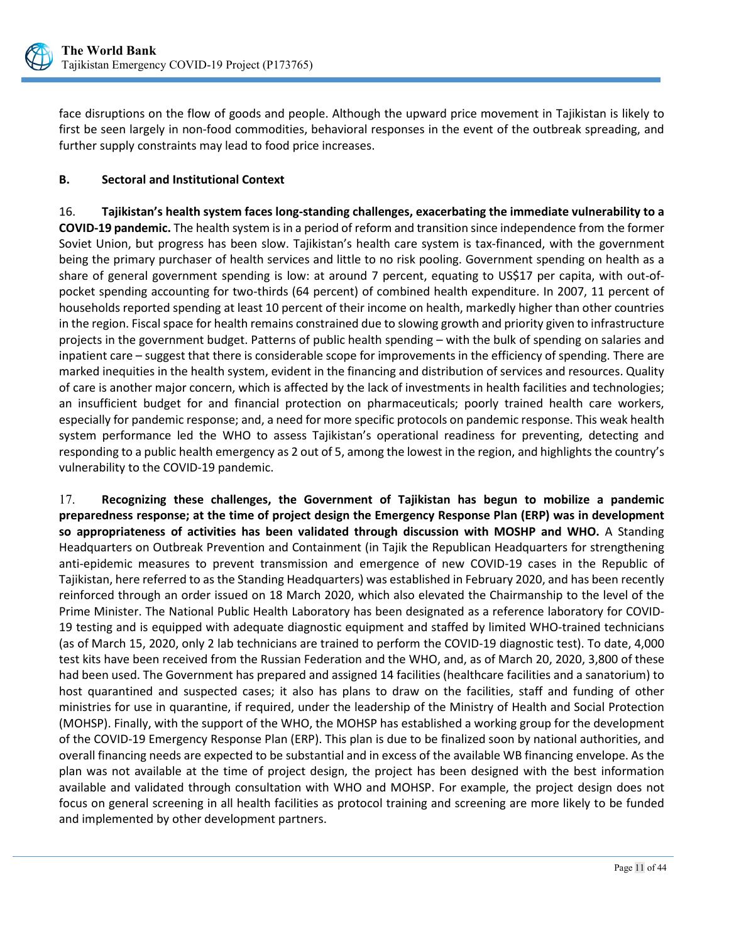

face disruptions on the flow of goods and people. Although the upward price movement in Tajikistan is likely to first be seen largely in non-food commodities, behavioral responses in the event of the outbreak spreading, and further supply constraints may lead to food price increases.

## <span id="page-15-0"></span>**B. Sectoral and Institutional Context**

16. **Tajikistan's health system faces long-standing challenges, exacerbating the immediate vulnerability to a COVID-19 pandemic.** The health system is in a period of reform and transition since independence from the former Soviet Union, but progress has been slow. Tajikistan's health care system is tax-financed, with the government being the primary purchaser of health services and little to no risk pooling. Government spending on health as a share of general government spending is low: at around 7 percent, equating to US\$17 per capita, with out-ofpocket spending accounting for two-thirds (64 percent) of combined health expenditure. In 2007, 11 percent of households reported spending at least 10 percent of their income on health, markedly higher than other countries in the region. Fiscal space for health remains constrained due to slowing growth and priority given to infrastructure projects in the government budget. Patterns of public health spending – with the bulk of spending on salaries and inpatient care – suggest that there is considerable scope for improvements in the efficiency of spending. There are marked inequities in the health system, evident in the financing and distribution of services and resources. Quality of care is another major concern, which is affected by the lack of investments in health facilities and technologies; an insufficient budget for and financial protection on pharmaceuticals; poorly trained health care workers, especially for pandemic response; and, a need for more specific protocols on pandemic response. This weak health system performance led the WHO to assess Tajikistan's operational readiness for preventing, detecting and responding to a public health emergency as 2 out of 5, among the lowest in the region, and highlights the country's vulnerability to the COVID-19 pandemic.

17. **Recognizing these challenges, the Government of Tajikistan has begun to mobilize a pandemic preparedness response; at the time of project design the Emergency Response Plan (ERP) was in development so appropriateness of activities has been validated through discussion with MOSHP and WHO.** A Standing Headquarters on Outbreak Prevention and Containment (in Tajik the Republican Headquarters for strengthening anti-epidemic measures to prevent transmission and emergence of new COVID-19 cases in the Republic of Tajikistan, here referred to as the Standing Headquarters) was established in February 2020, and has been recently reinforced through an order issued on 18 March 2020, which also elevated the Chairmanship to the level of the Prime Minister. The National Public Health Laboratory has been designated as a reference laboratory for COVID-19 testing and is equipped with adequate diagnostic equipment and staffed by limited WHO-trained technicians (as of March 15, 2020, only 2 lab technicians are trained to perform the COVID-19 diagnostic test). To date, 4,000 test kits have been received from the Russian Federation and the WHO, and, as of March 20, 2020, 3,800 of these had been used. The Government has prepared and assigned 14 facilities (healthcare facilities and a sanatorium) to host quarantined and suspected cases; it also has plans to draw on the facilities, staff and funding of other ministries for use in quarantine, if required, under the leadership of the Ministry of Health and Social Protection (MOHSP). Finally, with the support of the WHO, the MOHSP has established a working group for the development of the COVID-19 Emergency Response Plan (ERP). This plan is due to be finalized soon by national authorities, and overall financing needs are expected to be substantial and in excess of the available WB financing envelope. As the plan was not available at the time of project design, the project has been designed with the best information available and validated through consultation with WHO and MOHSP. For example, the project design does not focus on general screening in all health facilities as protocol training and screening are more likely to be funded and implemented by other development partners.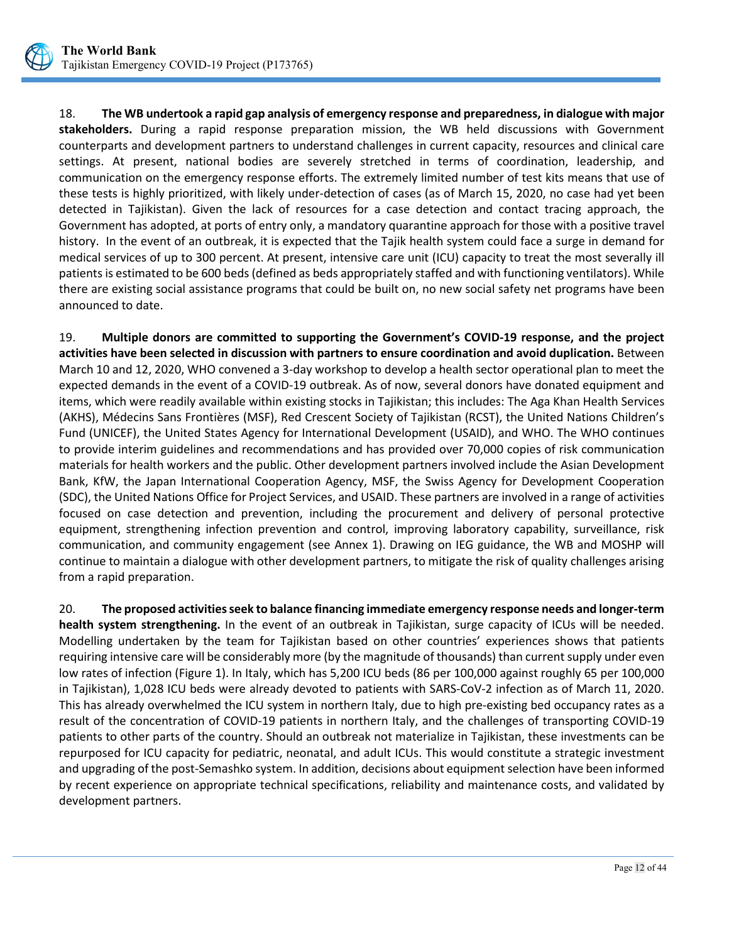

18. **The WB undertook a rapid gap analysis of emergency response and preparedness, in dialogue with major stakeholders.** During a rapid response preparation mission, the WB held discussions with Government counterparts and development partners to understand challenges in current capacity, resources and clinical care settings. At present, national bodies are severely stretched in terms of coordination, leadership, and communication on the emergency response efforts. The extremely limited number of test kits means that use of these tests is highly prioritized, with likely under-detection of cases (as of March 15, 2020, no case had yet been detected in Tajikistan). Given the lack of resources for a case detection and contact tracing approach, the Government has adopted, at ports of entry only, a mandatory quarantine approach for those with a positive travel history. In the event of an outbreak, it is expected that the Tajik health system could face a surge in demand for medical services of up to 300 percent. At present, intensive care unit (ICU) capacity to treat the most severally ill patients is estimated to be 600 beds (defined as beds appropriately staffed and with functioning ventilators). While there are existing social assistance programs that could be built on, no new social safety net programs have been announced to date.

19. **Multiple donors are committed to supporting the Government's COVID-19 response, and the project activities have been selected in discussion with partners to ensure coordination and avoid duplication.** Between March 10 and 12, 2020, WHO convened a 3-day workshop to develop a health sector operational plan to meet the expected demands in the event of a COVID-19 outbreak. As of now, several donors have donated equipment and items, which were readily available within existing stocks in Tajikistan; this includes: The Aga Khan Health Services (AKHS), Médecins Sans Frontières (MSF), Red Crescent Society of Tajikistan (RCST), the United Nations Children's Fund (UNICEF), the United States Agency for International Development (USAID), and WHO. The WHO continues to provide interim guidelines and recommendations and has provided over 70,000 copies of risk communication materials for health workers and the public. Other development partners involved include the Asian Development Bank, KfW, the Japan International Cooperation Agency, MSF, the Swiss Agency for Development Cooperation (SDC), the United Nations Office for Project Services, and USAID. These partners are involved in a range of activities focused on case detection and prevention, including the procurement and delivery of personal protective equipment, strengthening infection prevention and control, improving laboratory capability, surveillance, risk communication, and community engagement (see Annex 1). Drawing on IEG guidance, the WB and MOSHP will continue to maintain a dialogue with other development partners, to mitigate the risk of quality challenges arising from a rapid preparation.

20. **The proposed activities seek to balance financing immediate emergency response needs and longer-term health system strengthening.** In the event of an outbreak in Tajikistan, surge capacity of ICUs will be needed. Modelling undertaken by the team for Tajikistan based on other countries' experiences shows that patients requiring intensive care will be considerably more (by the magnitude of thousands) than current supply under even low rates of infection (Figure 1). In Italy, which has 5,200 ICU beds (86 per 100,000 against roughly 65 per 100,000 in Tajikistan), 1,028 ICU beds were already devoted to patients with SARS-CoV-2 infection as of March 11, 2020. This has already overwhelmed the ICU system in northern Italy, due to high pre-existing bed occupancy rates as a result of the concentration of COVID-19 patients in northern Italy, and the challenges of transporting COVID-19 patients to other parts of the country. Should an outbreak not materialize in Tajikistan, these investments can be repurposed for ICU capacity for pediatric, neonatal, and adult ICUs. This would constitute a strategic investment and upgrading of the post-Semashko system. In addition, decisions about equipment selection have been informed by recent experience on appropriate technical specifications, reliability and maintenance costs, and validated by development partners.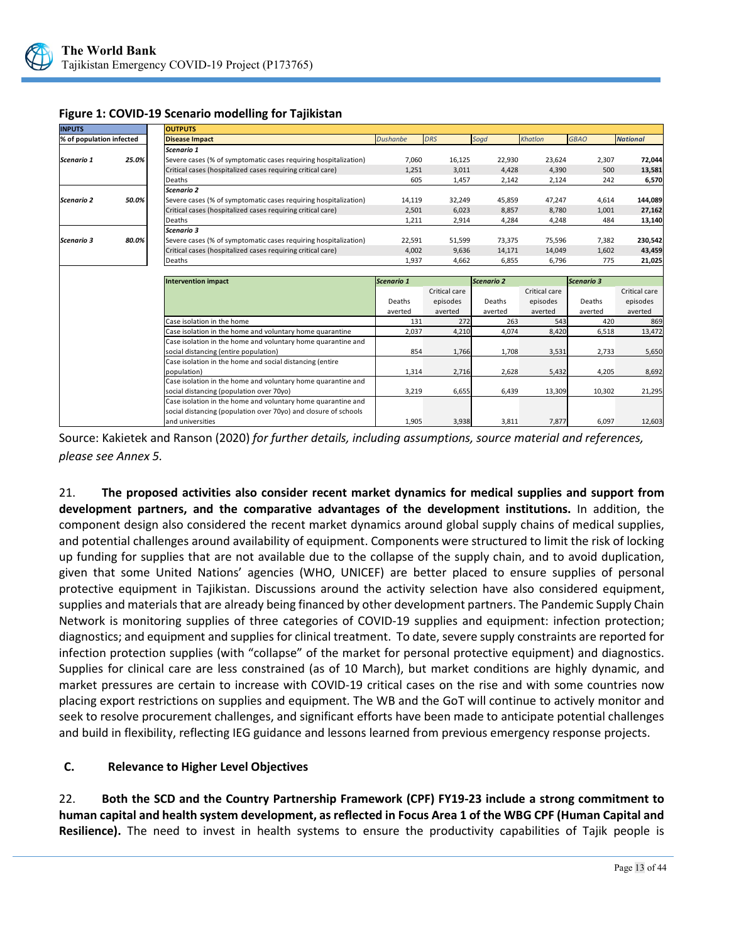

| <b>INPUTS</b>            |       | <b>OUTPUTS</b>                                                  |                 |               |            |               |                   |                 |
|--------------------------|-------|-----------------------------------------------------------------|-----------------|---------------|------------|---------------|-------------------|-----------------|
| % of population infected |       | <b>Disease Impact</b>                                           | <b>Dushanbe</b> | <b>DRS</b>    | Sogd       | Khatlon       | <b>GBAO</b>       | <b>National</b> |
|                          |       | Scenario 1                                                      |                 |               |            |               |                   |                 |
| Scenario 1               | 25.0% | Severe cases (% of symptomatic cases requiring hospitalization) | 7,060           | 16,125        | 22,930     | 23,624        | 2,307             | 72,044          |
|                          |       | Critical cases (hospitalized cases requiring critical care)     | 1,251           | 3,011         | 4,428      | 4,390         | 500               | 13,581          |
|                          |       | Deaths                                                          | 605             | 1,457         | 2,142      | 2,124         | 242               | 6,570           |
|                          |       | Scenario 2                                                      |                 |               |            |               |                   |                 |
| Scenario 2               | 50.0% | Severe cases (% of symptomatic cases requiring hospitalization) | 14,119          | 32,249        | 45,859     | 47,247        | 4,614             | 144,089         |
|                          |       | Critical cases (hospitalized cases requiring critical care)     | 2,501           | 6,023         | 8,857      | 8,780         | 1,001             | 27,162          |
|                          |       | Deaths                                                          | 1,211           | 2,914         | 4,284      | 4,248         | 484               | 13,140          |
|                          |       | Scenario 3                                                      |                 |               |            |               |                   |                 |
| Scenario 3               | 80.0% | Severe cases (% of symptomatic cases requiring hospitalization) | 22,591          | 51,599        | 73,375     | 75,596        | 7,382             | 230,542         |
|                          |       | Critical cases (hospitalized cases requiring critical care)     | 4,002           | 9,636         | 14,171     | 14,049        | 1,602             | 43,459          |
|                          |       | Deaths                                                          | 1,937           | 4,662         | 6,855      | 6,796         | 775               | 21,025          |
|                          |       |                                                                 |                 |               |            |               |                   |                 |
|                          |       |                                                                 |                 |               |            |               |                   |                 |
|                          |       | <b>Intervention impact</b>                                      | Scenario 1      |               | Scenario 2 |               | <b>Scenario 3</b> |                 |
|                          |       |                                                                 |                 | Critical care |            | Critical care |                   | Critical care   |
|                          |       |                                                                 | Deaths          | episodes      | Deaths     | episodes      | Deaths            | episodes        |
|                          |       |                                                                 | averted         | averted       | averted    | averted       | averted           | averted         |
|                          |       | Case isolation in the home                                      | 131             | 272           | 263        | 543           | 420               | 869             |
|                          |       | Case isolation in the home and voluntary home quarantine        | 2,037           | 4,210         | 4,074      | 8,420         | 6,518             | 13,472          |
|                          |       | Case isolation in the home and voluntary home quarantine and    |                 |               |            |               |                   |                 |
|                          |       | social distancing (entire population)                           | 854             | 1,766         | 1,708      | 3,531         | 2,733             | 5,650           |
|                          |       | Case isolation in the home and social distancing (entire        |                 |               |            |               |                   |                 |
|                          |       | population)                                                     | 1,314           | 2,716         | 2,628      | 5,432         | 4,205             | 8,692           |
|                          |       | Case isolation in the home and voluntary home quarantine and    |                 |               |            |               |                   |                 |
|                          |       | social distancing (population over 70yo)                        | 3,219           | 6,655         | 6,439      | 13,309        | 10,302            | 21,295          |
|                          |       | Case isolation in the home and voluntary home quarantine and    |                 |               |            |               |                   |                 |
|                          |       | social distancing (population over 70yo) and closure of schools |                 |               |            |               |                   |                 |

#### **Figure 1: COVID-19 Scenario modelling for Tajikistan**

Source: Kakietek and Ranson (2020) *for further details, including assumptions, source material and references, please see Annex 5.* 

21. **The proposed activities also consider recent market dynamics for medical supplies and support from development partners, and the comparative advantages of the development institutions.** In addition, the component design also considered the recent market dynamics around global supply chains of medical supplies, and potential challenges around availability of equipment. Components were structured to limit the risk of locking up funding for supplies that are not available due to the collapse of the supply chain, and to avoid duplication, given that some United Nations' agencies (WHO, UNICEF) are better placed to ensure supplies of personal protective equipment in Tajikistan. Discussions around the activity selection have also considered equipment, supplies and materials that are already being financed by other development partners. The Pandemic Supply Chain Network is monitoring supplies of three categories of COVID-19 supplies and equipment: infection protection; diagnostics; and equipment and supplies for clinical treatment. To date, severe supply constraints are reported for infection protection supplies (with "collapse" of the market for personal protective equipment) and diagnostics. Supplies for clinical care are less constrained (as of 10 March), but market conditions are highly dynamic, and market pressures are certain to increase with COVID-19 critical cases on the rise and with some countries now placing export restrictions on supplies and equipment. The WB and the GoT will continue to actively monitor and seek to resolve procurement challenges, and significant efforts have been made to anticipate potential challenges and build in flexibility, reflecting IEG guidance and lessons learned from previous emergency response projects.

## <span id="page-17-0"></span>**C. Relevance to Higher Level Objectives**

22. **Both the SCD and the Country Partnership Framework (CPF) FY19-23 include a strong commitment to human capital and health system development, as reflected in Focus Area 1 of the WBG CPF (Human Capital and Resilience).** The need to invest in health systems to ensure the productivity capabilities of Tajik people is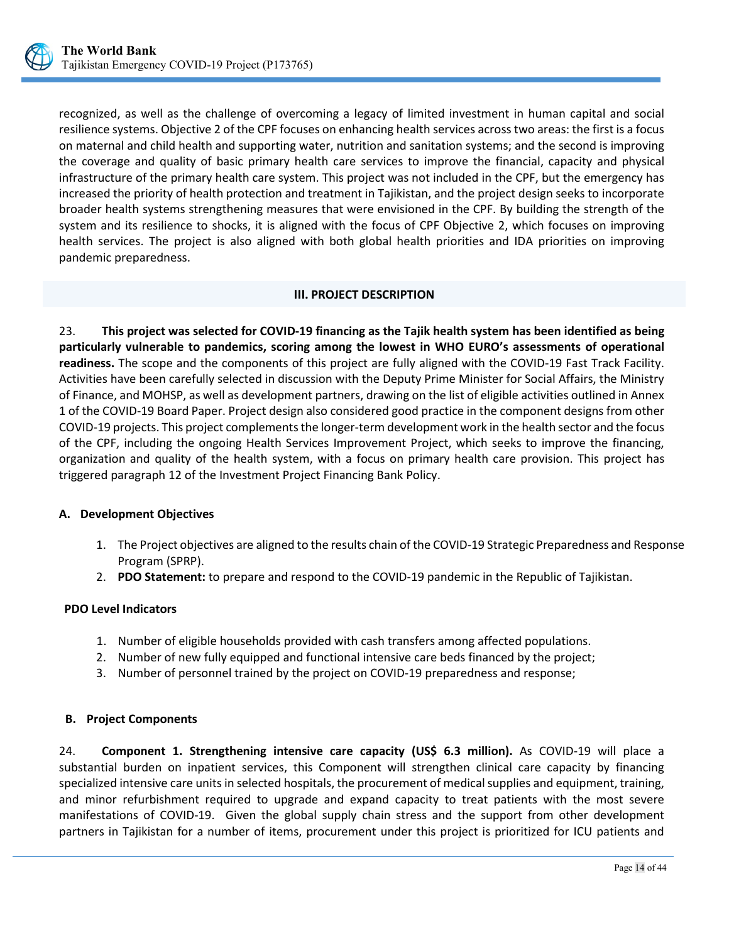

recognized, as well as the challenge of overcoming a legacy of limited investment in human capital and social resilience systems. Objective 2 of the CPF focuses on enhancing health services across two areas: the first is a focus on maternal and child health and supporting water, nutrition and sanitation systems; and the second is improving the coverage and quality of basic primary health care services to improve the financial, capacity and physical infrastructure of the primary health care system. This project was not included in the CPF, but the emergency has increased the priority of health protection and treatment in Tajikistan, and the project design seeks to incorporate broader health systems strengthening measures that were envisioned in the CPF. By building the strength of the system and its resilience to shocks, it is aligned with the focus of CPF Objective 2, which focuses on improving health services. The project is also aligned with both global health priorities and IDA priorities on improving pandemic preparedness.

## **III. PROJECT DESCRIPTION**

<span id="page-18-0"></span>23. **This project was selected for COVID-19 financing as the Tajik health system has been identified as being particularly vulnerable to pandemics, scoring among the lowest in WHO EURO's assessments of operational readiness.** The scope and the components of this project are fully aligned with the COVID-19 Fast Track Facility. Activities have been carefully selected in discussion with the Deputy Prime Minister for Social Affairs, the Ministry of Finance, and MOHSP, as well as development partners, drawing on the list of eligible activities outlined in Annex 1 of the COVID-19 Board Paper. Project design also considered good practice in the component designs from other COVID-19 projects. This project complements the longer-term development work in the health sector and the focus of the CPF, including the ongoing Health Services Improvement Project, which seeks to improve the financing, organization and quality of the health system, with a focus on primary health care provision. This project has triggered paragraph 12 of the Investment Project Financing Bank Policy.

## <span id="page-18-1"></span>**A. Development Objectives**

- 1. The Project objectives are aligned to the results chain of the COVID-19 Strategic Preparedness and Response Program (SPRP).
- 2. **PDO Statement:** to prepare and respond to the COVID-19 pandemic in the Republic of Tajikistan.

## **PDO Level Indicators**

- 1. Number of eligible households provided with cash transfers among affected populations.
- 2. Number of new fully equipped and functional intensive care beds financed by the project;
- 3. Number of personnel trained by the project on COVID-19 preparedness and response;

## <span id="page-18-2"></span>**B. Project Components**

24. **Component 1. Strengthening intensive care capacity (US\$ 6.3 million).** As COVID-19 will place a substantial burden on inpatient services, this Component will strengthen clinical care capacity by financing specialized intensive care units in selected hospitals, the procurement of medical supplies and equipment, training, and minor refurbishment required to upgrade and expand capacity to treat patients with the most severe manifestations of COVID-19. Given the global supply chain stress and the support from other development partners in Tajikistan for a number of items, procurement under this project is prioritized for ICU patients and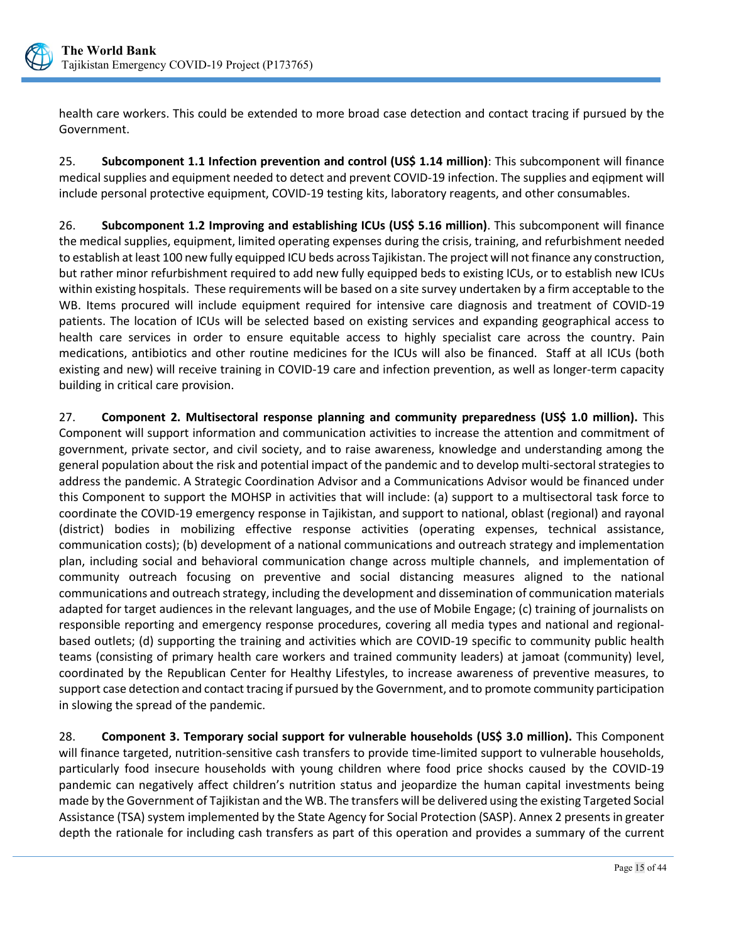

health care workers. This could be extended to more broad case detection and contact tracing if pursued by the Government.

25. **Subcomponent 1.1 Infection prevention and control (US\$ 1.14 million)**: This subcomponent will finance medical supplies and equipment needed to detect and prevent COVID-19 infection. The supplies and eqipment will include personal protective equipment, COVID-19 testing kits, laboratory reagents, and other consumables.

26. **Subcomponent 1.2 Improving and establishing ICUs (US\$ 5.16 million)**. This subcomponent will finance the medical supplies, equipment, limited operating expenses during the crisis, training, and refurbishment needed to establish at least 100 new fully equipped ICU beds across Tajikistan. The project will not finance any construction, but rather minor refurbishment required to add new fully equipped beds to existing ICUs, or to establish new ICUs within existing hospitals. These requirements will be based on a site survey undertaken by a firm acceptable to the WB. Items procured will include equipment required for intensive care diagnosis and treatment of COVID-19 patients. The location of ICUs will be selected based on existing services and expanding geographical access to health care services in order to ensure equitable access to highly specialist care across the country. Pain medications, antibiotics and other routine medicines for the ICUs will also be financed. Staff at all ICUs (both existing and new) will receive training in COVID-19 care and infection prevention, as well as longer-term capacity building in critical care provision.

27. **Component 2. Multisectoral response planning and community preparedness (US\$ 1.0 million).** This Component will support information and communication activities to increase the attention and commitment of government, private sector, and civil society, and to raise awareness, knowledge and understanding among the general population about the risk and potential impact of the pandemic and to develop multi-sectoral strategies to address the pandemic. A Strategic Coordination Advisor and a Communications Advisor would be financed under this Component to support the MOHSP in activities that will include: (a) support to a multisectoral task force to coordinate the COVID-19 emergency response in Tajikistan, and support to national, oblast (regional) and rayonal (district) bodies in mobilizing effective response activities (operating expenses, technical assistance, communication costs); (b) development of a national communications and outreach strategy and implementation plan, including social and behavioral communication change across multiple channels, and implementation of community outreach focusing on preventive and social distancing measures aligned to the national communications and outreach strategy, including the development and dissemination of communication materials adapted for target audiences in the relevant languages, and the use of Mobile Engage; (c) training of journalists on responsible reporting and emergency response procedures, covering all media types and national and regionalbased outlets; (d) supporting the training and activities which are COVID-19 specific to community public health teams (consisting of primary health care workers and trained community leaders) at jamoat (community) level, coordinated by the Republican Center for Healthy Lifestyles, to increase awareness of preventive measures, to support case detection and contact tracing if pursued by the Government, and to promote community participation in slowing the spread of the pandemic.

28. **Component 3. Temporary social support for vulnerable households (US\$ 3.0 million).** This Component will finance targeted, nutrition-sensitive cash transfers to provide time-limited support to vulnerable households, particularly food insecure households with young children where food price shocks caused by the COVID-19 pandemic can negatively affect children's nutrition status and jeopardize the human capital investments being made by the Government of Tajikistan and the WB. The transfers will be delivered using the existing Targeted Social Assistance (TSA) system implemented by the State Agency for Social Protection (SASP). Annex 2 presents in greater depth the rationale for including cash transfers as part of this operation and provides a summary of the current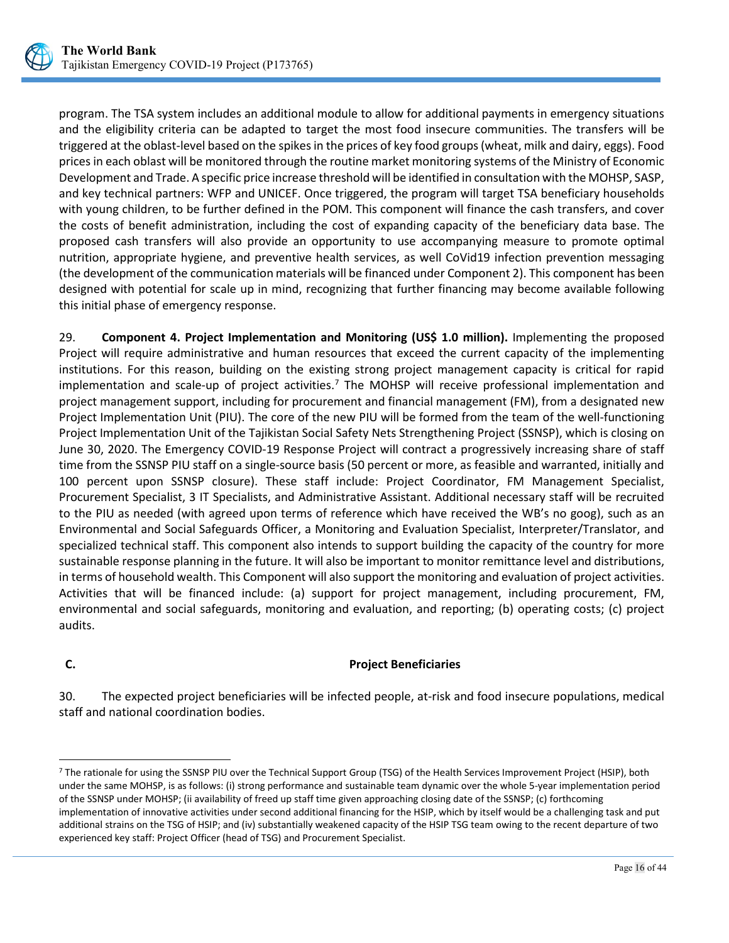

program. The TSA system includes an additional module to allow for additional payments in emergency situations and the eligibility criteria can be adapted to target the most food insecure communities. The transfers will be triggered at the oblast-level based on the spikes in the prices of key food groups (wheat, milk and dairy, eggs). Food prices in each oblast will be monitored through the routine market monitoring systems of the Ministry of Economic Development and Trade. A specific price increase threshold will be identified in consultation with the MOHSP, SASP, and key technical partners: WFP and UNICEF. Once triggered, the program will target TSA beneficiary households with young children, to be further defined in the POM. This component will finance the cash transfers, and cover the costs of benefit administration, including the cost of expanding capacity of the beneficiary data base. The proposed cash transfers will also provide an opportunity to use accompanying measure to promote optimal nutrition, appropriate hygiene, and preventive health services, as well CoVid19 infection prevention messaging (the development of the communication materials will be financed under Component 2). This component has been designed with potential for scale up in mind, recognizing that further financing may become available following this initial phase of emergency response.

29. **Component 4. Project Implementation and Monitoring (US\$ 1.0 million).** Implementing the proposed Project will require administrative and human resources that exceed the current capacity of the implementing institutions. For this reason, building on the existing strong project management capacity is critical for rapid implementation and scale-up of project activities.<sup>7</sup> The MOHSP will receive professional implementation and project management support, including for procurement and financial management (FM), from a designated new Project Implementation Unit (PIU). The core of the new PIU will be formed from the team of the well-functioning Project Implementation Unit of the Tajikistan Social Safety Nets Strengthening Project (SSNSP), which is closing on June 30, 2020. The Emergency COVID-19 Response Project will contract a progressively increasing share of staff time from the SSNSP PIU staff on a single-source basis (50 percent or more, as feasible and warranted, initially and 100 percent upon SSNSP closure). These staff include: Project Coordinator, FM Management Specialist, Procurement Specialist, 3 IT Specialists, and Administrative Assistant. Additional necessary staff will be recruited to the PIU as needed (with agreed upon terms of reference which have received the WB's no goog), such as an Environmental and Social Safeguards Officer, a Monitoring and Evaluation Specialist, Interpreter/Translator, and specialized technical staff. This component also intends to support building the capacity of the country for more sustainable response planning in the future. It will also be important to monitor remittance level and distributions, in terms of household wealth. This Component will also support the monitoring and evaluation of project activities. Activities that will be financed include: (a) support for project management, including procurement, FM, environmental and social safeguards, monitoring and evaluation, and reporting; (b) operating costs; (c) project audits.

<span id="page-20-0"></span>

 $\overline{a}$ 

## **C. Project Beneficiaries**

30. The expected project beneficiaries will be infected people, at-risk and food insecure populations, medical staff and national coordination bodies.

<span id="page-20-1"></span><sup>7</sup> The rationale for using the SSNSP PIU over the Technical Support Group (TSG) of the Health Services Improvement Project (HSIP), both under the same MOHSP, is as follows: (i) strong performance and sustainable team dynamic over the whole 5-year implementation period of the SSNSP under MOHSP; (ii availability of freed up staff time given approaching closing date of the SSNSP; (c) forthcoming implementation of innovative activities under second additional financing for the HSIP, which by itself would be a challenging task and put additional strains on the TSG of HSIP; and (iv) substantially weakened capacity of the HSIP TSG team owing to the recent departure of two experienced key staff: Project Officer (head of TSG) and Procurement Specialist.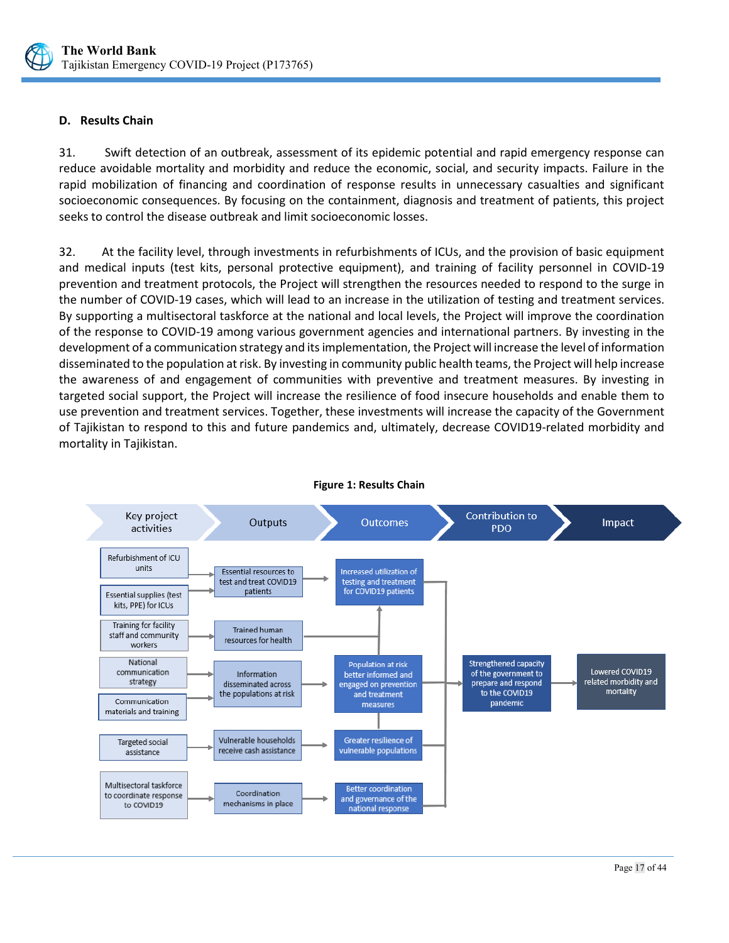

## <span id="page-21-0"></span>**D. Results Chain**

31. Swift detection of an outbreak, assessment of its epidemic potential and rapid emergency response can reduce avoidable mortality and morbidity and reduce the economic, social, and security impacts. Failure in the rapid mobilization of financing and coordination of response results in unnecessary casualties and significant socioeconomic consequences. By focusing on the containment, diagnosis and treatment of patients, this project seeks to control the disease outbreak and limit socioeconomic losses.

32. At the facility level, through investments in refurbishments of ICUs, and the provision of basic equipment and medical inputs (test kits, personal protective equipment), and training of facility personnel in COVID-19 prevention and treatment protocols, the Project will strengthen the resources needed to respond to the surge in the number of COVID-19 cases, which will lead to an increase in the utilization of testing and treatment services. By supporting a multisectoral taskforce at the national and local levels, the Project will improve the coordination of the response to COVID-19 among various government agencies and international partners. By investing in the development of a communication strategy and its implementation, the Project will increase the level of information disseminated to the population at risk. By investing in community public health teams, the Project will help increase the awareness of and engagement of communities with preventive and treatment measures. By investing in targeted social support, the Project will increase the resilience of food insecure households and enable them to use prevention and treatment services. Together, these investments will increase the capacity of the Government of Tajikistan to respond to this and future pandemics and, ultimately, decrease COVID19-related morbidity and mortality in Tajikistan.



**Figure 1: Results Chain**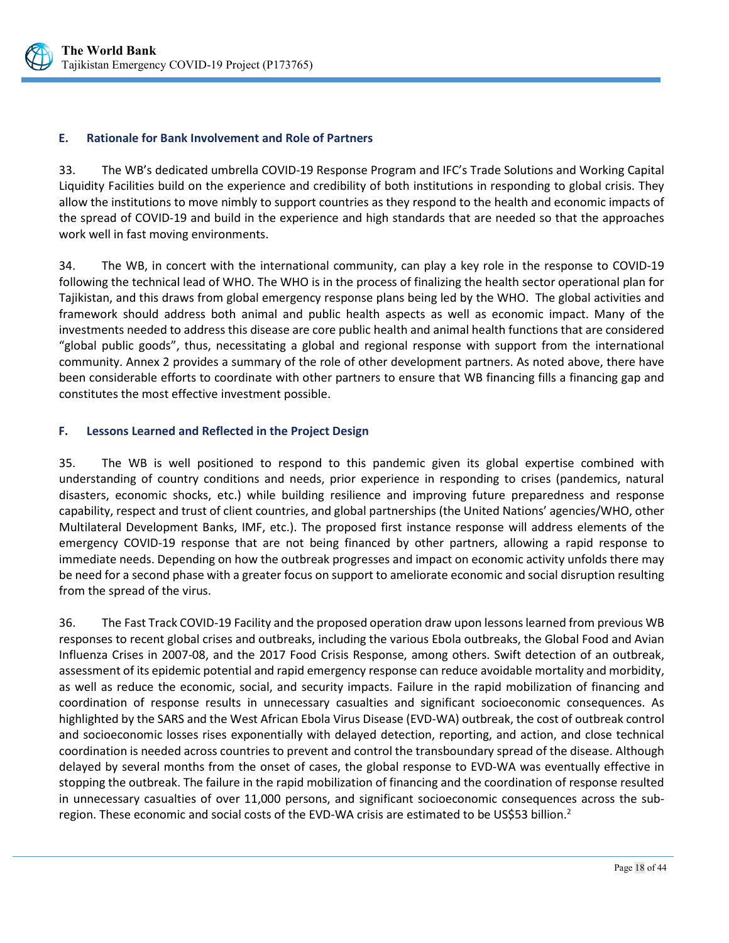

#### <span id="page-22-0"></span>**E. Rationale for Bank Involvement and Role of Partners**

33. The WB's dedicated umbrella COVID-19 Response Program and IFC's Trade Solutions and Working Capital Liquidity Facilities build on the experience and credibility of both institutions in responding to global crisis. They allow the institutions to move nimbly to support countries as they respond to the health and economic impacts of the spread of COVID-19 and build in the experience and high standards that are needed so that the approaches work well in fast moving environments.

34. The WB, in concert with the international community, can play a key role in the response to COVID-19 following the technical lead of WHO. The WHO is in the process of finalizing the health sector operational plan for Tajikistan, and this draws from global emergency response plans being led by the WHO. The global activities and framework should address both animal and public health aspects as well as economic impact. Many of the investments needed to address this disease are core public health and animal health functions that are considered "global public goods", thus, necessitating a global and regional response with support from the international community. Annex 2 provides a summary of the role of other development partners. As noted above, there have been considerable efforts to coordinate with other partners to ensure that WB financing fills a financing gap and constitutes the most effective investment possible.

#### <span id="page-22-1"></span>**F. Lessons Learned and Reflected in the Project Design**

35. The WB is well positioned to respond to this pandemic given its global expertise combined with understanding of country conditions and needs, prior experience in responding to crises (pandemics, natural disasters, economic shocks, etc.) while building resilience and improving future preparedness and response capability, respect and trust of client countries, and global partnerships (the United Nations' agencies/WHO, other Multilateral Development Banks, IMF, etc.). The proposed first instance response will address elements of the emergency COVID-19 response that are not being financed by other partners, allowing a rapid response to immediate needs. Depending on how the outbreak progresses and impact on economic activity unfolds there may be need for a second phase with a greater focus on support to ameliorate economic and social disruption resulting from the spread of the virus.

36. The Fast Track COVID-19 Facility and the proposed operation draw upon lessons learned from previous WB responses to recent global crises and outbreaks, including the various Ebola outbreaks, the Global Food and Avian Influenza Crises in 2007-08, and the 2017 Food Crisis Response, among others. Swift detection of an outbreak, assessment of its epidemic potential and rapid emergency response can reduce avoidable mortality and morbidity, as well as reduce the economic, social, and security impacts. Failure in the rapid mobilization of financing and coordination of response results in unnecessary casualties and significant socioeconomic consequences. As highlighted by the SARS and the West African Ebola Virus Disease (EVD-WA) outbreak, the cost of outbreak control and socioeconomic losses rises exponentially with delayed detection, reporting, and action, and close technical coordination is needed across countries to prevent and control the transboundary spread of the disease. Although delayed by several months from the onset of cases, the global response to EVD-WA was eventually effective in stopping the outbreak. The failure in the rapid mobilization of financing and the coordination of response resulted in unnecessary casualties of over 11,000 persons, and significant socioeconomic consequences across the subregion. These economic and social costs of the EVD-WA crisis are estimated to be US\$53 billion.<sup>2</sup>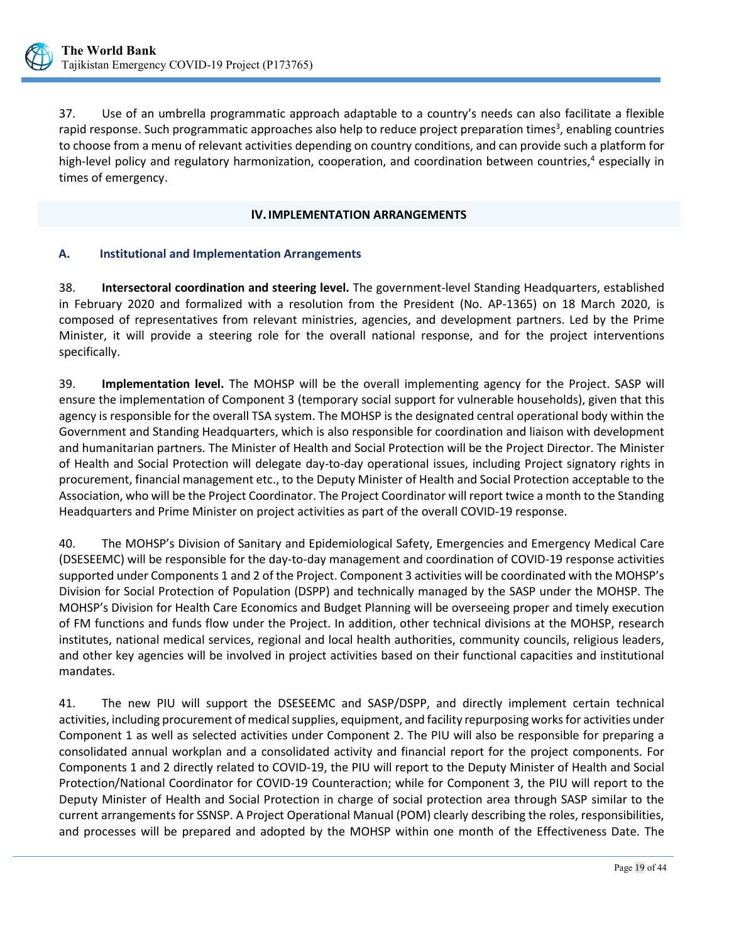

37. Use of an umbrella programmatic approach adaptable to a country's needs can also facilitate a flexible rapid response. Such programmatic approaches also help to reduce project preparation times<sup>3</sup>, enabling countries to choose from a menu of relevant activities depending on country conditions, and can provide such a platform for high-level policy and regulatory harmonization, cooperation, and coordination between countries,<sup>4</sup> especially in times of emergency.

#### **IV.IMPLEMENTATION ARRANGEMENTS**

#### <span id="page-23-1"></span><span id="page-23-0"></span>**A. Institutional and Implementation Arrangements**

38. **Intersectoral coordination and steering level.** The government-level Standing Headquarters, established in February 2020 and formalized with a resolution from the President (No. AP-1365) on 18 March 2020, is composed of representatives from relevant ministries, agencies, and development partners. Led by the Prime Minister, it will provide a steering role for the overall national response, and for the project interventions specifically.

39. **Implementation level.** The MOHSP will be the overall implementing agency for the Project. SASP will ensure the implementation of Component 3 (temporary social support for vulnerable households), given that this agency is responsible for the overall TSA system. The MOHSP is the designated central operational body within the Government and Standing Headquarters, which is also responsible for coordination and liaison with development and humanitarian partners. The Minister of Health and Social Protection will be the Project Director. The Minister of Health and Social Protection will delegate day-to-day operational issues, including Project signatory rights in procurement, financial management etc., to the Deputy Minister of Health and Social Protection acceptable to the Association, who will be the Project Coordinator. The Project Coordinator will report twice a month to the Standing Headquarters and Prime Minister on project activities as part of the overall COVID-19 response.

40. The MOHSP's Division of Sanitary and Epidemiological Safety, Emergencies and Emergency Medical Care (DSESEEMC) will be responsible for the day-to-day management and coordination of COVID-19 response activities supported under Components 1 and 2 of the Project. Component 3 activities will be coordinated with the MOHSP's Division for Social Protection of Population (DSPP) and technically managed by the SASP under the MOHSP. The MOHSP's Division for Health Care Economics and Budget Planning will be overseeing proper and timely execution of FM functions and funds flow under the Project. In addition, other technical divisions at the MOHSP, research institutes, national medical services, regional and local health authorities, community councils, religious leaders, and other key agencies will be involved in project activities based on their functional capacities and institutional mandates.

41. The new PIU will support the DSESEEMC and SASP/DSPP, and directly implement certain technical activities, including procurement of medical supplies, equipment, and facility repurposing works for activities under Component 1 as well as selected activities under Component 2. The PIU will also be responsible for preparing a consolidated annual workplan and a consolidated activity and financial report for the project components. For Components 1 and 2 directly related to COVID-19, the PIU will report to the Deputy Minister of Health and Social Protection/National Coordinator for COVID-19 Counteraction; while for Component 3, the PIU will report to the Deputy Minister of Health and Social Protection in charge of social protection area through SASP similar to the current arrangements for SSNSP. A Project Operational Manual (POM) clearly describing the roles, responsibilities, and processes will be prepared and adopted by the MOHSP within one month of the Effectiveness Date. The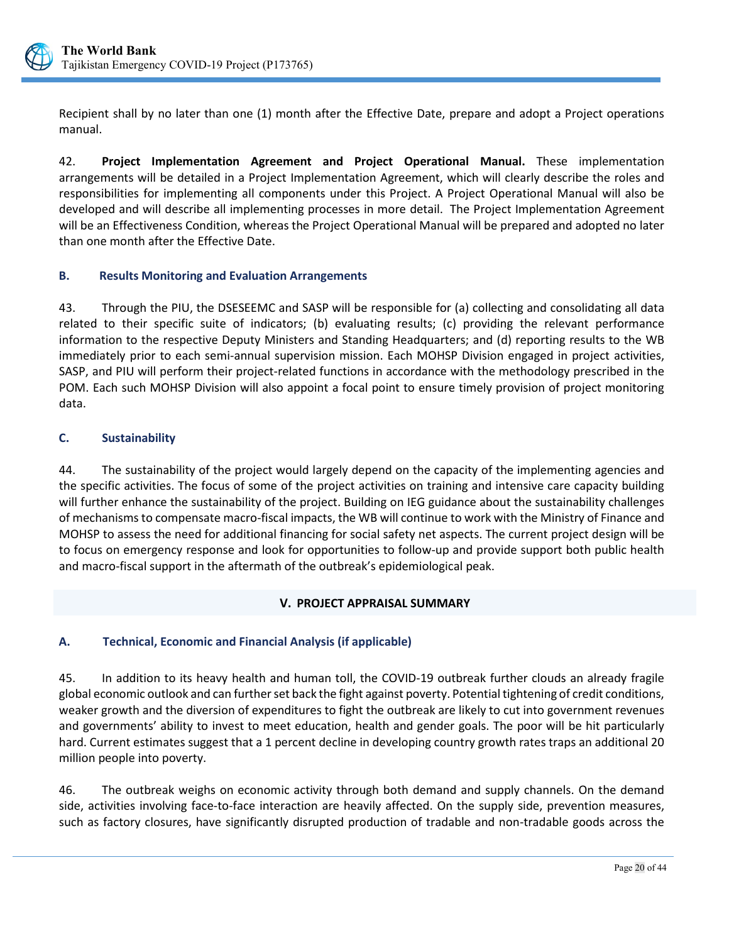

Recipient shall by no later than one (1) month after the Effective Date, prepare and adopt a Project operations manual.

42. **Project Implementation Agreement and Project Operational Manual.** These implementation arrangements will be detailed in a Project Implementation Agreement, which will clearly describe the roles and responsibilities for implementing all components under this Project. A Project Operational Manual will also be developed and will describe all implementing processes in more detail. The Project Implementation Agreement will be an Effectiveness Condition, whereas the Project Operational Manual will be prepared and adopted no later than one month after the Effective Date.

## <span id="page-24-0"></span>**B. Results Monitoring and Evaluation Arrangements**

43. Through the PIU, the DSESEEMC and SASP will be responsible for (a) collecting and consolidating all data related to their specific suite of indicators; (b) evaluating results; (c) providing the relevant performance information to the respective Deputy Ministers and Standing Headquarters; and (d) reporting results to the WB immediately prior to each semi-annual supervision mission. Each MOHSP Division engaged in project activities, SASP, and PIU will perform their project-related functions in accordance with the methodology prescribed in the POM. Each such MOHSP Division will also appoint a focal point to ensure timely provision of project monitoring data.

## <span id="page-24-1"></span>**C. Sustainability**

44. The sustainability of the project would largely depend on the capacity of the implementing agencies and the specific activities. The focus of some of the project activities on training and intensive care capacity building will further enhance the sustainability of the project. Building on IEG guidance about the sustainability challenges of mechanisms to compensate macro-fiscal impacts, the WB will continue to work with the Ministry of Finance and MOHSP to assess the need for additional financing for social safety net aspects. The current project design will be to focus on emergency response and look for opportunities to follow-up and provide support both public health and macro-fiscal support in the aftermath of the outbreak's epidemiological peak.

## **V. PROJECT APPRAISAL SUMMARY**

## <span id="page-24-3"></span><span id="page-24-2"></span>**A. Technical, Economic and Financial Analysis (if applicable)**

45. In addition to its heavy health and human toll, the COVID-19 outbreak further clouds an already fragile global economic outlook and can further set back the fight against poverty. Potential tightening of credit conditions, weaker growth and the diversion of expenditures to fight the outbreak are likely to cut into government revenues and governments' ability to invest to meet education, health and gender goals. The poor will be hit particularly hard. Current estimates suggest that a 1 percent decline in developing country growth rates traps an additional 20 million people into poverty.

46. The outbreak weighs on economic activity through both demand and supply channels. On the demand side, activities involving face-to-face interaction are heavily affected. On the supply side, prevention measures, such as factory closures, have significantly disrupted production of tradable and non-tradable goods across the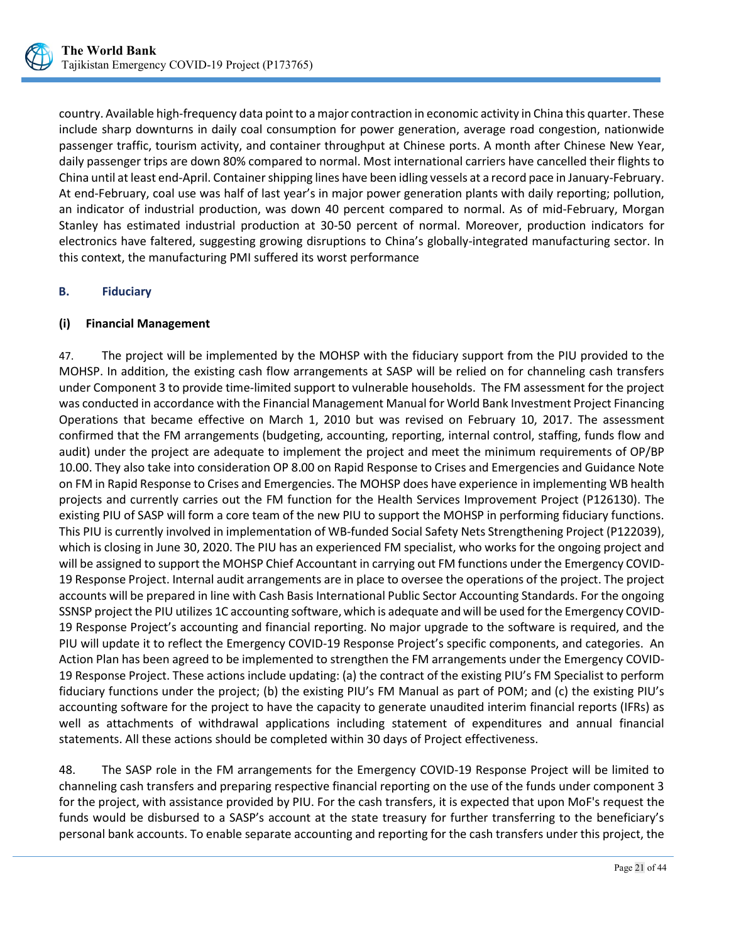

country. Available high-frequency data point to a major contraction in economic activity in China this quarter. These include sharp downturns in daily coal consumption for power generation, average road congestion, nationwide passenger traffic, tourism activity, and container throughput at Chinese ports. A month after Chinese New Year, daily passenger trips are down 80% compared to normal. Most international carriers have cancelled their flights to China until at least end-April. Container shipping lines have been idling vessels at a record pace in January-February. At end-February, coal use was half of last year's in major power generation plants with daily reporting; pollution, an indicator of industrial production, was down 40 percent compared to normal. As of mid-February, Morgan Stanley has estimated industrial production at 30-50 percent of normal. Moreover, production indicators for electronics have faltered, suggesting growing disruptions to China's globally-integrated manufacturing sector. In this context, the manufacturing PMI suffered its worst performance

## <span id="page-25-0"></span>**B. Fiduciary**

## **(i) Financial Management**

47. The project will be implemented by the MOHSP with the fiduciary support from the PIU provided to the MOHSP. In addition, the existing cash flow arrangements at SASP will be relied on for channeling cash transfers under Component 3 to provide time-limited support to vulnerable households. The FM assessment for the project was conducted in accordance with the Financial Management Manual for World Bank Investment Project Financing Operations that became effective on March 1, 2010 but was revised on February 10, 2017. The assessment confirmed that the FM arrangements (budgeting, accounting, reporting, internal control, staffing, funds flow and audit) under the project are adequate to implement the project and meet the minimum requirements of OP/BP 10.00. They also take into consideration OP 8.00 on Rapid Response to Crises and Emergencies and Guidance Note on FM in Rapid Response to Crises and Emergencies. The MOHSP does have experience in implementing WB health projects and currently carries out the FM function for the Health Services Improvement Project (P126130). The existing PIU of SASP will form a core team of the new PIU to support the MOHSP in performing fiduciary functions. This PIU is currently involved in implementation of WB-funded Social Safety Nets Strengthening Project (P122039), which is closing in June 30, 2020. The PIU has an experienced FM specialist, who works for the ongoing project and will be assigned to support the MOHSP Chief Accountant in carrying out FM functions under the Emergency COVID-19 Response Project. Internal audit arrangements are in place to oversee the operations of the project. The project accounts will be prepared in line with Cash Basis International Public Sector Accounting Standards. For the ongoing SSNSP project the PIU utilizes 1C accounting software, which is adequate and will be used for the Emergency COVID-19 Response Project's accounting and financial reporting. No major upgrade to the software is required, and the PIU will update it to reflect the Emergency COVID-19 Response Project's specific components, and categories. An Action Plan has been agreed to be implemented to strengthen the FM arrangements under the Emergency COVID-19 Response Project. These actions include updating: (a) the contract of the existing PIU's FM Specialist to perform fiduciary functions under the project; (b) the existing PIU's FM Manual as part of POM; and (c) the existing PIU's accounting software for the project to have the capacity to generate unaudited interim financial reports (IFRs) as well as attachments of withdrawal applications including statement of expenditures and annual financial statements. All these actions should be completed within 30 days of Project effectiveness.

48. The SASP role in the FM arrangements for the Emergency COVID-19 Response Project will be limited to channeling cash transfers and preparing respective financial reporting on the use of the funds under component 3 for the project, with assistance provided by PIU. For the cash transfers, it is expected that upon MoF's request the funds would be disbursed to a SASP's account at the state treasury for further transferring to the beneficiary's personal bank accounts. To enable separate accounting and reporting for the cash transfers under this project, the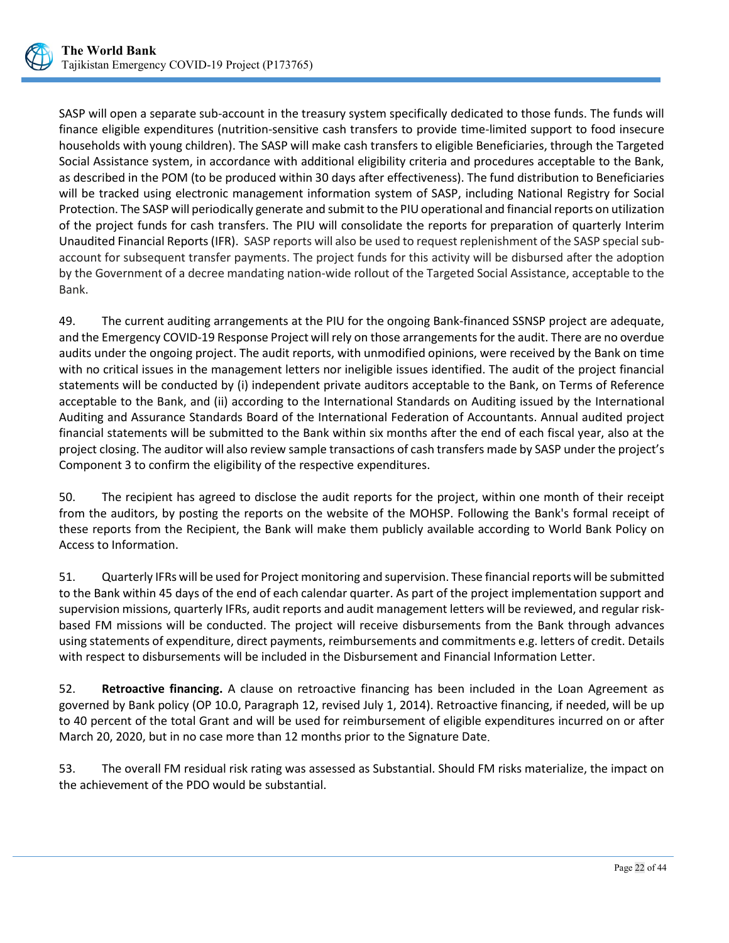

SASP will open a separate sub-account in the treasury system specifically dedicated to those funds. The funds will finance eligible expenditures (nutrition-sensitive cash transfers to provide time-limited support to food insecure households with young children). The SASP will make cash transfers to eligible Beneficiaries, through the Targeted Social Assistance system, in accordance with additional eligibility criteria and procedures acceptable to the Bank, as described in the POM (to be produced within 30 days after effectiveness). The fund distribution to Beneficiaries will be tracked using electronic management information system of SASP, including National Registry for Social Protection. The SASP will periodically generate and submit to the PIU operational and financial reports on utilization of the project funds for cash transfers. The PIU will consolidate the reports for preparation of quarterly Interim Unaudited Financial Reports (IFR). SASP reports will also be used to request replenishment of the SASP special subaccount for subsequent transfer payments. The project funds for this activity will be disbursed after the adoption by the Government of a decree mandating nation-wide rollout of the Targeted Social Assistance, acceptable to the Bank.

49. The current auditing arrangements at the PIU for the ongoing Bank-financed SSNSP project are adequate, and the Emergency COVID-19 Response Project will rely on those arrangements for the audit. There are no overdue audits under the ongoing project. The audit reports, with unmodified opinions, were received by the Bank on time with no critical issues in the management letters nor ineligible issues identified. The audit of the project financial statements will be conducted by (i) independent private auditors acceptable to the Bank, on Terms of Reference acceptable to the Bank, and (ii) according to the International Standards on Auditing issued by the International Auditing and Assurance Standards Board of the International Federation of Accountants. Annual audited project financial statements will be submitted to the Bank within six months after the end of each fiscal year, also at the project closing. The auditor will also review sample transactions of cash transfers made by SASP under the project's Component 3 to confirm the eligibility of the respective expenditures.

50. The recipient has agreed to disclose the audit reports for the project, within one month of their receipt from the auditors, by posting the reports on the website of the MOHSP. Following the Bank's formal receipt of these reports from the Recipient, the Bank will make them publicly available according to World Bank Policy on Access to Information.

51. Quarterly IFRs will be used for Project monitoring and supervision. These financial reports will be submitted to the Bank within 45 days of the end of each calendar quarter. As part of the project implementation support and supervision missions, quarterly IFRs, audit reports and audit management letters will be reviewed, and regular riskbased FM missions will be conducted. The project will receive disbursements from the Bank through advances using statements of expenditure, direct payments, reimbursements and commitments e.g. letters of credit. Details with respect to disbursements will be included in the Disbursement and Financial Information Letter.

52. **Retroactive financing.** A clause on retroactive financing has been included in the Loan Agreement as governed by Bank policy (OP 10.0, Paragraph 12, revised July 1, 2014). Retroactive financing, if needed, will be up to 40 percent of the total Grant and will be used for reimbursement of eligible expenditures incurred on or after March 20, 2020, but in no case more than 12 months prior to the Signature Date.

53. The overall FM residual risk rating was assessed as Substantial. Should FM risks materialize, the impact on the achievement of the PDO would be substantial.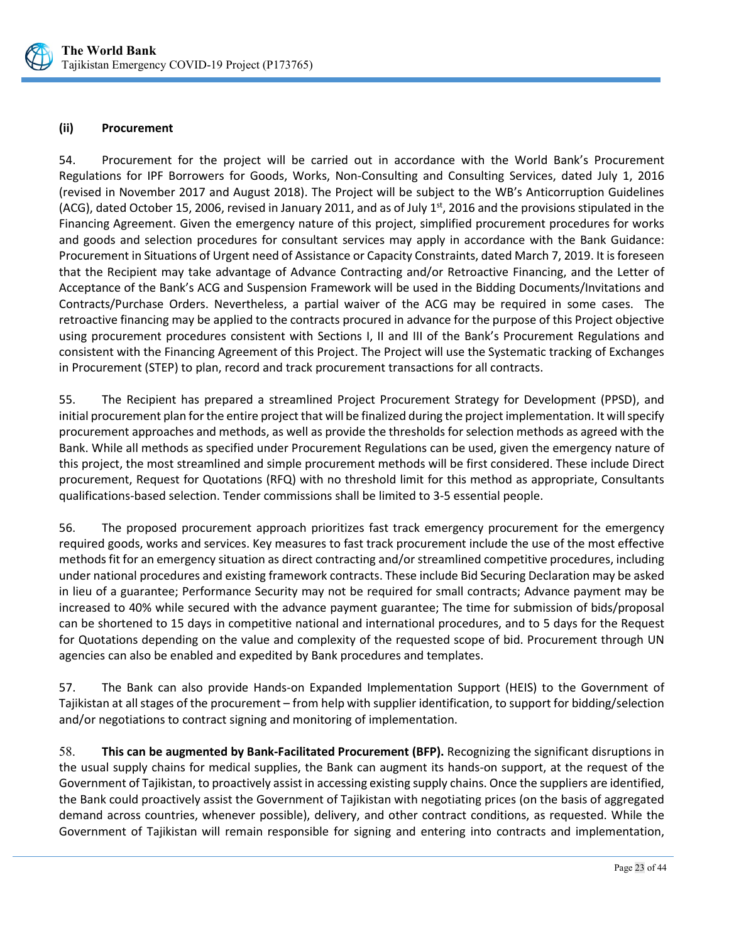

#### **(ii) Procurement**

54. Procurement for the project will be carried out in accordance with the World Bank's Procurement Regulations for IPF Borrowers for Goods, Works, Non-Consulting and Consulting Services, dated July 1, 2016 (revised in November 2017 and August 2018). The Project will be subject to the WB's Anticorruption Guidelines (ACG), dated October 15, 2006, revised in January 2011, and as of July 1st, 2016 and the provisions stipulated in the Financing Agreement. Given the emergency nature of this project, simplified procurement procedures for works and goods and selection procedures for consultant services may apply in accordance with the Bank Guidance: Procurement in Situations of Urgent need of Assistance or Capacity Constraints, dated March 7, 2019. It is foreseen that the Recipient may take advantage of Advance Contracting and/or Retroactive Financing, and the Letter of Acceptance of the Bank's ACG and Suspension Framework will be used in the Bidding Documents/Invitations and Contracts/Purchase Orders. Nevertheless, a partial waiver of the ACG may be required in some cases. The retroactive financing may be applied to the contracts procured in advance for the purpose of this Project objective using procurement procedures consistent with Sections I, II and III of the Bank's Procurement Regulations and consistent with the Financing Agreement of this Project. The Project will use the Systematic tracking of Exchanges in Procurement (STEP) to plan, record and track procurement transactions for all contracts.

55. The Recipient has prepared a streamlined Project Procurement Strategy for Development (PPSD), and initial procurement plan for the entire project that will be finalized during the project implementation. It will specify procurement approaches and methods, as well as provide the thresholds for selection methods as agreed with the Bank. While all methods as specified under Procurement Regulations can be used, given the emergency nature of this project, the most streamlined and simple procurement methods will be first considered. These include Direct procurement, Request for Quotations (RFQ) with no threshold limit for this method as appropriate, Consultants qualifications-based selection. Tender commissions shall be limited to 3-5 essential people.

56. The proposed procurement approach prioritizes fast track emergency procurement for the emergency required goods, works and services. Key measures to fast track procurement include the use of the most effective methods fit for an emergency situation as direct contracting and/or streamlined competitive procedures, including under national procedures and existing framework contracts. These include Bid Securing Declaration may be asked in lieu of a guarantee; Performance Security may not be required for small contracts; Advance payment may be increased to 40% while secured with the advance payment guarantee; The time for submission of bids/proposal can be shortened to 15 days in competitive national and international procedures, and to 5 days for the Request for Quotations depending on the value and complexity of the requested scope of bid. Procurement through UN agencies can also be enabled and expedited by Bank procedures and templates.

57. The Bank can also provide Hands-on Expanded Implementation Support (HEIS) to the Government of Tajikistan at all stages of the procurement – from help with supplier identification, to support for bidding/selection and/or negotiations to contract signing and monitoring of implementation.

58. **This can be augmented by Bank-Facilitated Procurement (BFP).** Recognizing the significant disruptions in the usual supply chains for medical supplies, the Bank can augment its hands-on support, at the request of the Government of Tajikistan, to proactively assist in accessing existing supply chains. Once the suppliers are identified, the Bank could proactively assist the Government of Tajikistan with negotiating prices (on the basis of aggregated demand across countries, whenever possible), delivery, and other contract conditions, as requested. While the Government of Tajikistan will remain responsible for signing and entering into contracts and implementation,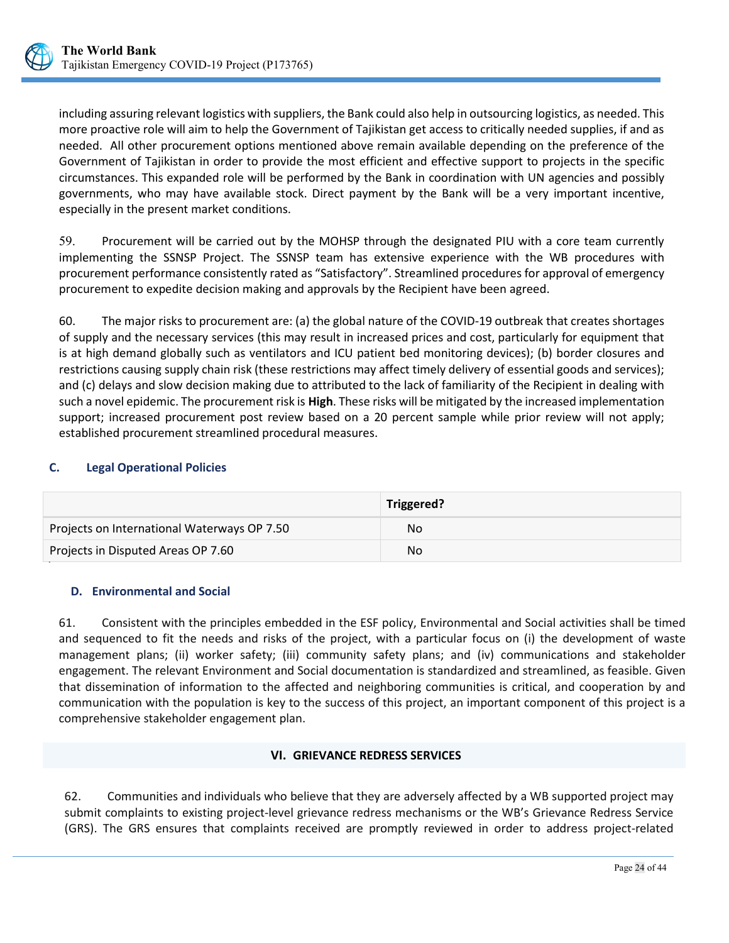

including assuring relevant logistics with suppliers, the Bank could also help in outsourcing logistics, as needed. This more proactive role will aim to help the Government of Tajikistan get access to critically needed supplies, if and as needed. All other procurement options mentioned above remain available depending on the preference of the Government of Tajikistan in order to provide the most efficient and effective support to projects in the specific circumstances. This expanded role will be performed by the Bank in coordination with UN agencies and possibly governments, who may have available stock. Direct payment by the Bank will be a very important incentive, especially in the present market conditions.

59. Procurement will be carried out by the MOHSP through the designated PIU with a core team currently implementing the SSNSP Project. The SSNSP team has extensive experience with the WB procedures with procurement performance consistently rated as "Satisfactory". Streamlined procedures for approval of emergency procurement to expedite decision making and approvals by the Recipient have been agreed.

60. The major risks to procurement are: (a) the global nature of the COVID-19 outbreak that creates shortages of supply and the necessary services (this may result in increased prices and cost, particularly for equipment that is at high demand globally such as ventilators and ICU patient bed monitoring devices); (b) border closures and restrictions causing supply chain risk (these restrictions may affect timely delivery of essential goods and services); and (c) delays and slow decision making due to attributed to the lack of familiarity of the Recipient in dealing with such a novel epidemic. The procurement risk is **High**. These risks will be mitigated by the increased implementation support; increased procurement post review based on a 20 percent sample while prior review will not apply; established procurement streamlined procedural measures.

## <span id="page-28-0"></span>**C. Legal Operational Policies** . .

|                                             | Triggered? |
|---------------------------------------------|------------|
| Projects on International Waterways OP 7.50 | No         |
| Projects in Disputed Areas OP 7.60          | No         |

## <span id="page-28-1"></span>**D. Environmental and Social**

61. Consistent with the principles embedded in the ESF policy, Environmental and Social activities shall be timed and sequenced to fit the needs and risks of the project, with a particular focus on (i) the development of waste management plans; (ii) worker safety; (iii) community safety plans; and (iv) communications and stakeholder engagement. The relevant Environment and Social documentation is standardized and streamlined, as feasible. Given that dissemination of information to the affected and neighboring communities is critical, and cooperation by and communication with the population is key to the success of this project, an important component of this project is a comprehensive stakeholder engagement plan.

## **VI. GRIEVANCE REDRESS SERVICES**

<span id="page-28-2"></span>62. Communities and individuals who believe that they are adversely affected by a WB supported project may submit complaints to existing project-level grievance redress mechanisms or the WB's Grievance Redress Service (GRS). The GRS ensures that complaints received are promptly reviewed in order to address project-related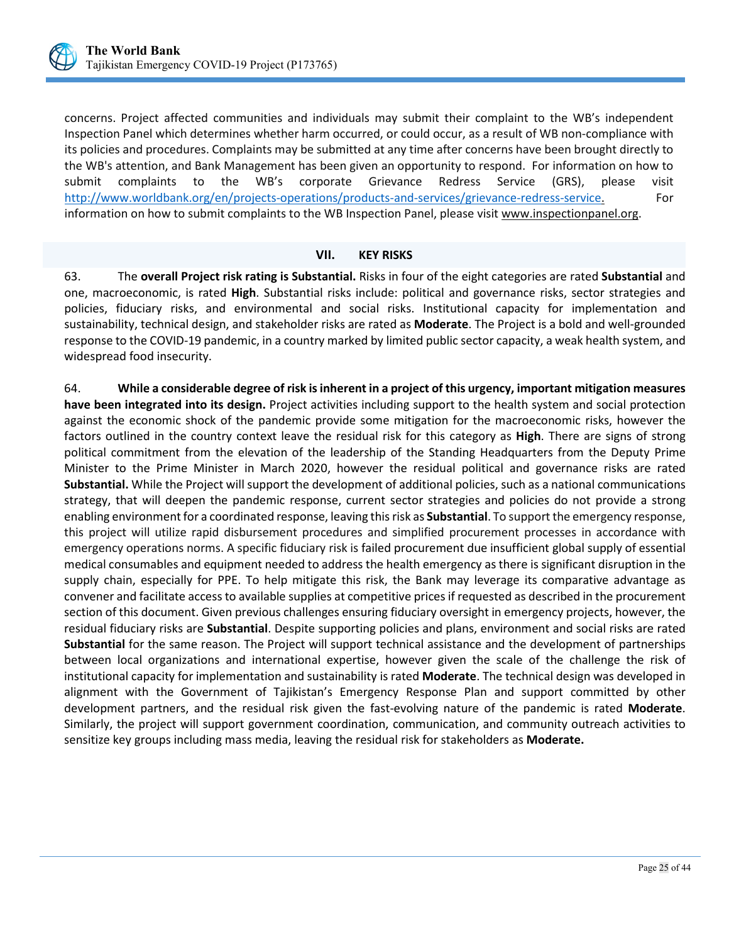

concerns. Project affected communities and individuals may submit their complaint to the WB's independent Inspection Panel which determines whether harm occurred, or could occur, as a result of WB non-compliance with its policies and procedures. Complaints may be submitted at any time after concerns have been brought directly to the WB's attention, and Bank Management has been given an opportunity to respond. For information on how to submit complaints to the WB's corporate Grievance Redress Service (GRS), please visit [http://www.worldbank.org/en/projects-operations/products-and-services/grievance-redress-service.](http://www.worldbank.org/en/projects-operations/products-and-services/grievance-redress-service) For information on how to submit complaints to the WB Inspection Panel, please visit [www.inspectionpanel.org.](http://www.inspectionpanel.org/)

<span id="page-29-0"></span>**VII. KEY RISKS**<br>The **overall Project risk rating is Substantial.** Risks in four of the eight categories are rated **Substantial** and one, macroeconomic, is rated **High**. Substantial risks include: political and governance risks, sector strategies and policies, fiduciary risks, and environmental and social risks. Institutional capacity for implementation and sustainability, technical design, and stakeholder risks are rated as **Moderate**. The Project is a bold and well-grounded response to the COVID-19 pandemic, in a country marked by limited public sector capacity, a weak health system, and widespread food insecurity.

64. **While a considerable degree of risk is inherent in a project of this urgency, important mitigation measures have been integrated into its design.** Project activities including support to the health system and social protection against the economic shock of the pandemic provide some mitigation for the macroeconomic risks, however the factors outlined in the country context leave the residual risk for this category as **High**. There are signs of strong political commitment from the elevation of the leadership of the Standing Headquarters from the Deputy Prime Minister to the Prime Minister in March 2020, however the residual political and governance risks are rated **Substantial.** While the Project will support the development of additional policies, such as a national communications strategy, that will deepen the pandemic response, current sector strategies and policies do not provide a strong enabling environment for a coordinated response, leaving this risk as **Substantial**. To support the emergency response, this project will utilize rapid disbursement procedures and simplified procurement processes in accordance with emergency operations norms. A specific fiduciary risk is failed procurement due insufficient global supply of essential medical consumables and equipment needed to address the health emergency as there is significant disruption in the supply chain, especially for PPE. To help mitigate this risk, the Bank may leverage its comparative advantage as convener and facilitate access to available supplies at competitive prices if requested as described in the procurement section of this document. Given previous challenges ensuring fiduciary oversight in emergency projects, however, the residual fiduciary risks are **Substantial**. Despite supporting policies and plans, environment and social risks are rated **Substantial** for the same reason. The Project will support technical assistance and the development of partnerships between local organizations and international expertise, however given the scale of the challenge the risk of institutional capacity for implementation and sustainability is rated **Moderate**. The technical design was developed in alignment with the Government of Tajikistan's Emergency Response Plan and support committed by other development partners, and the residual risk given the fast-evolving nature of the pandemic is rated **Moderate**. Similarly, the project will support government coordination, communication, and community outreach activities to sensitize key groups including mass media, leaving the residual risk for stakeholders as **Moderate.**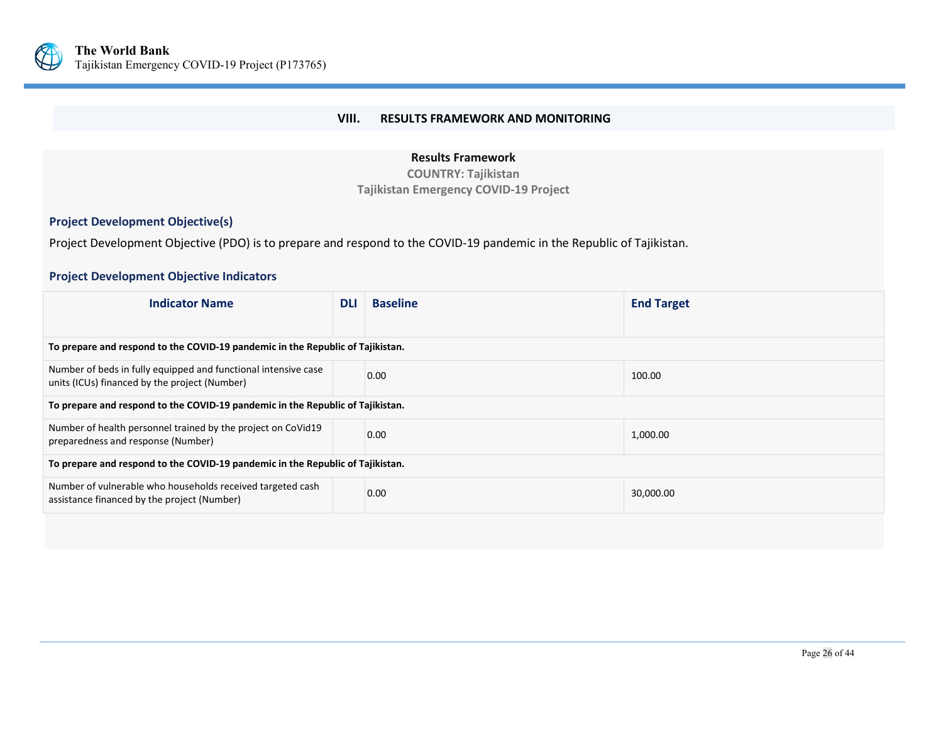

## **VIII. RESULTS FRAMEWORK AND MONITORING**

## **Results Framework**

**COUNTRY: Tajikistan Tajikistan Emergency COVID-19 Project**

## **Project Development Objective(s)**

Project Development Objective (PDO) is to prepare and respond to the COVID-19 pandemic in the Republic of Tajikistan.

## **Project Development Objective Indicators**

<span id="page-30-0"></span>

| <b>Indicator Name</b>                                                                                           |  | <b>Baseline</b> | <b>End Target</b> |  |  |  |
|-----------------------------------------------------------------------------------------------------------------|--|-----------------|-------------------|--|--|--|
|                                                                                                                 |  |                 |                   |  |  |  |
| To prepare and respond to the COVID-19 pandemic in the Republic of Tajikistan.                                  |  |                 |                   |  |  |  |
| Number of beds in fully equipped and functional intensive case<br>units (ICUs) financed by the project (Number) |  | 0.00            | 100.00            |  |  |  |
| To prepare and respond to the COVID-19 pandemic in the Republic of Tajikistan.                                  |  |                 |                   |  |  |  |
| Number of health personnel trained by the project on CoVid19<br>preparedness and response (Number)              |  | 0.00            | 1,000.00          |  |  |  |
| To prepare and respond to the COVID-19 pandemic in the Republic of Tajikistan.                                  |  |                 |                   |  |  |  |
| Number of vulnerable who households received targeted cash<br>assistance financed by the project (Number)       |  | 0.00            | 30,000.00         |  |  |  |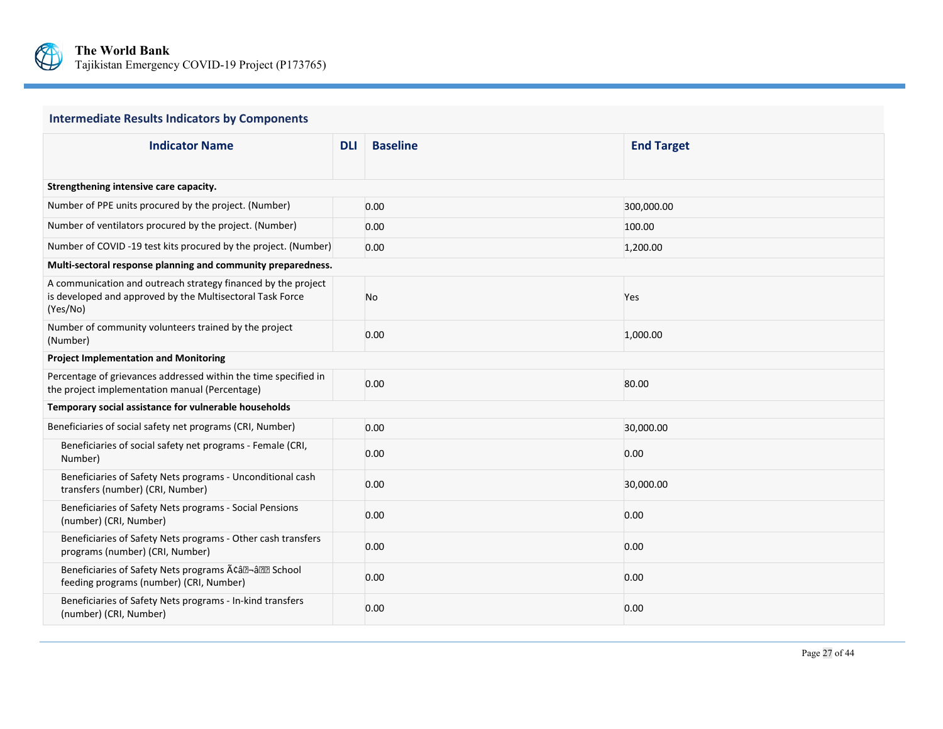

# **Intermediate Results Indicators by Components**

| <b>Indicator Name</b>                                                                                                                  |  | <b>Baseline</b> | <b>End Target</b> |  |  |  |  |
|----------------------------------------------------------------------------------------------------------------------------------------|--|-----------------|-------------------|--|--|--|--|
|                                                                                                                                        |  |                 |                   |  |  |  |  |
| Strengthening intensive care capacity.                                                                                                 |  |                 |                   |  |  |  |  |
| Number of PPE units procured by the project. (Number)                                                                                  |  | 0.00            | 300,000.00        |  |  |  |  |
| Number of ventilators procured by the project. (Number)                                                                                |  | 0.00            | 100.00            |  |  |  |  |
| Number of COVID -19 test kits procured by the project. (Number)                                                                        |  | 0.00            | 1,200.00          |  |  |  |  |
| Multi-sectoral response planning and community preparedness.                                                                           |  |                 |                   |  |  |  |  |
| A communication and outreach strategy financed by the project<br>is developed and approved by the Multisectoral Task Force<br>(Yes/No) |  | No              | Yes               |  |  |  |  |
| Number of community volunteers trained by the project<br>(Number)                                                                      |  | 0.00            | 1,000.00          |  |  |  |  |
| <b>Project Implementation and Monitoring</b>                                                                                           |  |                 |                   |  |  |  |  |
| Percentage of grievances addressed within the time specified in<br>the project implementation manual (Percentage)                      |  | 0.00            | 80.00             |  |  |  |  |
| Temporary social assistance for vulnerable households                                                                                  |  |                 |                   |  |  |  |  |
| Beneficiaries of social safety net programs (CRI, Number)                                                                              |  | 0.00            | 30,000.00         |  |  |  |  |
| Beneficiaries of social safety net programs - Female (CRI,<br>Number)                                                                  |  | 0.00            | 0.00              |  |  |  |  |
| Beneficiaries of Safety Nets programs - Unconditional cash<br>transfers (number) (CRI, Number)                                         |  | 0.00            | 30,000.00         |  |  |  |  |
| Beneficiaries of Safety Nets programs - Social Pensions<br>(number) (CRI, Number)                                                      |  | 0.00            | 0.00              |  |  |  |  |
| Beneficiaries of Safety Nets programs - Other cash transfers<br>programs (number) (CRI, Number)                                        |  | 0.00            | 0.00              |  |  |  |  |
| Beneficiaries of Safety Nets programs A¢â®-â®® School<br>feeding programs (number) (CRI, Number)                                       |  | 0.00            | 0.00              |  |  |  |  |
| Beneficiaries of Safety Nets programs - In-kind transfers<br>(number) (CRI, Number)                                                    |  | 0.00            | 0.00              |  |  |  |  |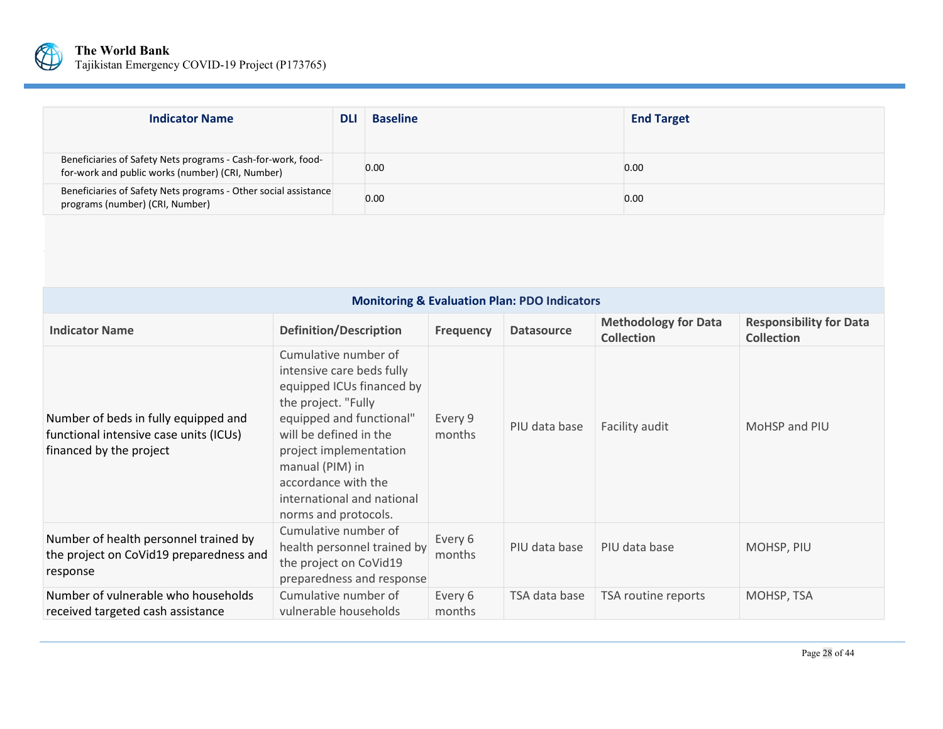

| <b>Indicator Name</b>                                                                                            | <b>DL</b> | <b>Baseline</b> | <b>End Target</b> |
|------------------------------------------------------------------------------------------------------------------|-----------|-----------------|-------------------|
| Beneficiaries of Safety Nets programs - Cash-for-work, food-<br>for-work and public works (number) (CRI, Number) |           | 0.00            | 0.00              |
| Beneficiaries of Safety Nets programs - Other social assistance<br>programs (number) (CRI, Number)               |           | 0.00            | 0.00              |

| <b>Monitoring &amp; Evaluation Plan: PDO Indicators</b>                                                   |                                                                                                                                                                                                                                                                                       |                   |                   |                                                  |                                                     |
|-----------------------------------------------------------------------------------------------------------|---------------------------------------------------------------------------------------------------------------------------------------------------------------------------------------------------------------------------------------------------------------------------------------|-------------------|-------------------|--------------------------------------------------|-----------------------------------------------------|
| <b>Indicator Name</b>                                                                                     | <b>Definition/Description</b>                                                                                                                                                                                                                                                         | <b>Frequency</b>  | <b>Datasource</b> | <b>Methodology for Data</b><br><b>Collection</b> | <b>Responsibility for Data</b><br><b>Collection</b> |
| Number of beds in fully equipped and<br>functional intensive case units (ICUs)<br>financed by the project | Cumulative number of<br>intensive care beds fully<br>equipped ICUs financed by<br>the project. "Fully<br>equipped and functional"<br>will be defined in the<br>project implementation<br>manual (PIM) in<br>accordance with the<br>international and national<br>norms and protocols. | Every 9<br>months | PIU data base     | Facility audit                                   | MoHSP and PIU                                       |
| Number of health personnel trained by<br>the project on CoVid19 preparedness and<br>response              | Cumulative number of<br>health personnel trained by<br>the project on CoVid19<br>preparedness and response                                                                                                                                                                            | Every 6<br>months | PIU data base     | PIU data base                                    | MOHSP, PIU                                          |
| Number of vulnerable who households<br>received targeted cash assistance                                  | Cumulative number of<br>vulnerable households                                                                                                                                                                                                                                         | Every 6<br>months | TSA data base     | TSA routine reports                              | MOHSP, TSA                                          |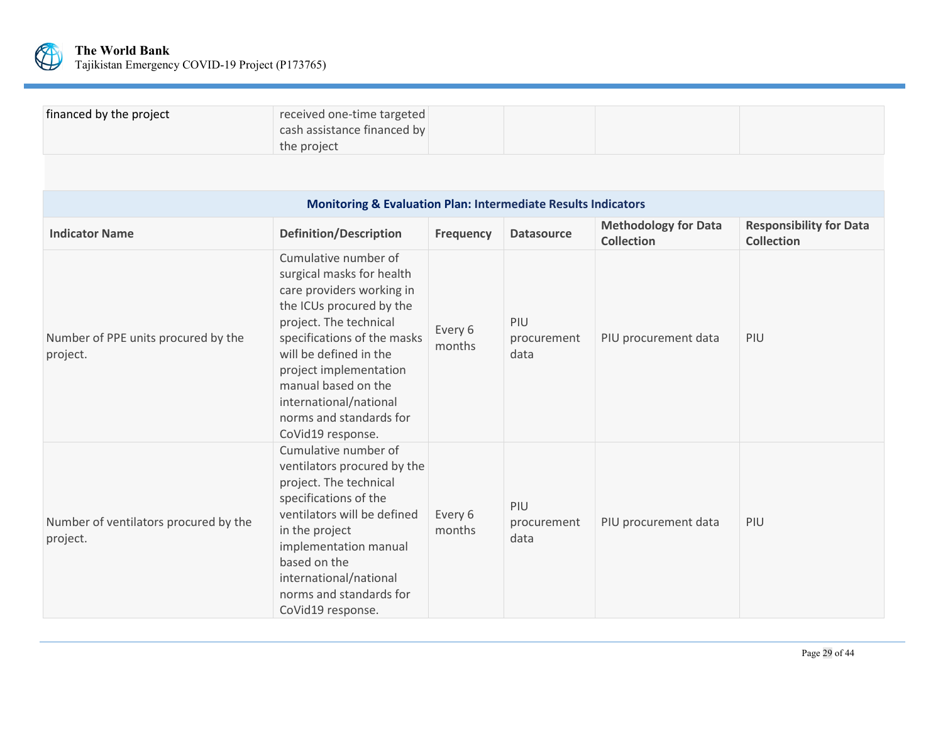

| financed by the project | received one-time targeted  |  |
|-------------------------|-----------------------------|--|
|                         | cash assistance financed by |  |
|                         | the project                 |  |

| <b>Monitoring &amp; Evaluation Plan: Intermediate Results Indicators</b> |                                                                                                                                                                                                                                                                                                                          |                   |                            |                                                  |                                                     |
|--------------------------------------------------------------------------|--------------------------------------------------------------------------------------------------------------------------------------------------------------------------------------------------------------------------------------------------------------------------------------------------------------------------|-------------------|----------------------------|--------------------------------------------------|-----------------------------------------------------|
| <b>Indicator Name</b>                                                    | <b>Definition/Description</b>                                                                                                                                                                                                                                                                                            | <b>Frequency</b>  | <b>Datasource</b>          | <b>Methodology for Data</b><br><b>Collection</b> | <b>Responsibility for Data</b><br><b>Collection</b> |
| Number of PPE units procured by the<br>project.                          | Cumulative number of<br>surgical masks for health<br>care providers working in<br>the ICUs procured by the<br>project. The technical<br>specifications of the masks<br>will be defined in the<br>project implementation<br>manual based on the<br>international/national<br>norms and standards for<br>CoVid19 response. | Every 6<br>months | PIU<br>procurement<br>data | PIU procurement data                             | PIU                                                 |
| Number of ventilators procured by the<br>project.                        | Cumulative number of<br>ventilators procured by the<br>project. The technical<br>specifications of the<br>ventilators will be defined<br>in the project<br>implementation manual<br>based on the<br>international/national<br>norms and standards for<br>CoVid19 response.                                               | Every 6<br>months | PIU<br>procurement<br>data | PIU procurement data                             | PIU                                                 |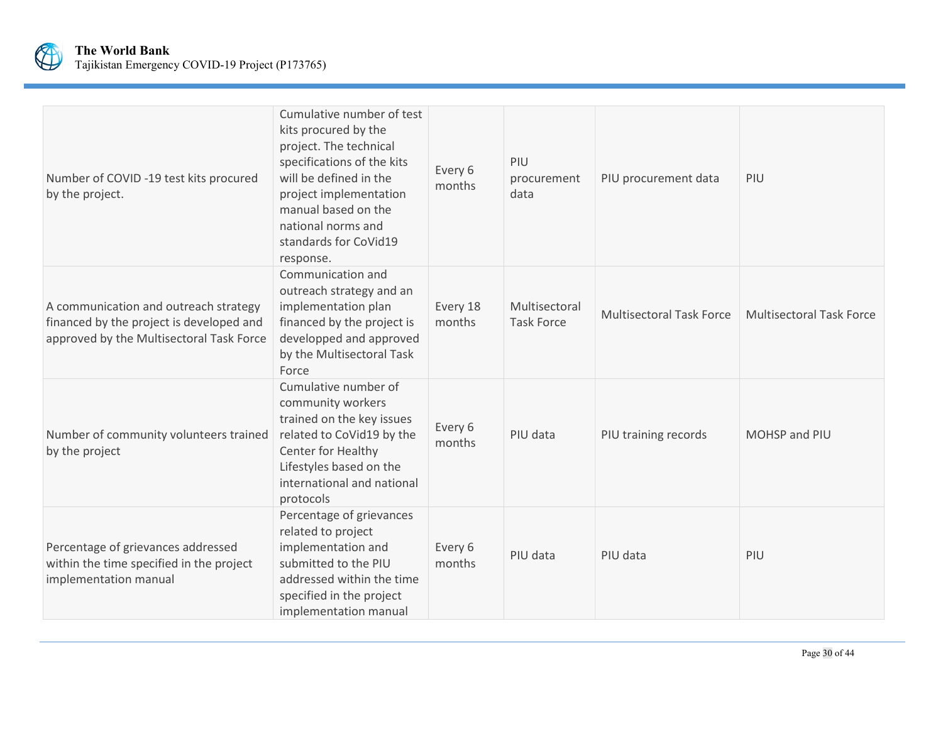

| Number of COVID -19 test kits procured<br>by the project.                                                                     | Cumulative number of test<br>kits procured by the<br>project. The technical<br>specifications of the kits<br>will be defined in the<br>project implementation<br>manual based on the<br>national norms and<br>standards for CoVid19<br>response. | Every 6<br>months  | PIU<br>procurement<br>data         | PIU procurement data            | PIU                             |
|-------------------------------------------------------------------------------------------------------------------------------|--------------------------------------------------------------------------------------------------------------------------------------------------------------------------------------------------------------------------------------------------|--------------------|------------------------------------|---------------------------------|---------------------------------|
| A communication and outreach strategy<br>financed by the project is developed and<br>approved by the Multisectoral Task Force | Communication and<br>outreach strategy and an<br>implementation plan<br>financed by the project is<br>developped and approved<br>by the Multisectoral Task<br>Force                                                                              | Every 18<br>months | Multisectoral<br><b>Task Force</b> | <b>Multisectoral Task Force</b> | <b>Multisectoral Task Force</b> |
| Number of community volunteers trained<br>by the project                                                                      | Cumulative number of<br>community workers<br>trained on the key issues<br>related to CoVid19 by the<br>Center for Healthy<br>Lifestyles based on the<br>international and national<br>protocols                                                  | Every 6<br>months  | PIU data                           | PIU training records            | MOHSP and PIU                   |
| Percentage of grievances addressed<br>within the time specified in the project<br>implementation manual                       | Percentage of grievances<br>related to project<br>implementation and<br>submitted to the PIU<br>addressed within the time<br>specified in the project<br>implementation manual                                                                   | Every 6<br>months  | PIU data                           | PIU data                        | PIU                             |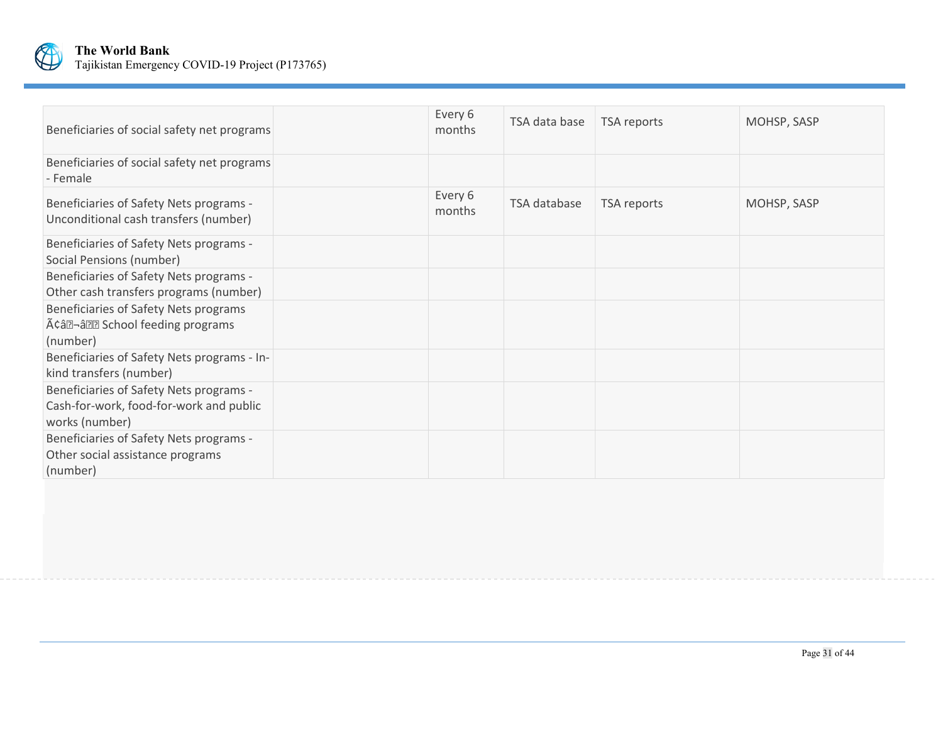

| Beneficiaries of social safety net programs                                                          | Every 6<br>months | TSA data base | TSA reports | MOHSP, SASP |
|------------------------------------------------------------------------------------------------------|-------------------|---------------|-------------|-------------|
| Beneficiaries of social safety net programs<br>- Female                                              |                   |               |             |             |
| Beneficiaries of Safety Nets programs -<br>Unconditional cash transfers (number)                     | Every 6<br>months | TSA database  | TSA reports | MOHSP, SASP |
| Beneficiaries of Safety Nets programs -<br>Social Pensions (number)                                  |                   |               |             |             |
| Beneficiaries of Safety Nets programs -<br>Other cash transfers programs (number)                    |                   |               |             |             |
| Beneficiaries of Safety Nets programs<br>Acal-all School feeding programs<br>(number)                |                   |               |             |             |
| Beneficiaries of Safety Nets programs - In-<br>kind transfers (number)                               |                   |               |             |             |
| Beneficiaries of Safety Nets programs -<br>Cash-for-work, food-for-work and public<br>works (number) |                   |               |             |             |
| Beneficiaries of Safety Nets programs -<br>Other social assistance programs<br>(number)              |                   |               |             |             |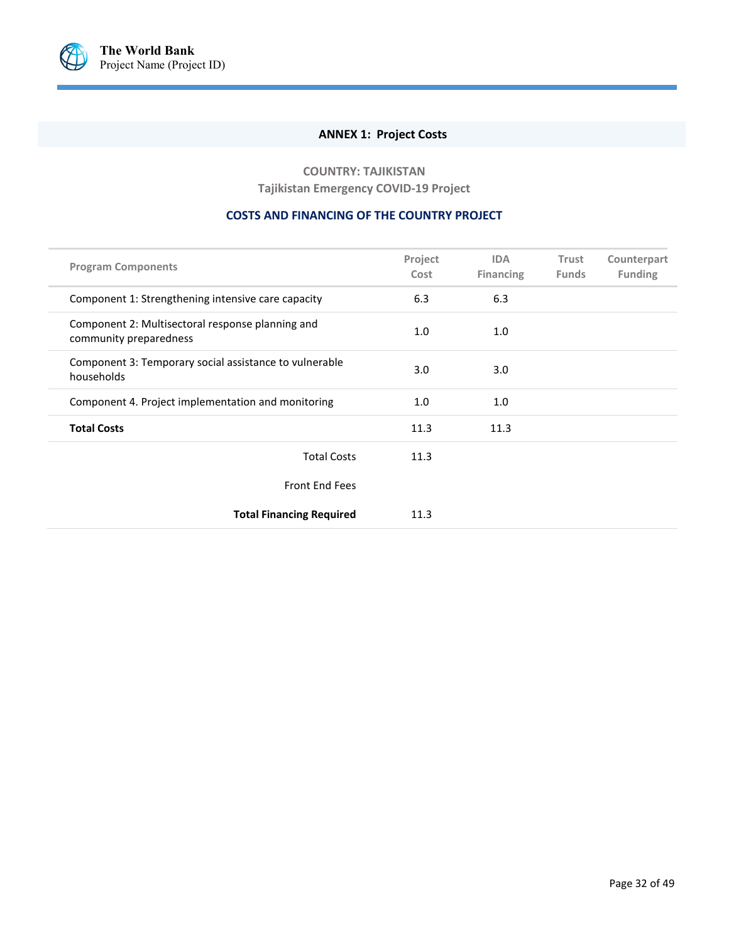<span id="page-36-0"></span>

# **ANNEX 1: Project Costs**

**COUNTRY: TAJIKISTAN Tajikistan Emergency COVID-19 Project**

#### **COSTS AND FINANCING OF THE COUNTRY PROJECT**

| <b>Program Components</b>                                                  | Project<br>Cost | <b>IDA</b><br><b>Financing</b> | Trust<br><b>Funds</b> | Counterpart<br><b>Funding</b> |
|----------------------------------------------------------------------------|-----------------|--------------------------------|-----------------------|-------------------------------|
| Component 1: Strengthening intensive care capacity                         | 6.3             | 6.3                            |                       |                               |
| Component 2: Multisectoral response planning and<br>community preparedness | 1.0             | 1.0                            |                       |                               |
| Component 3: Temporary social assistance to vulnerable<br>households       | 3.0             | 3.0                            |                       |                               |
| Component 4. Project implementation and monitoring                         | 1.0             | 1.0                            |                       |                               |
| <b>Total Costs</b>                                                         | 11.3            | 11.3                           |                       |                               |
| <b>Total Costs</b>                                                         | 11.3            |                                |                       |                               |
| <b>Front End Fees</b>                                                      |                 |                                |                       |                               |
| <b>Total Financing Required</b>                                            | 11.3            |                                |                       |                               |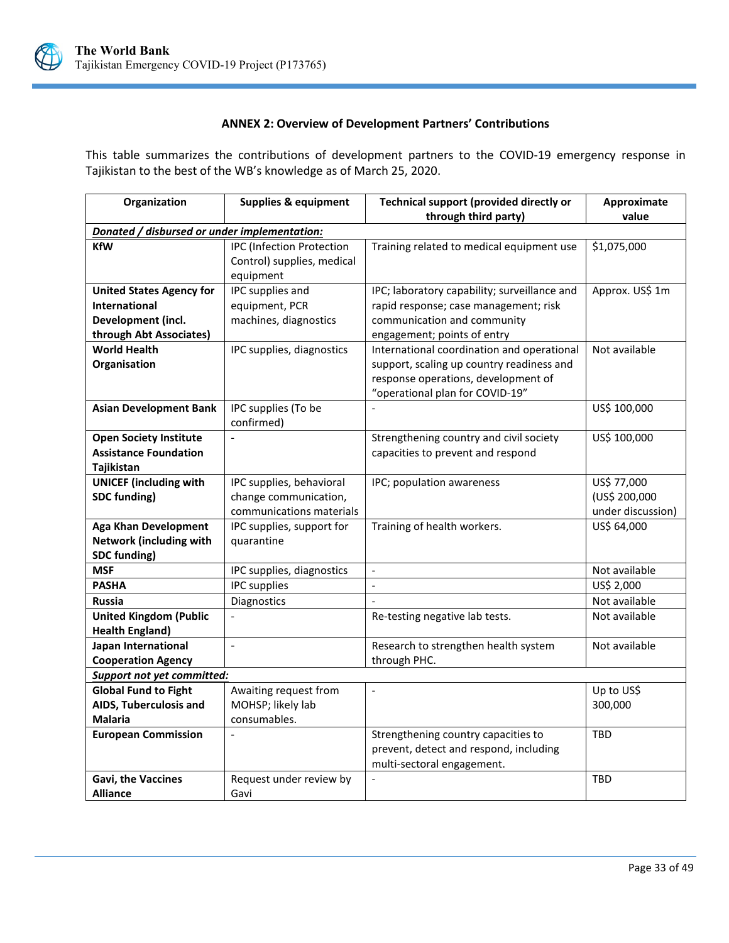

# **ANNEX 2: Overview of Development Partners' Contributions**

<span id="page-37-0"></span>This table summarizes the contributions of development partners to the COVID-19 emergency response in Tajikistan to the best of the WB's knowledge as of March 25, 2020.

| Organization                                 | <b>Supplies &amp; equipment</b>  | <b>Technical support (provided directly or</b> | Approximate       |
|----------------------------------------------|----------------------------------|------------------------------------------------|-------------------|
|                                              |                                  | through third party)                           | value             |
| Donated / disbursed or under implementation: |                                  |                                                |                   |
| <b>KfW</b>                                   | <b>IPC</b> (Infection Protection | Training related to medical equipment use      | \$1,075,000       |
|                                              | Control) supplies, medical       |                                                |                   |
|                                              | equipment                        |                                                |                   |
| <b>United States Agency for</b>              | IPC supplies and                 | IPC; laboratory capability; surveillance and   | Approx. US\$ 1m   |
| <b>International</b>                         | equipment, PCR                   | rapid response; case management; risk          |                   |
| Development (incl.                           | machines, diagnostics            | communication and community                    |                   |
| through Abt Associates)                      |                                  | engagement; points of entry                    |                   |
| <b>World Health</b>                          | IPC supplies, diagnostics        | International coordination and operational     | Not available     |
| Organisation                                 |                                  | support, scaling up country readiness and      |                   |
|                                              |                                  | response operations, development of            |                   |
|                                              |                                  | "operational plan for COVID-19"                |                   |
| <b>Asian Development Bank</b>                | IPC supplies (To be              |                                                | US\$ 100,000      |
|                                              | confirmed)                       |                                                |                   |
| <b>Open Society Institute</b>                | $\overline{a}$                   | Strengthening country and civil society        | US\$ 100,000      |
| <b>Assistance Foundation</b>                 |                                  | capacities to prevent and respond              |                   |
| Tajikistan                                   |                                  |                                                |                   |
| <b>UNICEF</b> (including with                | IPC supplies, behavioral         | IPC; population awareness                      | US\$ 77,000       |
| <b>SDC funding)</b>                          | change communication,            |                                                | (US\$ 200,000     |
|                                              | communications materials         |                                                | under discussion) |
| <b>Aga Khan Development</b>                  | IPC supplies, support for        | Training of health workers.                    | US\$ 64,000       |
| <b>Network (including with</b>               | quarantine                       |                                                |                   |
| SDC funding)                                 |                                  |                                                |                   |
| <b>MSF</b>                                   | IPC supplies, diagnostics        | $\blacksquare$                                 | Not available     |
| <b>PASHA</b>                                 | <b>IPC</b> supplies              | $\overline{\phantom{0}}$                       | US\$ 2,000        |
| Russia                                       | Diagnostics                      |                                                | Not available     |
| <b>United Kingdom (Public</b>                | $\overline{a}$                   | Re-testing negative lab tests.                 | Not available     |
| <b>Health England)</b>                       |                                  |                                                |                   |
| Japan International                          | $\overline{a}$                   | Research to strengthen health system           | Not available     |
| <b>Cooperation Agency</b>                    |                                  | through PHC.                                   |                   |
| <b>Support not yet committed:</b>            |                                  |                                                |                   |
| <b>Global Fund to Fight</b>                  | Awaiting request from            | $\overline{\phantom{a}}$                       | Up to US\$        |
| AIDS, Tuberculosis and                       | MOHSP; likely lab                |                                                | 300,000           |
| <b>Malaria</b>                               | consumables.                     |                                                |                   |
| <b>European Commission</b>                   |                                  | Strengthening country capacities to            | <b>TBD</b>        |
|                                              |                                  | prevent, detect and respond, including         |                   |
|                                              |                                  | multi-sectoral engagement.                     |                   |
| Gavi, the Vaccines                           | Request under review by          |                                                | <b>TBD</b>        |
| <b>Alliance</b>                              | Gavi                             |                                                |                   |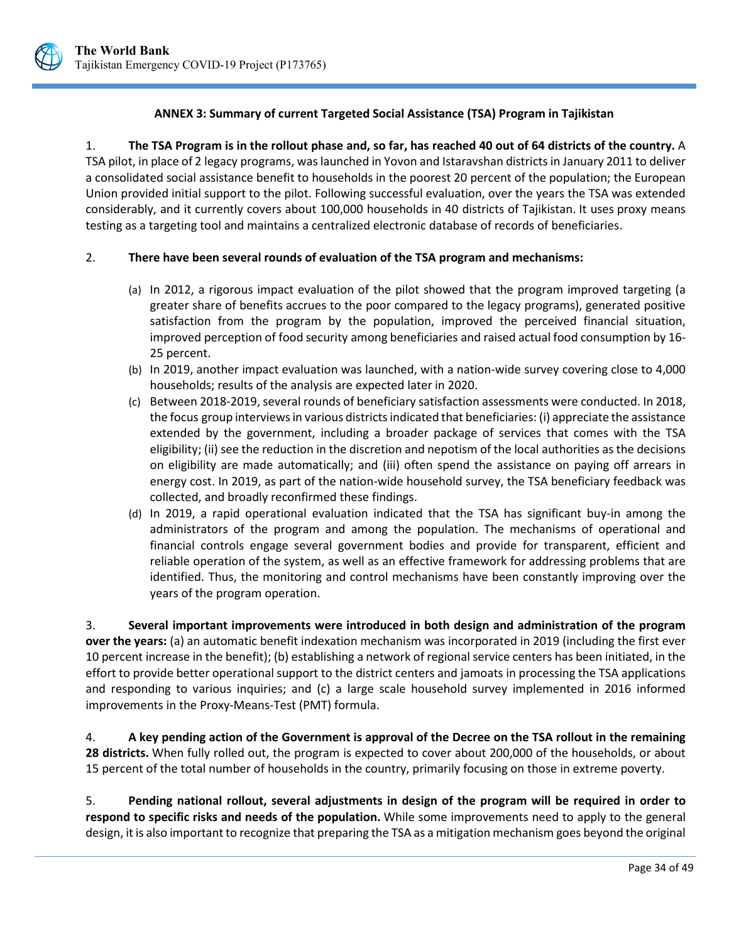

## **ANNEX 3: Summary of current Targeted Social Assistance (TSA) Program in Tajikistan**

<span id="page-38-0"></span>1. **The TSA Program is in the rollout phase and, so far, has reached 40 out of 64 districts of the country.** A

TSA pilot, in place of 2 legacy programs, was launched in Yovon and Istaravshan districts in January 2011 to deliver a consolidated social assistance benefit to households in the poorest 20 percent of the population; the European Union provided initial support to the pilot. Following successful evaluation, over the years the TSA was extended considerably, and it currently covers about 100,000 households in 40 districts of Tajikistan. It uses proxy means testing as a targeting tool and maintains a centralized electronic database of records of beneficiaries.

#### 2. **There have been several rounds of evaluation of the TSA program and mechanisms:**

- (a) In 2012, a rigorous impact evaluation of the pilot showed that the program improved targeting (a greater share of benefits accrues to the poor compared to the legacy programs), generated positive satisfaction from the program by the population, improved the perceived financial situation, improved perception of food security among beneficiaries and raised actual food consumption by 16- 25 percent.
- (b) In 2019, another impact evaluation was launched, with a nation-wide survey covering close to 4,000 households; results of the analysis are expected later in 2020.
- (c) Between 2018-2019, several rounds of beneficiary satisfaction assessments were conducted. In 2018, the focus group interviews in various districts indicated that beneficiaries: (i) appreciate the assistance extended by the government, including a broader package of services that comes with the TSA eligibility; (ii) see the reduction in the discretion and nepotism of the local authorities as the decisions on eligibility are made automatically; and (iii) often spend the assistance on paying off arrears in energy cost. In 2019, as part of the nation-wide household survey, the TSA beneficiary feedback was collected, and broadly reconfirmed these findings.
- (d) In 2019, a rapid operational evaluation indicated that the TSA has significant buy-in among the administrators of the program and among the population. The mechanisms of operational and financial controls engage several government bodies and provide for transparent, efficient and reliable operation of the system, as well as an effective framework for addressing problems that are identified. Thus, the monitoring and control mechanisms have been constantly improving over the years of the program operation.

3. **Several important improvements were introduced in both design and administration of the program over the years:** (a) an automatic benefit indexation mechanism was incorporated in 2019 (including the first ever 10 percent increase in the benefit); (b) establishing a network of regional service centers has been initiated, in the effort to provide better operational support to the district centers and jamoats in processing the TSA applications and responding to various inquiries; and (c) a large scale household survey implemented in 2016 informed improvements in the Proxy-Means-Test (PMT) formula.

4. **A key pending action of the Government is approval of the Decree on the TSA rollout in the remaining 28 districts.** When fully rolled out, the program is expected to cover about 200,000 of the households, or about 15 percent of the total number of households in the country, primarily focusing on those in extreme poverty.

5. **Pending national rollout, several adjustments in design of the program will be required in order to respond to specific risks and needs of the population.** While some improvements need to apply to the general design, it is also important to recognize that preparing the TSA as a mitigation mechanism goes beyond the original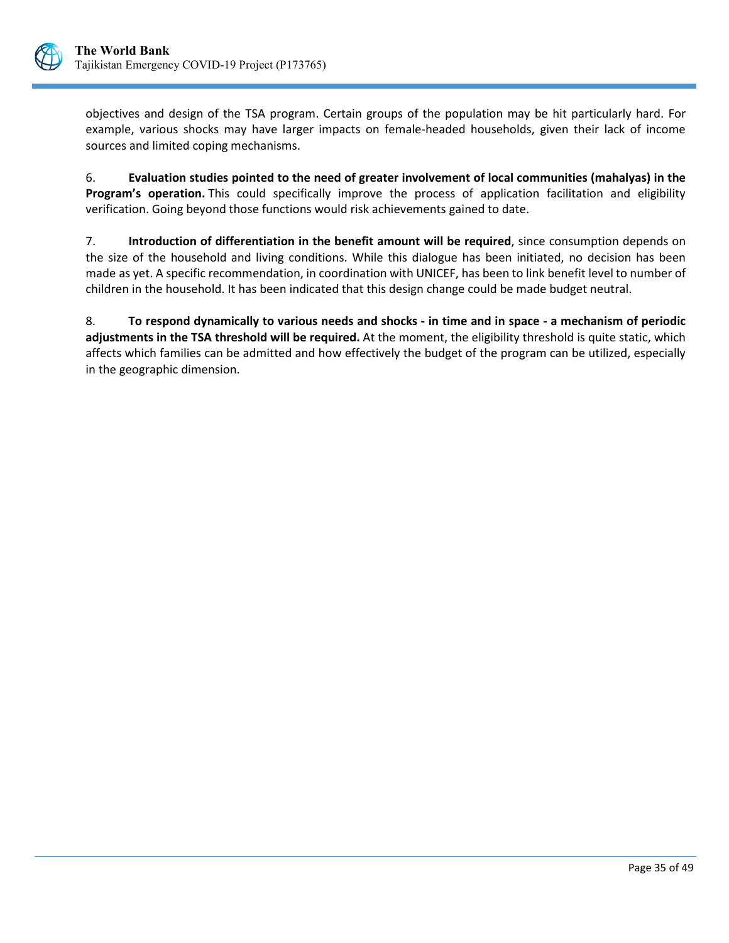

objectives and design of the TSA program. Certain groups of the population may be hit particularly hard. For example, various shocks may have larger impacts on female-headed households, given their lack of income sources and limited coping mechanisms.

6. **Evaluation studies pointed to the need of greater involvement of local communities (mahalyas) in the Program's operation.** This could specifically improve the process of application facilitation and eligibility verification. Going beyond those functions would risk achievements gained to date.

7. **Introduction of differentiation in the benefit amount will be required**, since consumption depends on the size of the household and living conditions. While this dialogue has been initiated, no decision has been made as yet. A specific recommendation, in coordination with UNICEF, has been to link benefit level to number of children in the household. It has been indicated that this design change could be made budget neutral.

8. **To respond dynamically to various needs and shocks - in time and in space - a mechanism of periodic adjustments in the TSA threshold will be required.** At the moment, the eligibility threshold is quite static, which affects which families can be admitted and how effectively the budget of the program can be utilized, especially in the geographic dimension.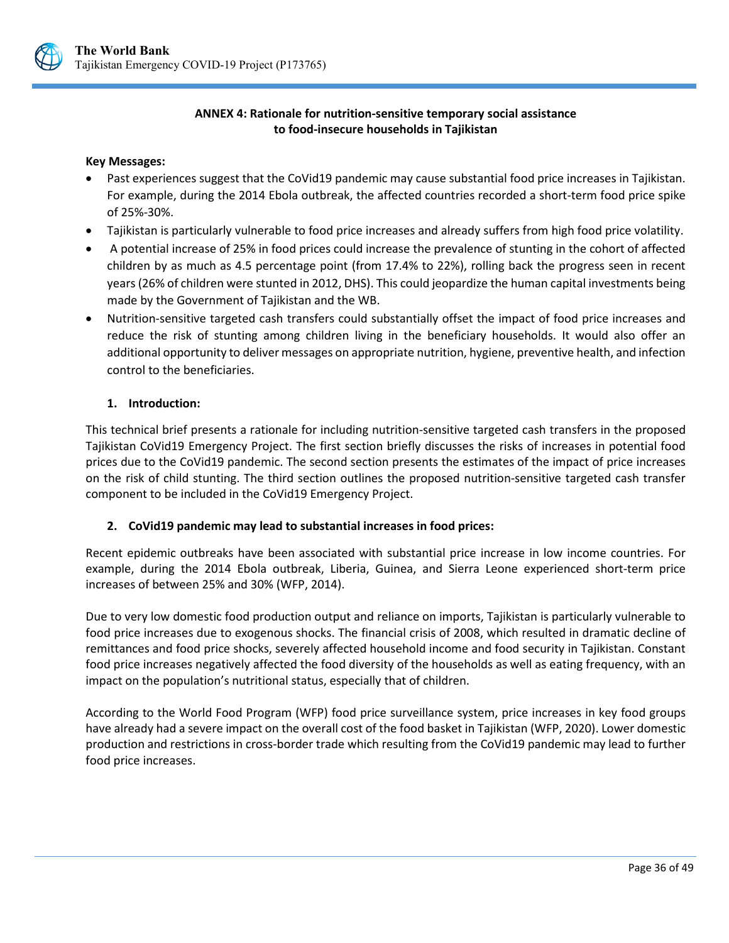

## **ANNEX 4: Rationale for nutrition-sensitive temporary social assistance to food-insecure households in Tajikistan**

#### <span id="page-40-0"></span>**Key Messages:**

- Past experiences suggest that the CoVid19 pandemic may cause substantial food price increases in Tajikistan. For example, during the 2014 Ebola outbreak, the affected countries recorded a short-term food price spike of 25%-30%.
- Tajikistan is particularly vulnerable to food price increases and already suffers from high food price volatility.
- A potential increase of 25% in food prices could increase the prevalence of stunting in the cohort of affected children by as much as 4.5 percentage point (from 17.4% to 22%), rolling back the progress seen in recent years (26% of children were stunted in 2012, DHS). This could jeopardize the human capital investments being made by the Government of Tajikistan and the WB.
- Nutrition-sensitive targeted cash transfers could substantially offset the impact of food price increases and reduce the risk of stunting among children living in the beneficiary households. It would also offer an additional opportunity to deliver messages on appropriate nutrition, hygiene, preventive health, and infection control to the beneficiaries.

## **1. Introduction:**

This technical brief presents a rationale for including nutrition-sensitive targeted cash transfers in the proposed Tajikistan CoVid19 Emergency Project. The first section briefly discusses the risks of increases in potential food prices due to the CoVid19 pandemic. The second section presents the estimates of the impact of price increases on the risk of child stunting. The third section outlines the proposed nutrition-sensitive targeted cash transfer component to be included in the CoVid19 Emergency Project.

## **2. CoVid19 pandemic may lead to substantial increases in food prices:**

Recent epidemic outbreaks have been associated with substantial price increase in low income countries. For example, during the 2014 Ebola outbreak, Liberia, Guinea, and Sierra Leone experienced short-term price increases of between 25% and 30% (WFP, 2014).

Due to very low domestic food production output and reliance on imports, Tajikistan is particularly vulnerable to food price increases due to exogenous shocks. The financial crisis of 2008, which resulted in dramatic decline of remittances and food price shocks, severely affected household income and food security in Tajikistan. Constant food price increases negatively affected the food diversity of the households as well as eating frequency, with an impact on the population's nutritional status, especially that of children.

According to the World Food Program (WFP) food price surveillance system, price increases in key food groups have already had a severe impact on the overall cost of the food basket in Tajikistan (WFP, 2020). Lower domestic production and restrictions in cross-border trade which resulting from the CoVid19 pandemic may lead to further food price increases.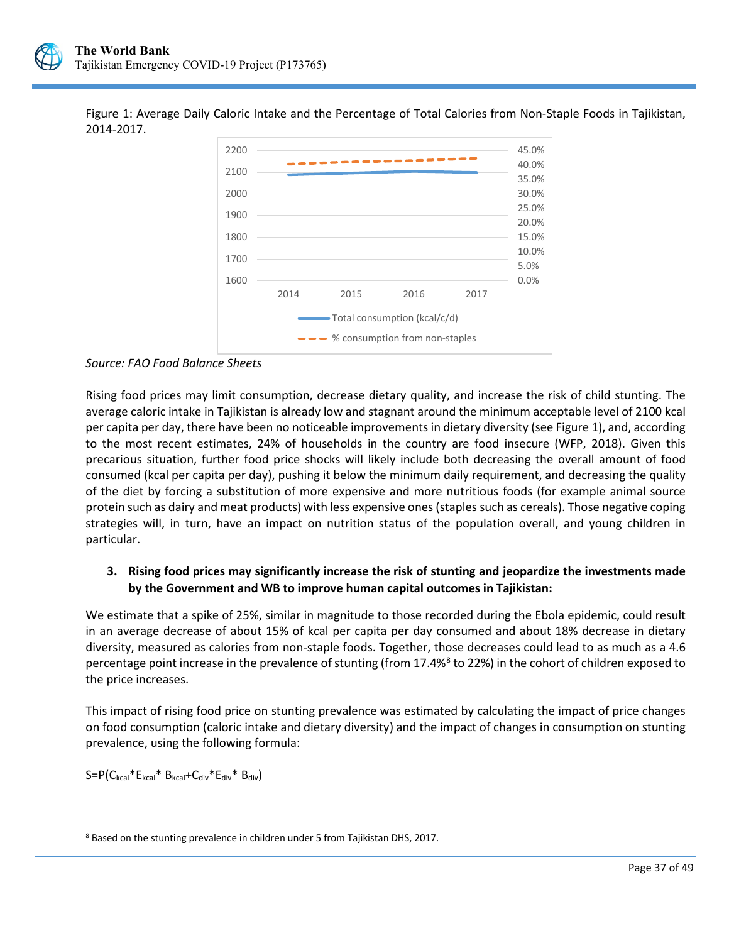

Figure 1: Average Daily Caloric Intake and the Percentage of Total Calories from Non-Staple Foods in Tajikistan, 2014-2017.



*Source: FAO Food Balance Sheets*

Rising food prices may limit consumption, decrease dietary quality, and increase the risk of child stunting. The average caloric intake in Tajikistan is already low and stagnant around the minimum acceptable level of 2100 kcal per capita per day, there have been no noticeable improvements in dietary diversity (see Figure 1), and, according to the most recent estimates, 24% of households in the country are food insecure (WFP, 2018). Given this precarious situation, further food price shocks will likely include both decreasing the overall amount of food consumed (kcal per capita per day), pushing it below the minimum daily requirement, and decreasing the quality of the diet by forcing a substitution of more expensive and more nutritious foods (for example animal source protein such as dairy and meat products) with less expensive ones (staples such as cereals). Those negative coping strategies will, in turn, have an impact on nutrition status of the population overall, and young children in particular.

# **3. Rising food prices may significantly increase the risk of stunting and jeopardize the investments made by the Government and WB to improve human capital outcomes in Tajikistan:**

We estimate that a spike of 25%, similar in magnitude to those recorded during the Ebola epidemic, could result in an average decrease of about 15% of kcal per capita per day consumed and about 18% decrease in dietary diversity, measured as calories from non-staple foods. Together, those decreases could lead to as much as a 4.6 percentage point increase in the prevalence of stunting (from 17.4%<sup>[8](#page-41-0)</sup> to 22%) in the cohort of children exposed to the price increases.

This impact of rising food price on stunting prevalence was estimated by calculating the impact of price changes on food consumption (caloric intake and dietary diversity) and the impact of changes in consumption on stunting prevalence, using the following formula:

 $S = P(C_{kcal} * E_{kcal} * B_{kcal} + C_{div} * E_{div} * B_{div})$ 

<span id="page-41-0"></span> $\ddot{\phantom{a}}$ <sup>8</sup> Based on the stunting prevalence in children under 5 from Tajikistan DHS, 2017.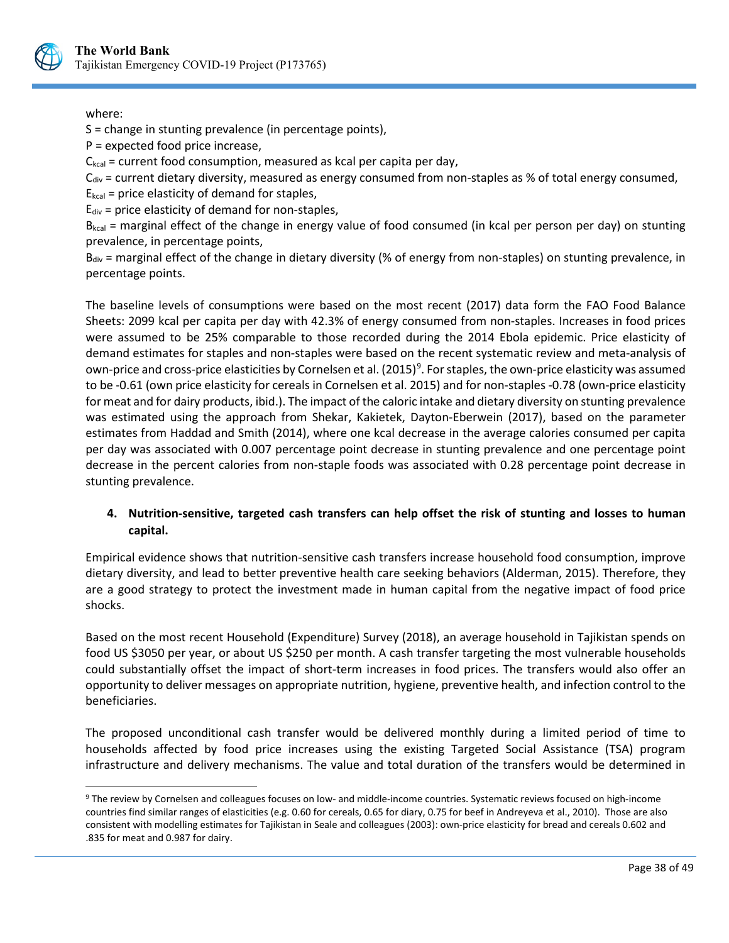

## where:

 $\ddot{\phantom{a}}$ 

S = change in stunting prevalence (in percentage points),

P = expected food price increase,

 $C_{\text{kcal}}$  = current food consumption, measured as kcal per capita per day,

 $C_{div}$  = current dietary diversity, measured as energy consumed from non-staples as % of total energy consumed,

 $E_{kcal}$  = price elasticity of demand for staples,

 $E_{div}$  = price elasticity of demand for non-staples,

 $B_{kcal}$  = marginal effect of the change in energy value of food consumed (in kcal per person per day) on stunting prevalence, in percentage points,

 $B_{div}$  = marginal effect of the change in dietary diversity (% of energy from non-staples) on stunting prevalence, in percentage points.

The baseline levels of consumptions were based on the most recent (2017) data form the FAO Food Balance Sheets: 2099 kcal per capita per day with 42.3% of energy consumed from non-staples. Increases in food prices were assumed to be 25% comparable to those recorded during the 2014 Ebola epidemic. Price elasticity of demand estimates for staples and non-staples were based on the recent systematic review and meta-analysis of own-price and cross-price elasticities by Cornelsen et al. (2015)<sup>[9](#page-42-0)</sup>. For staples, the own-price elasticity was assumed to be -0.61 (own price elasticity for cereals in Cornelsen et al. 2015) and for non-staples -0.78 (own-price elasticity for meat and for dairy products, ibid.). The impact of the caloric intake and dietary diversity on stunting prevalence was estimated using the approach from Shekar, Kakietek, Dayton-Eberwein (2017), based on the parameter estimates from Haddad and Smith (2014), where one kcal decrease in the average calories consumed per capita per day was associated with 0.007 percentage point decrease in stunting prevalence and one percentage point decrease in the percent calories from non-staple foods was associated with 0.28 percentage point decrease in stunting prevalence.

# **4. Nutrition-sensitive, targeted cash transfers can help offset the risk of stunting and losses to human capital.**

Empirical evidence shows that nutrition-sensitive cash transfers increase household food consumption, improve dietary diversity, and lead to better preventive health care seeking behaviors (Alderman, 2015). Therefore, they are a good strategy to protect the investment made in human capital from the negative impact of food price shocks.

Based on the most recent Household (Expenditure) Survey (2018), an average household in Tajikistan spends on food US \$3050 per year, or about US \$250 per month. A cash transfer targeting the most vulnerable households could substantially offset the impact of short-term increases in food prices. The transfers would also offer an opportunity to deliver messages on appropriate nutrition, hygiene, preventive health, and infection control to the beneficiaries.

The proposed unconditional cash transfer would be delivered monthly during a limited period of time to households affected by food price increases using the existing Targeted Social Assistance (TSA) program infrastructure and delivery mechanisms. The value and total duration of the transfers would be determined in

<span id="page-42-0"></span><sup>9</sup> The review by Cornelsen and colleagues focuses on low- and middle-income countries. Systematic reviews focused on high-income countries find similar ranges of elasticities (e.g. 0.60 for cereals, 0.65 for diary, 0.75 for beef in Andreyeva et al., 2010). Those are also consistent with modelling estimates for Tajikistan in Seale and colleagues (2003): own-price elasticity for bread and cereals 0.602 and .835 for meat and 0.987 for dairy.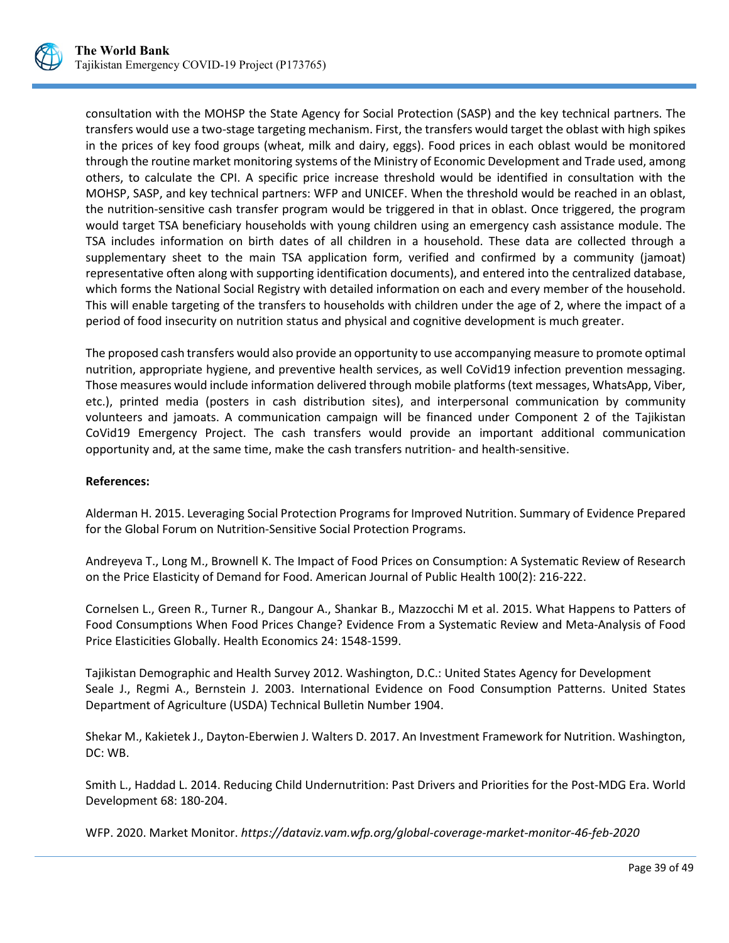

consultation with the MOHSP the State Agency for Social Protection (SASP) and the key technical partners. The transfers would use a two-stage targeting mechanism. First, the transfers would target the oblast with high spikes in the prices of key food groups (wheat, milk and dairy, eggs). Food prices in each oblast would be monitored through the routine market monitoring systems of the Ministry of Economic Development and Trade used, among others, to calculate the CPI. A specific price increase threshold would be identified in consultation with the MOHSP, SASP, and key technical partners: WFP and UNICEF. When the threshold would be reached in an oblast, the nutrition-sensitive cash transfer program would be triggered in that in oblast. Once triggered, the program would target TSA beneficiary households with young children using an emergency cash assistance module. The TSA includes information on birth dates of all children in a household. These data are collected through a supplementary sheet to the main TSA application form, verified and confirmed by a community (jamoat) representative often along with supporting identification documents), and entered into the centralized database, which forms the National Social Registry with detailed information on each and every member of the household. This will enable targeting of the transfers to households with children under the age of 2, where the impact of a period of food insecurity on nutrition status and physical and cognitive development is much greater.

The proposed cash transfers would also provide an opportunity to use accompanying measure to promote optimal nutrition, appropriate hygiene, and preventive health services, as well CoVid19 infection prevention messaging. Those measures would include information delivered through mobile platforms (text messages, WhatsApp, Viber, etc.), printed media (posters in cash distribution sites), and interpersonal communication by community volunteers and jamoats. A communication campaign will be financed under Component 2 of the Tajikistan CoVid19 Emergency Project. The cash transfers would provide an important additional communication opportunity and, at the same time, make the cash transfers nutrition- and health-sensitive.

## **References:**

Alderman H. 2015. Leveraging Social Protection Programs for Improved Nutrition. Summary of Evidence Prepared for the Global Forum on Nutrition-Sensitive Social Protection Programs.

Andreyeva T., Long M., Brownell K. The Impact of Food Prices on Consumption: A Systematic Review of Research on the Price Elasticity of Demand for Food. American Journal of Public Health 100(2): 216-222.

Cornelsen L., Green R., Turner R., Dangour A., Shankar B., Mazzocchi M et al. 2015. What Happens to Patters of Food Consumptions When Food Prices Change? Evidence From a Systematic Review and Meta-Analysis of Food Price Elasticities Globally. Health Economics 24: 1548-1599.

Tajikistan Demographic and Health Survey 2012. Washington, D.C.: United States Agency for Development Seale J., Regmi A., Bernstein J. 2003. International Evidence on Food Consumption Patterns. United States Department of Agriculture (USDA) Technical Bulletin Number 1904.

Shekar M., Kakietek J., Dayton-Eberwien J. Walters D. 2017. An Investment Framework for Nutrition. Washington, DC: WB.

Smith L., Haddad L. 2014. Reducing Child Undernutrition: Past Drivers and Priorities for the Post-MDG Era. World Development 68: 180-204.

WFP. 2020. Market Monitor. *<https://dataviz.vam.wfp.org/global-coverage-market-monitor-46-feb-2020>*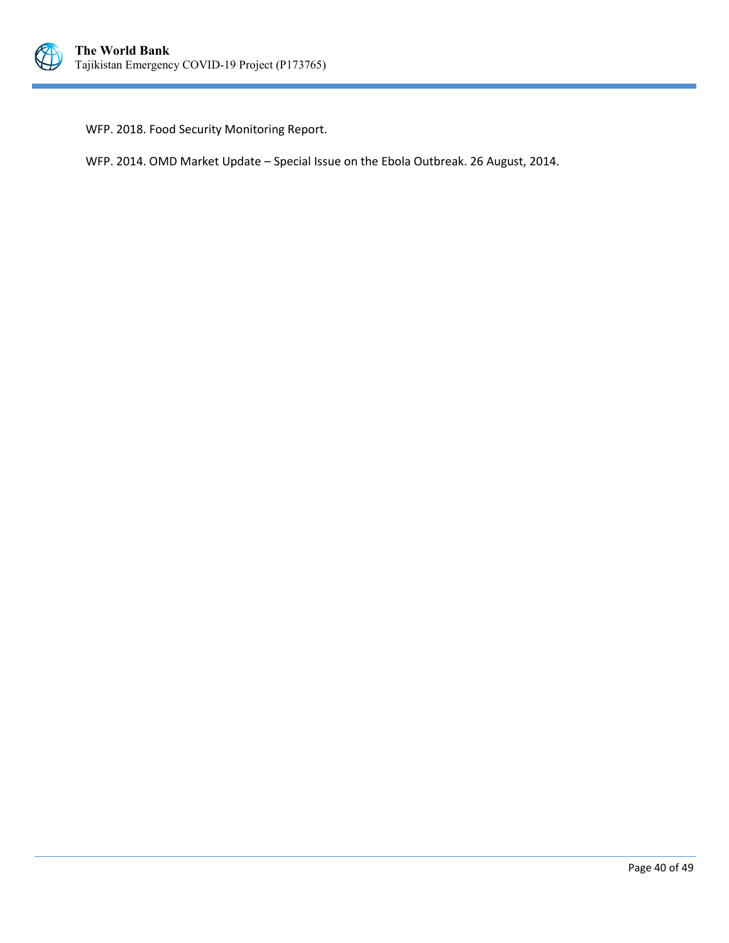

WFP. 2018. Food Security Monitoring Report.

WFP. 2014. OMD Market Update – Special Issue on the Ebola Outbreak. 26 August, 2014.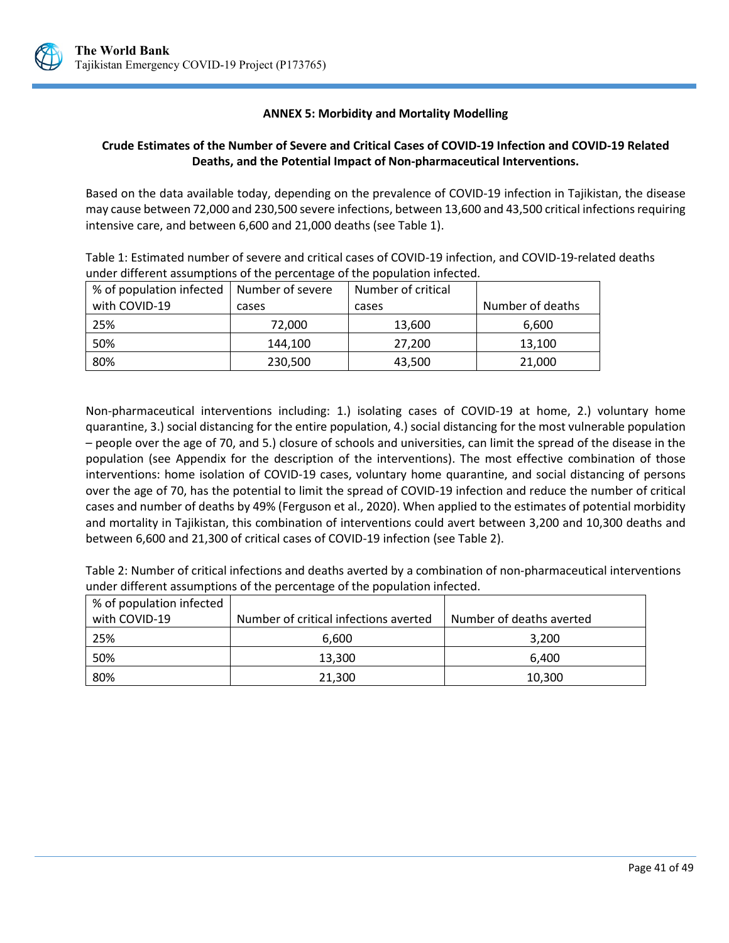

## **ANNEX 5: Morbidity and Mortality Modelling**

## <span id="page-45-0"></span>**Crude Estimates of the Number of Severe and Critical Cases of COVID-19 Infection and COVID-19 Related Deaths, and the Potential Impact of Non-pharmaceutical Interventions.**

Based on the data available today, depending on the prevalence of COVID-19 infection in Tajikistan, the disease may cause between 72,000 and 230,500 severe infections, between 13,600 and 43,500 critical infections requiring intensive care, and between 6,600 and 21,000 deaths (see Table 1).

Table 1: Estimated number of severe and critical cases of COVID-19 infection, and COVID-19-related deaths under different assumptions of the percentage of the population infected.

| % of population infected   Number of severe |         | Number of critical |                  |
|---------------------------------------------|---------|--------------------|------------------|
| with COVID-19                               | cases   | cases              | Number of deaths |
| 25%                                         | 72,000  | 13,600             | 6,600            |
| 50%                                         | 144.100 | 27,200             | 13,100           |
| 80%                                         | 230,500 | 43,500             | 21,000           |

Non-pharmaceutical interventions including: 1.) isolating cases of COVID-19 at home, 2.) voluntary home quarantine, 3.) social distancing for the entire population, 4.) social distancing for the most vulnerable population – people over the age of 70, and 5.) closure of schools and universities, can limit the spread of the disease in the population (see Appendix for the description of the interventions). The most effective combination of those interventions: home isolation of COVID-19 cases, voluntary home quarantine, and social distancing of persons over the age of 70, has the potential to limit the spread of COVID-19 infection and reduce the number of critical cases and number of deaths by 49% (Ferguson et al., 2020). When applied to the estimates of potential morbidity and mortality in Tajikistan, this combination of interventions could avert between 3,200 and 10,300 deaths and between 6,600 and 21,300 of critical cases of COVID-19 infection (see Table 2).

Table 2: Number of critical infections and deaths averted by a combination of non-pharmaceutical interventions under different assumptions of the percentage of the population infected.

| % of population infected |                                       |                          |
|--------------------------|---------------------------------------|--------------------------|
| with COVID-19            | Number of critical infections averted | Number of deaths averted |
| 25%                      | 6.600                                 | 3.200                    |
| 50%                      | 13.300                                | 6.400                    |
| 80%                      | 21,300                                | 10,300                   |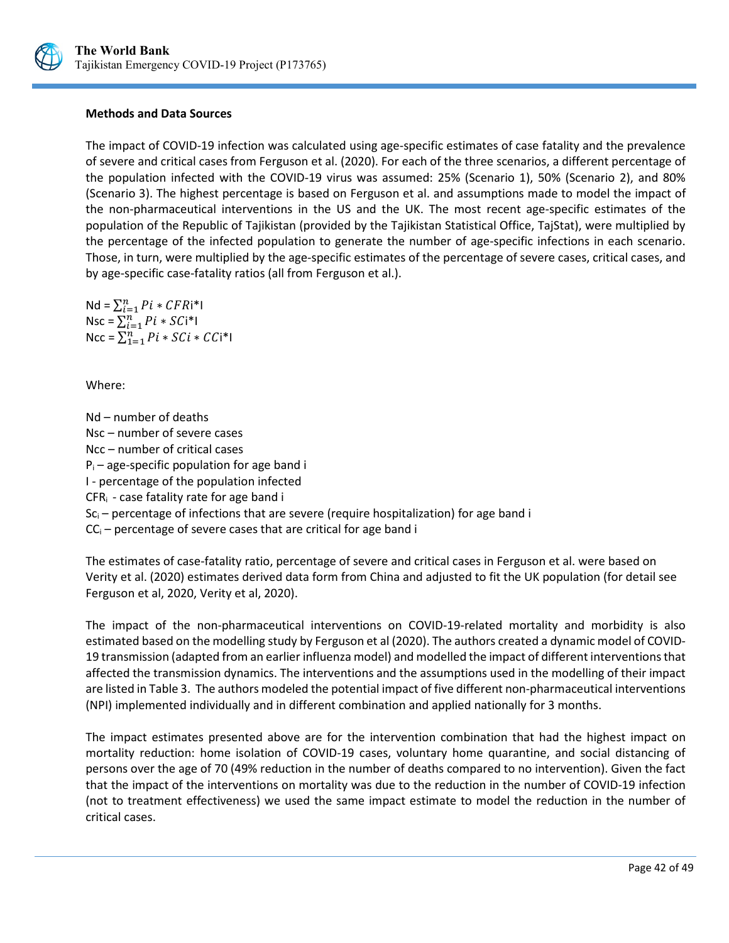

#### **Methods and Data Sources**

The impact of COVID-19 infection was calculated using age-specific estimates of case fatality and the prevalence of severe and critical cases from Ferguson et al. (2020). For each of the three scenarios, a different percentage of the population infected with the COVID-19 virus was assumed: 25% (Scenario 1), 50% (Scenario 2), and 80% (Scenario 3). The highest percentage is based on Ferguson et al. and assumptions made to model the impact of the non-pharmaceutical interventions in the US and the UK. The most recent age-specific estimates of the population of the Republic of Tajikistan (provided by the Tajikistan Statistical Office, TajStat), were multiplied by the percentage of the infected population to generate the number of age-specific infections in each scenario. Those, in turn, were multiplied by the age-specific estimates of the percentage of severe cases, critical cases, and by age-specific case-fatality ratios (all from Ferguson et al.).

Nd =  $\sum_{i=1}^{n} Pi * CFRi*1$ Nsc =  $\sum_{i=1}^{n} Pi * SCi*1$ Ncc =  $\sum_{1=1}^{n} Pi * SCi * CCi*1$ 

Where:

Nd – number of deaths Nsc – number of severe cases Ncc – number of critical cases  $P_i$  – age-specific population for age band i I - percentage of the population infected CFRi - case fatality rate for age band i  $Sc<sub>i</sub>$  – percentage of infections that are severe (require hospitalization) for age band i  $CC_i$  – percentage of severe cases that are critical for age band i

The estimates of case-fatality ratio, percentage of severe and critical cases in Ferguson et al. were based on Verity et al. (2020) estimates derived data form from China and adjusted to fit the UK population (for detail see Ferguson et al, 2020, Verity et al, 2020).

The impact of the non-pharmaceutical interventions on COVID-19-related mortality and morbidity is also estimated based on the modelling study by Ferguson et al (2020). The authors created a dynamic model of COVID-19 transmission (adapted from an earlier influenza model) and modelled the impact of different interventions that affected the transmission dynamics. The interventions and the assumptions used in the modelling of their impact are listed in Table 3. The authors modeled the potential impact of five different non-pharmaceutical interventions (NPI) implemented individually and in different combination and applied nationally for 3 months.

The impact estimates presented above are for the intervention combination that had the highest impact on mortality reduction: home isolation of COVID-19 cases, voluntary home quarantine, and social distancing of persons over the age of 70 (49% reduction in the number of deaths compared to no intervention). Given the fact that the impact of the interventions on mortality was due to the reduction in the number of COVID-19 infection (not to treatment effectiveness) we used the same impact estimate to model the reduction in the number of critical cases.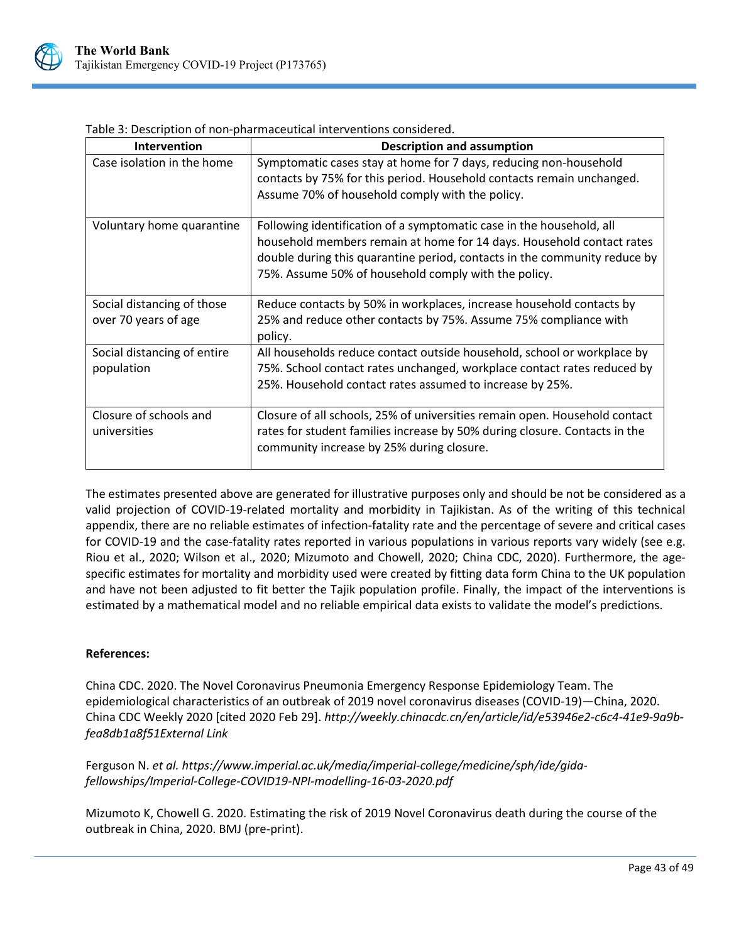

| <b>Intervention</b>                                | <b>Description and assumption</b>                                                                                                                                                                                                                                                  |
|----------------------------------------------------|------------------------------------------------------------------------------------------------------------------------------------------------------------------------------------------------------------------------------------------------------------------------------------|
| Case isolation in the home                         | Symptomatic cases stay at home for 7 days, reducing non-household<br>contacts by 75% for this period. Household contacts remain unchanged.<br>Assume 70% of household comply with the policy.                                                                                      |
| Voluntary home quarantine                          | Following identification of a symptomatic case in the household, all<br>household members remain at home for 14 days. Household contact rates<br>double during this quarantine period, contacts in the community reduce by<br>75%. Assume 50% of household comply with the policy. |
| Social distancing of those<br>over 70 years of age | Reduce contacts by 50% in workplaces, increase household contacts by<br>25% and reduce other contacts by 75%. Assume 75% compliance with<br>policy.                                                                                                                                |
| Social distancing of entire<br>population          | All households reduce contact outside household, school or workplace by<br>75%. School contact rates unchanged, workplace contact rates reduced by<br>25%. Household contact rates assumed to increase by 25%.                                                                     |
| Closure of schools and<br>universities             | Closure of all schools, 25% of universities remain open. Household contact<br>rates for student families increase by 50% during closure. Contacts in the<br>community increase by 25% during closure.                                                                              |

Table 3: Description of non-pharmaceutical interventions considered.

The estimates presented above are generated for illustrative purposes only and should be not be considered as a valid projection of COVID-19-related mortality and morbidity in Tajikistan. As of the writing of this technical appendix, there are no reliable estimates of infection-fatality rate and the percentage of severe and critical cases for COVID-19 and the case-fatality rates reported in various populations in various reports vary widely (see e.g. Riou et al., 2020; Wilson et al., 2020; Mizumoto and Chowell, 2020; China CDC, 2020). Furthermore, the agespecific estimates for mortality and morbidity used were created by fitting data form China to the UK population and have not been adjusted to fit better the Tajik population profile. Finally, the impact of the interventions is estimated by a mathematical model and no reliable empirical data exists to validate the model's predictions.

## **References:**

China CDC. 2020. The Novel Coronavirus Pneumonia Emergency Response Epidemiology Team. The epidemiological characteristics of an outbreak of 2019 novel coronavirus diseases (COVID-19)—China, 2020. China CDC Weekly 2020 [cited 2020 Feb 29]. *[http://weekly.chinacdc.cn/en/article/id/e53946e2-c6c4-41e9-9a9b](http://weekly.chinacdc.cn/en/article/id/e53946e2-c6c4-41e9-9a9b-fea8db1a8f51)[fea8db1a8f51External Link](http://weekly.chinacdc.cn/en/article/id/e53946e2-c6c4-41e9-9a9b-fea8db1a8f51)*

Ferguson N. *et al. [https://www.imperial.ac.uk/media/imperial-college/medicine/sph/ide/gida](https://www.imperial.ac.uk/media/imperial-college/medicine/sph/ide/gida-fellowships/Imperial-College-COVID19-NPI-modelling-16-03-2020.pdf)[fellowships/Imperial-College-COVID19-NPI-modelling-16-03-2020.pdf](https://www.imperial.ac.uk/media/imperial-college/medicine/sph/ide/gida-fellowships/Imperial-College-COVID19-NPI-modelling-16-03-2020.pdf)*

Mizumoto K, Chowell G. 2020. Estimating the risk of 2019 Novel Coronavirus death during the course of the outbreak in China, 2020. BMJ (pre-print).